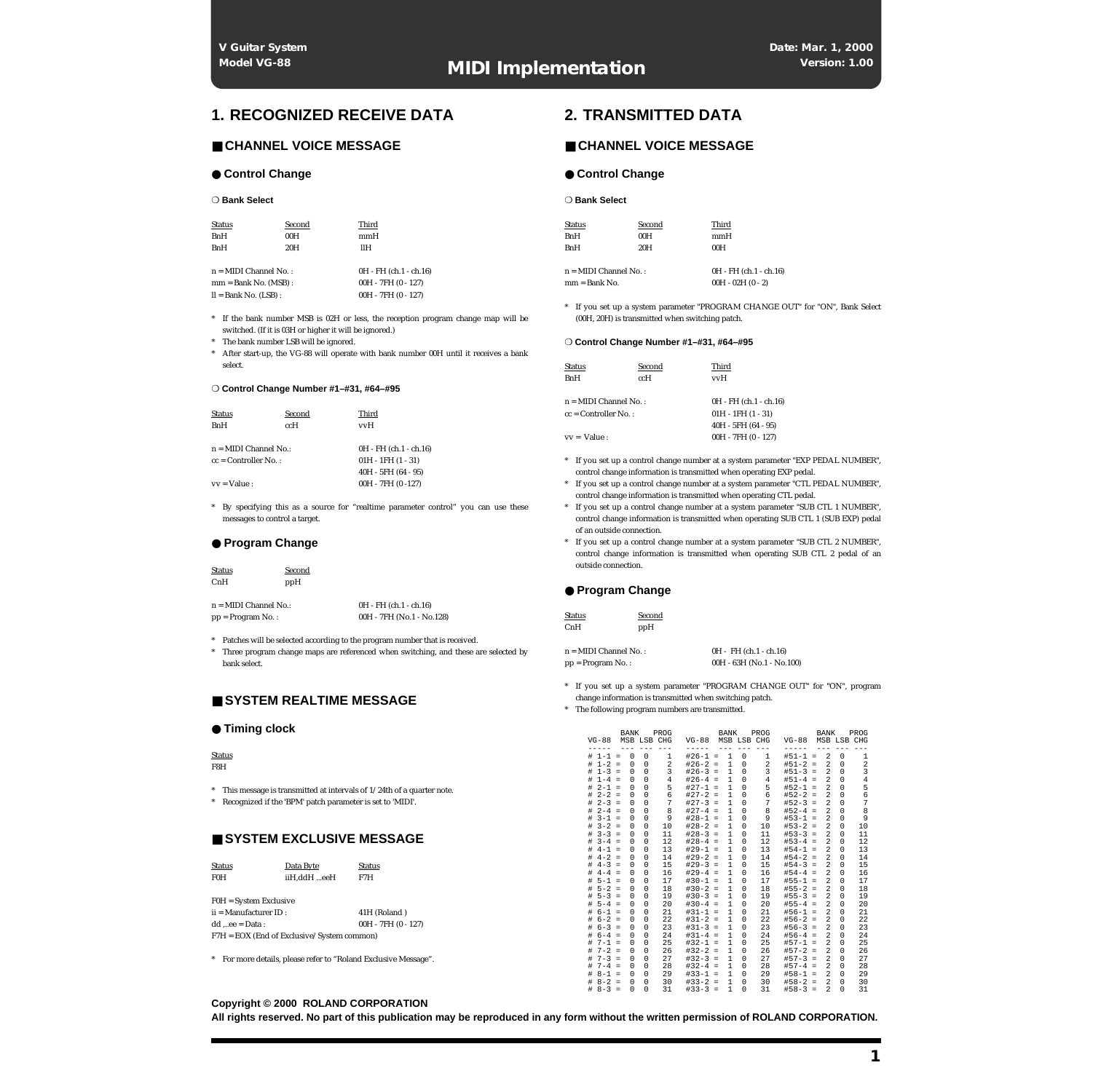# **1. RECOGNIZED RECEIVE DATA**

# ■ **CHANNEL VOICE MESSAGE**

#### ● **Control Change**

#### ❍ **Bank Select**

| <b>Status</b>           | Second | Third                    |
|-------------------------|--------|--------------------------|
| <b>BnH</b>              | 00H    | mmH                      |
| <b>BnH</b>              | 20H    | ШН                       |
|                         |        |                          |
| $n = MIDI$ Channel No.: |        | $0H - FH (ch.1 - ch.16)$ |
| $mm = Bank No. (MSB)$ : |        | $00H - 7FH (0 - 127)$    |
| $ll =$ Bank No. (LSB) : |        | $00H - 7FH (0 - 127)$    |

\* If the bank number MSB is 02H or less, the reception program change map will be switched. (If it is 03H or higher it will be ignored.)

The bank number LSB will be ignored.

\* After start-up, the VG-88 will operate with bank number 00H until it receives a bank select.

#### ❍ **Control Change Number #1–#31, #64–#95**

| <b>Status</b>           | Second | Third                    |
|-------------------------|--------|--------------------------|
| <b>BnH</b>              | ccH    | vvH                      |
|                         |        |                          |
| $n = MIDI$ Channel No.: |        | $0H - FH (ch.1 - ch.16)$ |
| $cc =$ Controller No.:  |        | $01H - 1FH (1 - 31)$     |
|                         |        | $40H - 5FH (64 - 95)$    |
| $vv = Value$ :          |        | $00H - 7FH (0 - 127)$    |

By specifying this as a source for "realtime parameter control" you can use these messages to control a target.

## ● **Program Change**

| <b>Status</b>           | Second |                           |
|-------------------------|--------|---------------------------|
| CnH                     | ppH    |                           |
|                         |        |                           |
| $n = MIDI$ Channel No.: |        | $0H - FH (ch.1 - ch.16)$  |
| $pp = Program No.$ :    |        | 00H - 7FH (No.1 - No.128) |

\* Patches will be selected according to the program number that is received.

\* Three program change maps are referenced when switching, and these are selected by bank select.

# ■ **SYSTEM REALTIME MESSAGE**

#### ● **Timing clock**

Status F8H

\* This message is transmitted at intervals of 1/24th of a quarter note.

\* Recognized if the 'BPM' patch parameter is set to 'MIDI'.

# ■ **SYSTEM EXCLUSIVE MESSAGE**

| Status                                       | Data Byte   | <b>Status</b> |  |  |
|----------------------------------------------|-------------|---------------|--|--|
| F0H                                          | iiH.ddH eeH | F7H           |  |  |
|                                              |             |               |  |  |
| $FOH = System$ Exclusive                     |             |               |  |  |
| $ii =$ Manufacturer ID:<br>41H (Roland)      |             |               |  |  |
| $00H - 7FH (0 - 127)$<br>$dd$ ee = Data :    |             |               |  |  |
| $F7H = EOX$ (End of Exclusive/System common) |             |               |  |  |
|                                              |             |               |  |  |

\* For more details, please refer to "Roland Exclusive Message".

## **Copyright © 2000 ROLAND CORPORATION**

**All rights reserved. No part of this publication may be reproduced in any form without the written permission of ROLAND CORPORATION.**

# **2. TRANSMITTED DATA**

# ■ **CHANNEL VOICE MESSAGE**

#### ● **Control Change**

❍ **Bank Select**

| <b>Status</b> | Second | Third |
|---------------|--------|-------|
| <b>BnH</b>    | 00H    | mmH   |
| <b>BnH</b>    | 20H    | 00H   |
|               |        |       |

 $n = MIDI Channel No.$  0H - FH  $(ch 1 - ch 16)$  $mm = Bank No.$  00H - 02H (0 - 2)

If you set up a system parameter "PROGRAM CHANGE OUT" for "ON", Bank Select (00H, 20H) is transmitted when switching patch.

#### ❍ **Control Change Number #1–#31, #64–#95**

| <b>Status</b>           | Second | Third                  |
|-------------------------|--------|------------------------|
| <b>BnH</b>              | ccH    | vvH                    |
| $n = MIDI$ Channel No.: |        | 0H - FH (ch.1 - ch.16) |
| $cc =$ Controller No.:  |        | $01H - 1FH (1 - 31)$   |
|                         |        | $40H - 5FH (64 - 95)$  |
| $vv = Value$ :          |        | 00H - 7FH (0 - 127)    |

- \* If you set up a control change number at a system parameter "EXP PEDAL NUMBER", control change information is transmitted when operating EXP pedal.
- \* If you set up a control change number at a system parameter "CTL PEDAL NUMBER", control change information is transmitted when operating CTL pedal.
- \* If you set up a control change number at a system parameter "SUB CTL 1 NUMBER", control change information is transmitted when operating SUB CTL 1 (SUB EXP) pedal of an outside connection.
- \* If you set up a control change number at a system parameter "SUB CTL 2 NUMBER", control change information is transmitted when operating SUB CTL 2 pedal of an outside connection.

## ● **Program Change**

| <b>Status</b>           | Second |                             |
|-------------------------|--------|-----------------------------|
| CnH                     | ppH    |                             |
|                         |        |                             |
| $n = MIDI$ Channel No.: |        | $0H - FH (ch.1 - ch.16)$    |
| $pp = Program No.$ :    |        | $00H - 63H$ (No.1 - No.100) |

- \* If you set up a system parameter "PROGRAM CHANGE OUT" for "ON", program change information is transmitted when switching patch.
- \* The following program numbers are transmitted.

|   | $VG-88$   |          | <b>BANK</b> | MSB LSB CHG | PROG           | $VG-88$   |          | <b>BANK</b>  | MSB LSB     | PROG<br>CHG    | $VG-88$     |          | <b>BANK</b>             | MSB LSB CHG | PROG           |
|---|-----------|----------|-------------|-------------|----------------|-----------|----------|--------------|-------------|----------------|-------------|----------|-------------------------|-------------|----------------|
|   |           |          |             |             | - -            |           |          |              |             | --             |             |          |                         |             |                |
| # | $1 - 1$   | $\equiv$ | 0           | 0           | 1              | $#26-1 =$ |          | 1            | $\Omega$    | 1              | $#51 - 1 =$ |          | 2                       | $\Omega$    | 1              |
| # | $1 - 2$   | $\equiv$ | $\Omega$    | $\Omega$    | $\overline{a}$ | $#26-2$   | $=$      | $\mathbf{1}$ | 0           | $\overline{2}$ | $#51-2$     | $=$      | $\overline{a}$          | 0           | 2              |
| # | $1 - 3 =$ |          | $\Omega$    | $\Omega$    | 3              | $#26-3 =$ |          | $\mathbf{1}$ | $\Omega$    | 3              | $#51-3 =$   |          | $\overline{a}$          | 0           | 3              |
| # | $1 - 4$   | $\equiv$ | $\Omega$    | $\Omega$    | 4              | $#26 - 4$ | $\equiv$ | 1            | 0           | 4              | $#51 - 4$   | $=$      | $\overline{a}$          | $\Omega$    | $\overline{4}$ |
| # | $2 - 1$   | $\equiv$ | $\Omega$    | $\Omega$    | 5              | $#27-1$   | $\equiv$ | $\mathbf{1}$ | $\Omega$    | 5              | $#52 - 1$   | $=$      | $\overline{a}$          | $\Omega$    | 5              |
| # | $2 - 2$   | $=$      | $\Omega$    | $\Omega$    | 6              | $#27-2$   | $=$      | 1            | $\Omega$    | 6              | $#52-2$     | $=$      | $\overline{a}$          | 0           | 6              |
| # | $2 - 3$   | $\equiv$ | $\Omega$    | $\Omega$    | 7              | $#27-3$   | $\equiv$ | 1            | $\Omega$    | 7              | $#52-3$     | $\equiv$ | $\overline{\mathbf{c}}$ | $\Omega$    | 7              |
| # | $2 - 4$   | $\equiv$ | $\Omega$    | $\Omega$    | 8              | $#27-4$   | $=$      | 1            | $\Omega$    | 8              | $#52 - 4$   | $=$      | 2                       | $\Omega$    | 8              |
| # | $3 - 1$   | $\equiv$ | $\Omega$    | $\Omega$    | 9              | $#28-1$   | $\equiv$ | 1            | $\Omega$    | 9              | $#53 - 1$   | $=$      | $\overline{a}$          | $\Omega$    | 9              |
| # | $3 - 2$   | $\equiv$ | $\Omega$    | $\mathbf 0$ | 10             | $#28-2$   | $=$      | $\mathbf{1}$ | $\mathbf 0$ | 10             | $#53-2$     | $\equiv$ | $\overline{a}$          | $\mathbf 0$ | 10             |
| # | $3 - 3$   | $\equiv$ | $\mathbf 0$ | $\mathbf 0$ | 11             | $#28-3$   | $=$      | $\mathbf{1}$ | $\mathbf 0$ | 11             | $#53-3$     | $=$      | $\overline{a}$          | $\mathbf 0$ | 11             |
| # | $3 - 4$   | $=$      | $\Omega$    | $\Omega$    | 12             | $#28 - 4$ | $=$      | 1            | $\Omega$    | 12             | $#53 - 4$   | $=$      | $\overline{a}$          | $\Omega$    | 12             |
| # | $4 - 1$   | $=$      | $\Omega$    | $\Omega$    | 13             | $#29-1$   | $=$      | 1            | $\Omega$    | 13             | $#54-1$     | $=$      | $\overline{a}$          | $\Omega$    | 13             |
| # | $4 - 2$   | $=$      | $\Omega$    | $\Omega$    | 14             | $#29-2$   | $=$      | 1            | $\Omega$    | 14             | $#54-2$     | $=$      | $\overline{a}$          | $\Omega$    | 14             |
| # | $4 - 3$   | $\equiv$ | $\Omega$    | $\Omega$    | 15             | $#29-3$   | $\equiv$ | 1            | 0           | 15             | $#54-3$     | $=$      | 2                       | $\Omega$    | 15             |
| # | $4 - 4$   | $\equiv$ | $\Omega$    | $\Omega$    | 16             | $#29-4$   | $\equiv$ | 1            | $\Omega$    | 16             | $#54 - 4$   | $=$      | $\overline{\mathbf{c}}$ | $\Omega$    | 16             |
| # | $5 - 1$   | $=$      | $\Omega$    | $\Omega$    | 17             | $#30-1$   | $=$      | 1            | 0           | 17             | $#55 - 1$   | $=$      | $\overline{a}$          | 0           | 17             |
| # | $5 - 2$   | $\equiv$ | $\Omega$    | $\Omega$    | 18             | $#30-2$   | $=$      | $\mathbf{1}$ | 0           | 18             | $#55 - 2$   | $=$      | $\overline{a}$          | 0           | 18             |
| # | $5 - 3$   | $\equiv$ | $\Omega$    | $\mathbf 0$ | 19             | $#30-3$   | $\equiv$ | $\mathbf{1}$ | $\mathbf 0$ | 19             | $#55 - 3$   | $=$      | $\overline{a}$          | $\mathbf 0$ | 19             |
| # | $5 - 4$   | $\equiv$ | $\Omega$    | $\Omega$    | 20             | $#30-4$   | $\equiv$ | 1            | $\Omega$    | 20             | $#55 - 4$   | $\equiv$ | $\overline{a}$          | 0           | 20             |
| # | $6 - 1$   | $=$      | $\Omega$    | $\Omega$    | 21             | $#31 - 1$ | $=$      | 1            | $\Omega$    | 21             | $#56 - 1$   | $=$      | $\overline{a}$          | $\Omega$    | 21             |
| # | $6 - 2$   | $=$      | $\Omega$    | $\Omega$    | 22             | $#31-2$   | $=$      | 1            | $\Omega$    | 22             | $#56-2$     | $=$      | $\mathfrak{D}$          | $\Omega$    | 22             |
| # | $6 - 3$   | $\equiv$ | $\Omega$    | $\Omega$    | 23             | $#31-3$   | $\equiv$ | 1            | $\Omega$    | 23             | $#56-3$     | $=$      | $\overline{a}$          | $\Omega$    | 23             |
| # | $6 - 4$   | $\equiv$ | $\Omega$    | 0           | 24             | $#31 - 4$ | $\equiv$ | 1            | 0           | 24             | $#56 - 4$   | $\equiv$ | $\overline{a}$          | 0           | 24             |
| # | $7 - 1$   | $\equiv$ | $\Omega$    | $\Omega$    | 25             | $#32-1$   | $\equiv$ | 1            | $\Omega$    | 25             | $#57 - 1$   | $\equiv$ | $\overline{\mathbf{c}}$ | $\Omega$    | 25             |
| # | $7 - 2$   | $\equiv$ | $\Omega$    | $\Omega$    | 26             | $#32-2$   | $\equiv$ | 1            | $\Omega$    | 26             | $#57-2$     | $\equiv$ | $\overline{a}$          | $\Omega$    | 26             |
| # | $7 - 3$   | $=$      | $\Omega$    | $\Omega$    | 27             | $#32-3$   | $=$      | 1            | $\Omega$    | 27             | $#57-3$     | $=$      | $\overline{a}$          | $\Omega$    | 27             |
| # | $7 - 4$   | $=$      | $\Omega$    | $\Omega$    | 28             | $#32-4$   | $=$      | 1            | $\Omega$    | 28             | $#57-4$     | $=$      | $\overline{a}$          | $\Omega$    | 28             |
| # | $8 - 1$   | Ξ        | $\Omega$    | $\Omega$    | 29             | $#33 - 1$ | $=$      | 1            | $\Omega$    | 29             | $#58 - 1$   | $=$      | 2                       | $\Omega$    | 29             |
| # | $8 - 2$   | $=$      | $\Omega$    | $\Omega$    | 30             | $#33 - 2$ | $=$      | 1            | $\Omega$    | 30             | $#58-2$     | $=$      | $\mathfrak{D}$          | $\Omega$    | 30             |
| # | $8 - 3$   | $=$      | $\Omega$    | $\Omega$    | 31             | $#33-3$   | $=$      | 1            | $\Omega$    | 31             | $#58-3$     | $=$      | $\overline{\mathbf{c}}$ | $\Omega$    | 31             |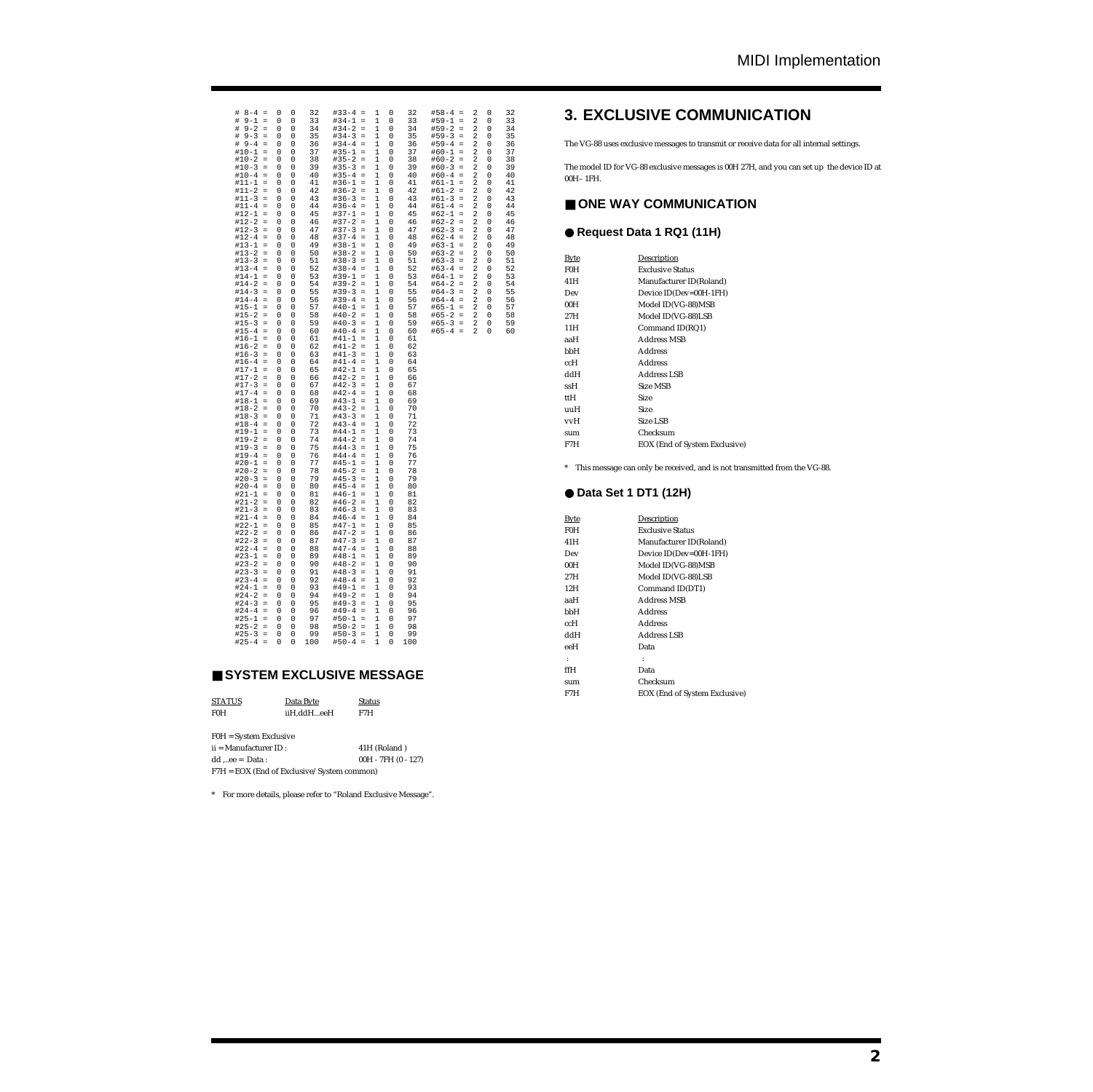| $8 - 4 =$<br>#<br>#<br>$9 - 1$<br>$=$<br>$9 - 2 =$<br>#<br>$# 9-3$<br>$\equiv$<br>$# 9-4$<br>$\equiv$<br>$\equiv$<br>$#10-1$<br>$#10-2$<br>$\equiv$<br>$#10-3 =$<br>$#10-4 =$<br>$#11 - 1 =$<br>$#11-2 =$<br>$#11-3 =$<br>$#11 - 4 =$<br>$#12 - 1 =$<br>$#12-2 =$<br>#12-3<br>$\equiv$<br>$#12-4 =$<br>$#13 - 1 =$<br>$#13-2 =$<br>$#13-3 =$<br>$#13-4 =$<br>$#14-1 =$<br>$#14-2 =$<br>$#14-3 =$<br>$#14-4 =$<br>#15-1<br>$\equiv$<br>$#15-2$<br>$\,$ $\,$ $\,$<br>$#15-3 =$<br>$#15 - 4 =$<br>$#16-1 =$<br>$#16-2 =$<br>$#16-3 =$<br>$#16-4 =$<br>$#17-1 =$<br>$#17-2 =$<br>$#17-3 =$<br>$#17-4 =$<br>$#18-1 =$<br>$#18-2 =$<br>$#18-3 =$<br>$#18-4 =$<br>$#19-1 =$<br>$#19-2 =$<br>$#19-3 =$<br>$#19-4 =$<br>$#20-1 =$<br>$#20-2 =$<br>$#20-3 =$<br>$#20-4 =$<br>$#21 - 1 =$<br>$#21-2 =$<br>$#21-3 =$<br>$#21-4 =$<br>$#22 - 1 =$<br>$#22-2 =$<br>$#22-3 =$<br>$#22-4 =$<br>$#23-1 =$<br>$#23-2 =$<br>$#23-3 =$<br>$#23-4 =$<br>$#24-1 =$<br>$#24-2 =$<br>$#24-3$<br>$\equiv$<br>$#24-4 =$<br>$#25 - 1 =$<br>$#25-2 =$<br>$#25-3 =$<br>$#25 - 4 =$ | 0<br>0<br>33<br>34<br>0<br>0<br>35<br>0<br>0<br>36<br>0<br>0<br>37<br>0<br>0<br>38<br>0<br>0<br>39<br>0<br>0<br>$\mathsf 0$<br>40<br>0<br>0<br>41<br>0<br>0<br>42<br>0<br>0<br>0<br>43<br>$\mathsf 0$<br>44<br>0<br>$\circ$<br>$\mathsf 0$<br>45<br>46<br>0<br>0<br>47<br>0<br>0<br>0<br>$\mathbf 0$<br>48<br>49<br>$\mathbf{0}$<br>$\circ$<br>50<br>0<br>0<br>0<br>0<br>51<br>52<br>0<br>0<br>0<br>$\circ$<br>53<br>54<br>0<br>$\circ$<br>0<br>55<br>0<br>56<br>0<br>0<br>57<br>0<br>0<br>0<br>$\circ$<br>58<br>59<br>0<br>$\circ$<br>0<br>60<br>0<br>0<br>0<br>61<br>62<br>0<br>0<br>0<br>0<br>63<br>64<br>0<br>0<br>0<br>65<br>0<br>0<br>0<br>66<br>67<br>0<br>0<br>0<br>$\circ$<br>68<br>0<br>0<br>69<br>70<br>0<br>0<br>71<br>0<br>0<br>72<br>0<br>0<br>0<br>73<br>$\circ$<br>74<br>0<br>0<br>75<br>0<br>0<br>76<br>0<br>0<br>77<br>0<br>0<br>$\circ$<br>78<br>0<br>79<br>0<br>0<br>0<br>0<br>80<br>0<br>0<br>81<br>0<br>0<br>82<br>$\mathsf 0$<br>83<br>0<br>0<br>0<br>84<br>85<br>0<br>0<br>0<br>86<br>0<br>0<br>0<br>87<br>88<br>0<br>0<br>0<br>0<br>89<br>0<br>0<br>90<br>91<br>0<br>0<br>0<br>0<br>92<br>93<br>0<br>0<br>0<br>94<br>0<br>95<br>0<br>0<br>96<br>0<br>0<br>97<br>0<br>$\mathbf 0$<br>$\mathsf 0$<br>98<br>0<br>$\circ$<br>0<br>99<br>100<br>0<br>0 | $\mathbf 0$<br>0<br>0<br>0<br>0<br>0<br>0<br>$\mathsf{O}\xspace$<br>0<br>0<br>0<br>0<br>$\mathsf{O}\xspace$<br>0<br>0<br>$^{\circ}$<br>0<br>$\mathsf 0$<br>0<br>0<br>0<br>0<br>0<br>0<br>0<br>0<br>0<br>$\mathsf{O}\xspace$<br>0<br>0<br>0<br>$\mathbf 0$<br>$\mathbf 0$<br>0<br>0<br>$^{\circ}$<br>$^{\circ}$<br>$^{\circ}$<br>0<br>0<br>0<br>0<br>0<br>0<br>0<br>0<br>0<br>$^{\circ}$<br>0<br>0<br>$\mathbf 0$<br>$\mathbf 0$<br>0<br>$\mathbf 0$<br>0<br>$^{\circ}$<br>$^{\circ}$<br>0<br>0<br>0<br>0<br>0<br>0<br>0<br>$\mathbf 0$<br>0<br>$\mathbf 0$<br>0 | 33<br>34<br>35<br>36<br>37<br>38<br>39<br>40<br>41<br>42<br>43<br>44<br>45<br>46<br>47<br>48<br>49<br>50<br>51<br>52<br>53<br>54<br>55<br>56<br>57<br>58<br>59<br>60<br>61<br>62<br>63<br>64<br>65<br>66<br>67<br>68<br>69<br>70<br>71<br>72<br>73<br>74<br>75<br>76<br>77<br>78<br>79<br>80<br>81<br>82<br>83<br>84<br>85<br>86<br>87<br>88<br>89<br>90<br>91<br>92<br>93<br>94<br>95<br>96<br>97<br>98<br>99                                                      | $#59-1$<br>$\equiv$<br>$#59-2 =$<br>$#59-3 =$<br>$#59-4 =$<br>$\equiv$<br>#60-1<br>$#60-2 =$<br>$#60-3 =$<br>$#60-4 =$<br>$#61-1 =$<br>$#61-2 =$<br>$#61-3 =$<br>$#61-4 =$<br>$#62-1 =$<br>$#62-2 =$<br>#62-3<br>$\equiv$<br>$#62-4 =$<br>$#63-1 =$<br>$#63-2 =$<br>$#63-3 =$<br>$#63-4 =$<br>$#64-1 =$<br>$#64-2 =$<br>$#64-3 =$<br>$#64-4 =$<br>$#65 - 1 =$<br>$#65-2 =$<br>$#65-3 =$<br>$#65 - 4 =$ | $\overline{2}$<br>2<br>$\boldsymbol{2}$<br>2<br>2<br>$\overline{a}$<br>$\overline{\mathbf{c}}$<br>2<br>2<br>2<br>$\overline{a}$<br>$\overline{\mathbf{c}}$<br>2<br>2<br>2<br>$\overline{\mathbf{c}}$<br>$\overline{\mathbf{c}}$<br>$\sqrt{2}$<br>$\boldsymbol{2}$<br>$\overline{\mathbf{c}}$<br>$\overline{\mathbf{c}}$<br>$\overline{\mathbf{c}}$<br>$\boldsymbol{2}$<br>$\boldsymbol{2}$<br>2<br>$\overline{\mathbf{c}}$<br>$\overline{a}$<br>2 | 0<br>0<br>0<br>0<br>0<br>0<br>0<br>0<br>0<br>0<br>0<br>0<br>0<br>0<br>0<br>0<br>0<br>0<br>0<br>0<br>0<br>0<br>0<br>0<br>0<br>0<br>0<br>0 | 32<br>33<br>34<br>35<br>36<br>37<br>38<br>39<br>40<br>41<br>42<br>43<br>44<br>45<br>46<br>47<br>48<br>49<br>50<br>51<br>52<br>53<br>54<br>55<br>56<br>57<br>58<br>59<br>60 |
|-------------------------------------------------------------------------------------------------------------------------------------------------------------------------------------------------------------------------------------------------------------------------------------------------------------------------------------------------------------------------------------------------------------------------------------------------------------------------------------------------------------------------------------------------------------------------------------------------------------------------------------------------------------------------------------------------------------------------------------------------------------------------------------------------------------------------------------------------------------------------------------------------------------------------------------------------------------------------------------------------------------------------------------------------------|----------------------------------------------------------------------------------------------------------------------------------------------------------------------------------------------------------------------------------------------------------------------------------------------------------------------------------------------------------------------------------------------------------------------------------------------------------------------------------------------------------------------------------------------------------------------------------------------------------------------------------------------------------------------------------------------------------------------------------------------------------------------------------------------------------------------------------------------------------------------------------------------------------------------------------------------------------------------------------------------------------------------------------------------------------------------------------------------------------------------------------------------------------------------------------------------------------------------------------------------------------------------------|-----------------------------------------------------------------------------------------------------------------------------------------------------------------------------------------------------------------------------------------------------------------------------------------------------------------------------------------------------------------------------------------------------------------------------------------------------------------------------------------------------------------------------------------------------------------|---------------------------------------------------------------------------------------------------------------------------------------------------------------------------------------------------------------------------------------------------------------------------------------------------------------------------------------------------------------------------------------------------------------------------------------------------------------------|--------------------------------------------------------------------------------------------------------------------------------------------------------------------------------------------------------------------------------------------------------------------------------------------------------------------------------------------------------------------------------------------------------|---------------------------------------------------------------------------------------------------------------------------------------------------------------------------------------------------------------------------------------------------------------------------------------------------------------------------------------------------------------------------------------------------------------------------------------------------|------------------------------------------------------------------------------------------------------------------------------------------|----------------------------------------------------------------------------------------------------------------------------------------------------------------------------|
| 32<br>0<br>0                                                                                                                                                                                                                                                                                                                                                                                                                                                                                                                                                                                                                                                                                                                                                                                                                                                                                                                                                                                                                                          |                                                                                                                                                                                                                                                                                                                                                                                                                                                                                                                                                                                                                                                                                                                                                                                                                                                                                                                                                                                                                                                                                                                                                                                                                                                                            |                                                                                                                                                                                                                                                                                                                                                                                                                                                                                                                                                                 | 1<br>0<br>$\mathbf{1}$<br>1<br>1<br>1<br>1<br>$\mathbf{1}$<br>1<br>$\mathbf 1$<br>1<br>1<br>$\mathbf{1}$<br>1<br>1<br>1<br>1<br>1<br>$\mathbf{1}$<br>$\,1$<br>1<br>1<br>1<br>1<br>$\,1$<br>1<br>1<br>1<br>1<br>$\mathbf{1}$<br>1<br>1<br>1<br>1<br>1<br>1<br>1<br>1<br>1<br>1<br>1<br>1<br>1<br>1<br>$\mathbf{1}$<br>1<br>1<br>1<br>1<br>1<br>1<br>1<br>1<br>1<br>1<br>1<br>1<br>1<br>1<br>1<br>1<br>1<br>1<br>1<br>1<br>1<br>$\mathbf{1}$<br>1<br>$\mathbf 1$<br>1 | 32<br>100                                                                                                                                                                                                                                                                                                                                                                                              | $#58 - 4 =$                                                                                                                                                                                                                                                                                                                                                                                                                                       | 2                                                                                                                                        | 0                                                                                                                                                                          |

# ■ **SYSTEM EXCLUSIVE MESSAGE**

| <b>STATUS</b><br><b>F0H</b>                          | Data Byte<br>iiH,ddHeeH | <b>Status</b><br>F7H  |
|------------------------------------------------------|-------------------------|-----------------------|
| $FOH = System$ Exclusive<br>$ii =$ Manufacturer ID : |                         | 41H (Roland)          |
| $dd$ ee = $Data:$                                    |                         | $00H - 7FH (0 - 127)$ |

F7H = EOX (End of Exclusive/System common)

\* For more details, please refer to "Roland Exclusive Message".

# **3. EXCLUSIVE COMMUNICATION**

The VG-88 uses exclusive messages to transmit or receive data for all internal settings.

The model ID for VG-88 exclusive messages is 00H 27H, and you can set up the device ID at 00H– 1FH.

# ■ ONE WAY COMMUNICATION

# ● **Request Data 1 RQ1 (11H)**

| Byte             | Description                          |
|------------------|--------------------------------------|
| F <sub>0</sub> H | <b>Exclusive Status</b>              |
| 41H              | Manufacturer ID(Roland)              |
| Dev              | Device ID(Dev=00H-1FH)               |
| 00H              | Model ID(VG-88)MSB                   |
| 27H              | Model ID(VG-88)LSB                   |
| 11H              | Command ID(RQ1)                      |
| aaH              | <b>Address MSB</b>                   |
| bbH              | <b>Address</b>                       |
| ccH              | <b>Address</b>                       |
| Hbb              | Address LSB                          |
| ssH              | Size MSB                             |
| ttH              | Size                                 |
| uuH              | <b>Size</b>                          |
| vvH              | <b>Size LSB</b>                      |
| sum              | Checksum                             |
| F7H              | <b>EOX</b> (End of System Exclusive) |
|                  |                                      |

\* This message can only be received, and is not transmitted from the VG-88.

# ● **Data Set 1 DT1 (12H)**

| <b>Byte</b>      | <b>Description</b>            |
|------------------|-------------------------------|
| F <sub>0</sub> H | <b>Exclusive Status</b>       |
| 41H              | Manufacturer ID(Roland)       |
| Dev              | Device ID(Dev=00H-1FH)        |
| 00H              | Model ID(VG-88)MSB            |
| 27H              | Model ID(VG-88)LSB            |
| 12H              | Command ID(DT1)               |
| aaH              | <b>Address MSB</b>            |
| bbH              | <b>Address</b>                |
| ccH              | <b>Address</b>                |
| Hbb              | Address LSB                   |
| eeH              | Data                          |
| $\cdot$ :        | ÷                             |
| ffH              | Data                          |
| sum              | Checksum                      |
| F7H              | EOX (End of System Exclusive) |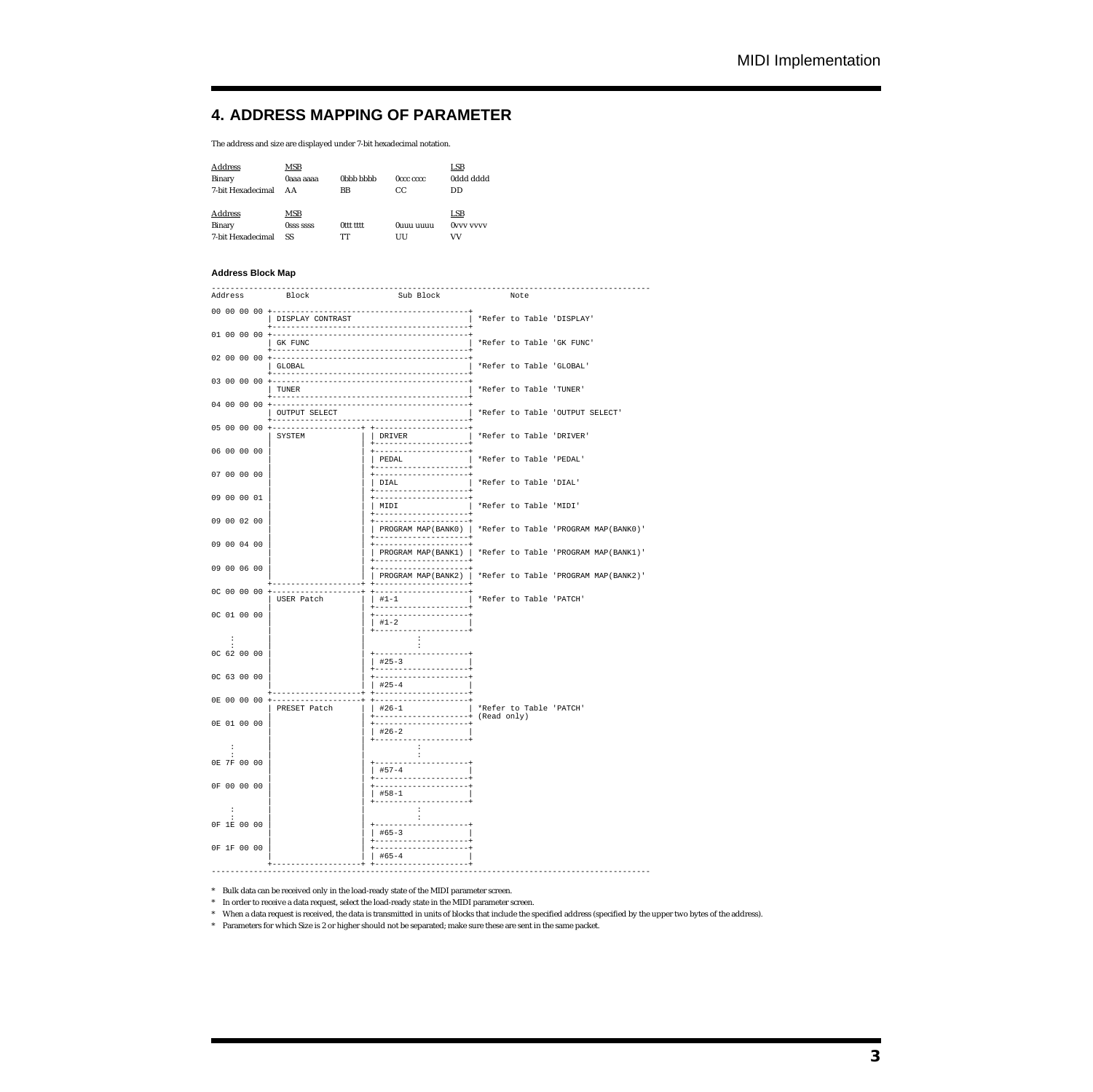# **4. ADDRESS MAPPING OF PARAMETER**

The address and size are displayed under 7-bit hexadecimal notation.

| <b>Address</b><br>Binary<br>7-bit Hexadecimal | <b>MSB</b><br>0aaa aaaa<br>AΑ        | 0 <sub>b</sub> h <sub>b</sub> h <sub>b</sub> h <sub>b</sub><br>BB | Occc cccc<br>CC | LSB<br><b>0ddd dddd</b><br>DD |
|-----------------------------------------------|--------------------------------------|-------------------------------------------------------------------|-----------------|-------------------------------|
| <b>Address</b><br>Binary<br>7-bit Hexadecimal | <b>MSB</b><br><b>OSSS SSSS</b><br>SS | Ottt tttt<br>TT                                                   | Ouuu uuuu<br>UU | LSB<br><b>OVVV VVVV</b><br>VV |

#### **Address Block Map**

| Address              | -----------------<br>Block  | Sub Block                                                      | Note                            | -----------------                                         |
|----------------------|-----------------------------|----------------------------------------------------------------|---------------------------------|-----------------------------------------------------------|
|                      | DISPLAY CONTRAST            |                                                                | *Refer to Table 'DISPLAY'       |                                                           |
|                      | GK FUNC                     | -------------------------------------                          | *Refer to Table 'GK FUNC'       |                                                           |
|                      | GLOBAL                      |                                                                | *Refer to Table 'GLOBAL'        |                                                           |
|                      | TUNER                       |                                                                | *Refer to Table 'TUNER'         |                                                           |
|                      | OUTPUT SELECT               |                                                                | *Refer to Table 'OUTPUT SELECT' |                                                           |
| 05 00 00 00          | SYSTEM                      | DRIVER                                                         | *Refer to Table 'DRIVER'        |                                                           |
| 06 00 00 00          |                             | I PEDAL                                                        | *Refer to Table 'PEDAL'         |                                                           |
| 07 00 00 00          |                             | DIAL                                                           | *Refer to Table 'DIAL'          |                                                           |
| 09 00 00 01          |                             | MIDI                                                           | *Refer to Table 'MIDI'          |                                                           |
| 09 00 02 00          |                             |                                                                |                                 | PROGRAM MAP(BANK0)   *Refer to Table 'PROGRAM MAP(BANK0)' |
| 09 00 04 00          |                             |                                                                |                                 | PROGRAM MAP(BANK1)   *Refer to Table 'PROGRAM MAP(BANK1)' |
| 09 00 06 00          |                             | PROGRAM MAP(BANK2)   *Refer to Table 'PROGRAM MAP(BANK2)'      |                                 |                                                           |
| 0C 00 00 00          | USER Patch                  | ----------------<br>$   #1 - 1$                                | *Refer to Table 'PATCH'         |                                                           |
| OC 01 00 00          |                             | $+1-2$                                                         |                                 |                                                           |
| $\mathbf{r}$         |                             | -------<br>$\cdot$<br>$\cdot$                                  |                                 |                                                           |
| OC 62 00 00          |                             | $#25-3$                                                        |                                 |                                                           |
| OC 63 00 00          |                             | ---------------+<br>--------------------<br>$+25-4$            |                                 |                                                           |
| 0E 00 00 00          | ----------+<br>PRESET Patch | --------------+<br>$+26-1$                                     | *Refer to Table 'PATCH'         |                                                           |
| 0E 01 00 00          |                             | ---------------+ (Read only)<br>-------------------<br>$+26-2$ |                                 |                                                           |
| $\ddot{\phantom{a}}$ |                             | ----------------<br>$\cdot$ :                                  |                                 |                                                           |
| 0E 7F 00 00          |                             | $\ddot{\phantom{a}}$                                           |                                 |                                                           |
| 0F 00 00 00          |                             | $#58-1$                                                        |                                 |                                                           |
| $\mathbf{r}$         |                             | .<br>$\cdot$ :<br>$\cdot$                                      |                                 |                                                           |
| OF 1E 00 00          |                             | $#65-3$                                                        |                                 |                                                           |
| OF 1F 00 00          |                             | $#65 - 4$                                                      |                                 |                                                           |

| | | #65-4 | +-------------------+ +--------------------+ ----------------------------------------------------------------------------------------------

\* Bulk data can be received only in the load-ready state of the MIDI parameter screen.

\* In order to receive a data request, select the load-ready state in the MIDI parameter screen.

\* When a data request is received, the data is transmitted in units of blocks that include the specified address (specified by the upper two bytes of the address).

\* Parameters for which Size is 2 or higher should not be separated; make sure these are sent in the same packet.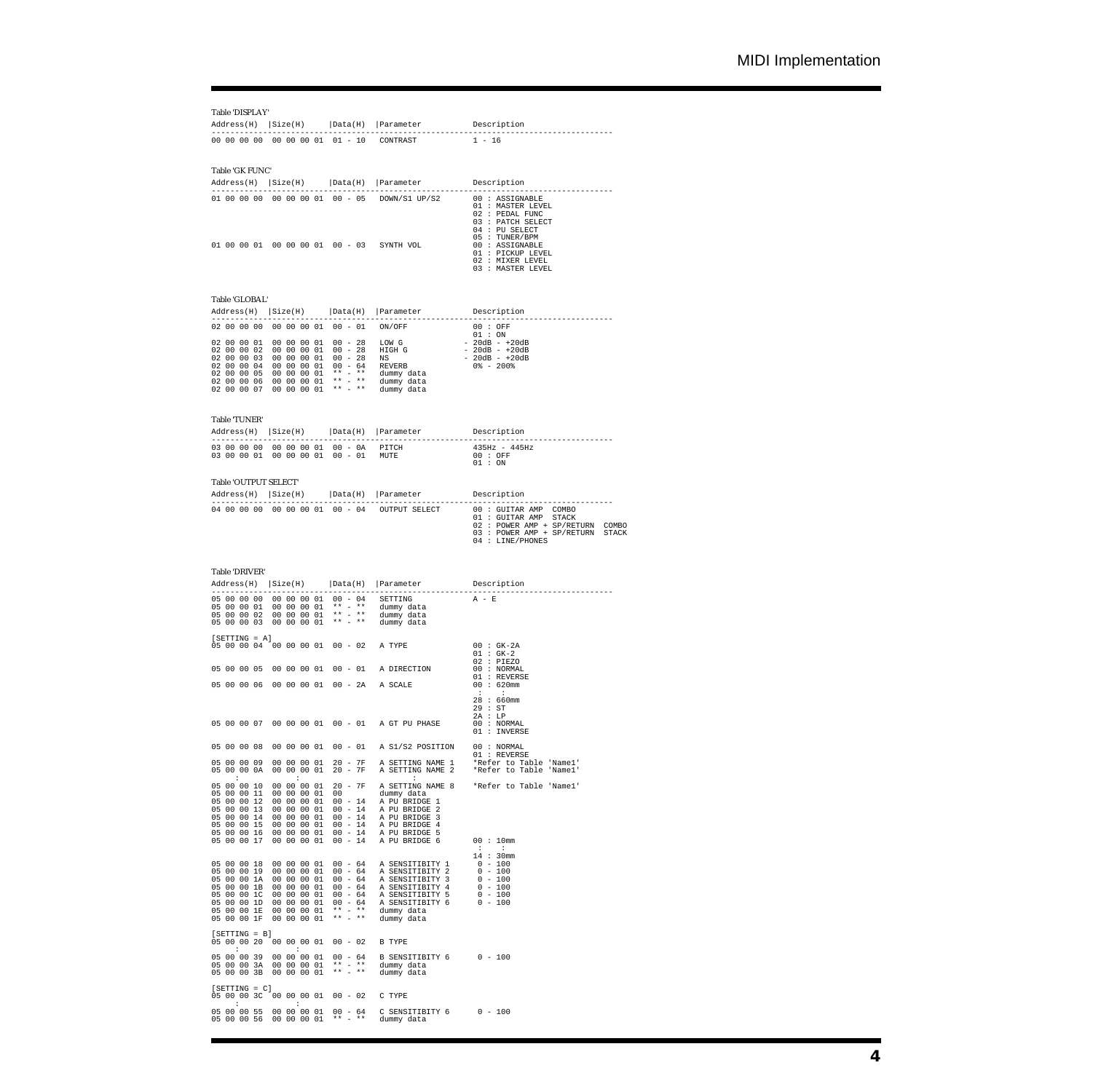# Table 'DISPLAY'

|                                        |                            |                                                                                    | Address(H)  Size(H)  Data(H)  Parameter Description                                                                                                                                                                                                                                                                                                                                                  |                                                                                                 |
|----------------------------------------|----------------------------|------------------------------------------------------------------------------------|------------------------------------------------------------------------------------------------------------------------------------------------------------------------------------------------------------------------------------------------------------------------------------------------------------------------------------------------------------------------------------------------------|-------------------------------------------------------------------------------------------------|
|                                        |                            |                                                                                    | 00 00 00 00 00 00 00 01 01 - 10 CONTRAST 1 - 16                                                                                                                                                                                                                                                                                                                                                      |                                                                                                 |
|                                        |                            |                                                                                    |                                                                                                                                                                                                                                                                                                                                                                                                      |                                                                                                 |
| Table 'GK FUNC'                        |                            |                                                                                    |                                                                                                                                                                                                                                                                                                                                                                                                      |                                                                                                 |
|                                        |                            |                                                                                    | Address(H)   Size(H)   Data(H)   Parameter Description                                                                                                                                                                                                                                                                                                                                               |                                                                                                 |
|                                        |                            |                                                                                    |                                                                                                                                                                                                                                                                                                                                                                                                      | 02 : PEDAL FUNC<br>03 : PATCH SELECT<br>04 : PU SELECT                                          |
|                                        |                            |                                                                                    | 01 00 00 01 00 00 00 01 00 - 03 SYNTH VOL                                                                                                                                                                                                                                                                                                                                                            | 05 : TUNER/BPM<br>00 : ASSIGNABLE<br>01 : PICKUP LEVEL<br>02 : MIXER LEVEL<br>03 : MASTER LEVEL |
| Table 'GLOBAL'                         |                            |                                                                                    |                                                                                                                                                                                                                                                                                                                                                                                                      |                                                                                                 |
| -----------                            |                            |                                                                                    | Address(H)   Size(H)   Data(H)   Parameter Description                                                                                                                                                                                                                                                                                                                                               |                                                                                                 |
|                                        |                            |                                                                                    |                                                                                                                                                                                                                                                                                                                                                                                                      | 01 : ON                                                                                         |
|                                        |                            |                                                                                    | $\begin{array}{cccccc} 02&00&00&01&00&00&00&01&00&-28&\text{LOW G}& & & & & 01&:\text{ON}\\ 02&00&00&02&00&00&00&01&00&-28&\text{HIGH G}& & & & & -20\text{dB} &+20\text{dB}\\ 02&00&00&03&00&00&00&01&00&-28&\text{NS} & & & & & -20\text{dB} &+20\text{dB}\\ 02&00&00&03&00&00&00&01&00&-64&\text{REVERB}& & &$                                                                                    |                                                                                                 |
|                                        |                            |                                                                                    |                                                                                                                                                                                                                                                                                                                                                                                                      |                                                                                                 |
|                                        |                            |                                                                                    |                                                                                                                                                                                                                                                                                                                                                                                                      |                                                                                                 |
|                                        |                            |                                                                                    |                                                                                                                                                                                                                                                                                                                                                                                                      |                                                                                                 |
|                                        |                            |                                                                                    |                                                                                                                                                                                                                                                                                                                                                                                                      |                                                                                                 |
| Table 'TUNER'                          |                            |                                                                                    |                                                                                                                                                                                                                                                                                                                                                                                                      |                                                                                                 |
|                                        |                            |                                                                                    | Address(H)   Size(H)   Data(H)   Parameter Description                                                                                                                                                                                                                                                                                                                                               |                                                                                                 |
|                                        |                            |                                                                                    | $\begin{array}{ccccccccc} \text{C1} & \text{C1} & \text{C1} & \text{C1} & \text{C1} & \text{C1} & \text{C1} & \text{C1} & \text{C1} & \text{C1} & \text{C1} & \text{C1} & \text{C1} & \text{C1} & \text{C1} & \text{C1} & \text{C1} & \text{C1} & \text{C1} & \text{C1} & \text{C1} & \text{C1} & \text{C1} & \text{C1} & \text{C1} & \text{C1} & \text{C1} & \text{C1} & \text{C1} & \text{C1} & \$ |                                                                                                 |
|                                        |                            |                                                                                    |                                                                                                                                                                                                                                                                                                                                                                                                      | 01:ON                                                                                           |
| Table 'OUTPUT SELECT'                  |                            |                                                                                    |                                                                                                                                                                                                                                                                                                                                                                                                      |                                                                                                 |
|                                        |                            |                                                                                    | $Address(H)$ $ Size(H)$ $  Data(H)$ $  Parameter$ Description                                                                                                                                                                                                                                                                                                                                        |                                                                                                 |
|                                        |                            |                                                                                    |                                                                                                                                                                                                                                                                                                                                                                                                      |                                                                                                 |
|                                        |                            |                                                                                    |                                                                                                                                                                                                                                                                                                                                                                                                      | 02 : POWER AMP + SP/RETURN COMBO<br>03 : POWER AMP + SP/RETURN STACK<br>04 : LINE/PHONES        |
| Table 'DRIVER'                         |                            |                                                                                    |                                                                                                                                                                                                                                                                                                                                                                                                      |                                                                                                 |
|                                        |                            |                                                                                    | Address(H)   Size(H)   Data(H)   Parameter Description                                                                                                                                                                                                                                                                                                                                               |                                                                                                 |
|                                        |                            |                                                                                    |                                                                                                                                                                                                                                                                                                                                                                                                      | $A - E$                                                                                         |
|                                        |                            |                                                                                    | 05 00 00 00 00 00 00 01 00 - 04 SETTING<br>05 00 00 01 00 00 00 01 ** - ** dummy data<br>05 00 00 03 00 00 00 01 ** - ** dummy data<br>05 00 00 03 00 00 00 01 ** - ** dummy data                                                                                                                                                                                                                    |                                                                                                 |
|                                        |                            |                                                                                    |                                                                                                                                                                                                                                                                                                                                                                                                      |                                                                                                 |
| $[SETTING = A]$                        |                            |                                                                                    | 05 00 00 04 00 00 00 01 00 - 02 A TYPE                                                                                                                                                                                                                                                                                                                                                               |                                                                                                 |
|                                        |                            |                                                                                    |                                                                                                                                                                                                                                                                                                                                                                                                      | $\begin{array}{ccc} 00 & : & \text{GK-2A} \\ 01 & : & \text{GK-2} \end{array}$                  |
|                                        |                            |                                                                                    | 05 00 00 05 00 00 00 01 00 - 01 A DIRECTION $\overline{00}$ : NORMAL 01 06 20 01 00 01 01 01 01 2 REVERSE                                                                                                                                                                                                                                                                                            |                                                                                                 |
|                                        |                            |                                                                                    | 05 00 00 06 00 00 00 01 00 - 2A A SCALE                                                                                                                                                                                                                                                                                                                                                              | $00 : 620$ mm                                                                                   |
|                                        |                            |                                                                                    |                                                                                                                                                                                                                                                                                                                                                                                                      | <b>Contract Contract</b><br>$\sim$ 1.1<br>28 : 660mm<br>29 : ST<br>2A : LP                      |
|                                        |                            |                                                                                    | 05 00 00 07 00 00 00 01 00 - 01 A GT PU PHASE                                                                                                                                                                                                                                                                                                                                                        | 00 : NORMAL<br>01 : INVERSE                                                                     |
| 05 00 00 08                            | 00 00 00 01                | $00 - 01$                                                                          | A S1/S2 POSITION                                                                                                                                                                                                                                                                                                                                                                                     | 00 : NORMAL                                                                                     |
| 05 00 00 09                            | 00 00 00 01                | $20 - 7F$                                                                          |                                                                                                                                                                                                                                                                                                                                                                                                      | 01 : REVERSE                                                                                    |
| 05 00 00 0A<br>$\sim$ 1.               | 00 00 00 01<br>$\sim$ 1.   | $20 - 7F$                                                                          | $\sim$ 1.                                                                                                                                                                                                                                                                                                                                                                                            | A SETTING NAME 1 *Refer to Table 'Namel'<br>A SETTING NAME 2 *Refer to Table 'Namel'            |
| 05 00 00 10<br>05 00 00 11             | 00 00 00 01<br>00 00 00 01 | $20 - 7F$<br>00                                                                    |                                                                                                                                                                                                                                                                                                                                                                                                      | A SETTING NAME 8 *Refer to Table 'Namel'                                                        |
| 05 00 00 12                            | 00 00 00 01                | $00 - 14$                                                                          | dummy data<br>A PU BRIDGE 1                                                                                                                                                                                                                                                                                                                                                                          |                                                                                                 |
| 05 00 00 13<br>05 00 00 14             | 00 00 00 01<br>00 00 00 01 | $00 - 14$<br>$00 - 14$                                                             | A PU BRIDGE 2<br>A PU BRIDGE 3                                                                                                                                                                                                                                                                                                                                                                       |                                                                                                 |
| 05 00 00 15<br>05 00 00 16             | 00 00 00 01<br>00 00 00 01 | $00 - 14$<br>$00 - 14$                                                             | A PU BRIDGE 4<br>A PU BRIDGE 5                                                                                                                                                                                                                                                                                                                                                                       |                                                                                                 |
| 05 00 00 17                            | 00 00 00 01                | $00 - 14$                                                                          | A PU BRIDGE 6                                                                                                                                                                                                                                                                                                                                                                                        | 00 : 10mm<br>$\sim$ 100 $\sim$<br>$\sim$ 1.                                                     |
| 05 00 00 18                            | 00 00 00 01                | $00 - 64$                                                                          | A SENSITIBITY 1                                                                                                                                                                                                                                                                                                                                                                                      | 14 : 30mm<br>$0 - 100$                                                                          |
| 05 00 00 19                            | 00 00 00 01                | $00 - 64$                                                                          | A SENSITIBITY 2                                                                                                                                                                                                                                                                                                                                                                                      | $0 - 100$                                                                                       |
| 05 00 00 1A<br>05 00 00 1B             | 00 00 00 01<br>00 00 00 01 | $00 - 64$<br>$00 - 64$                                                             | A SENSITIBITY 3<br>A SENSITIBITY 4                                                                                                                                                                                                                                                                                                                                                                   | $0 - 100$<br>$0 - 100$                                                                          |
| 05 00 00 1C<br>05 00 00 1D             | 00 00 00 01<br>00 00 00 01 | $00 - 64$<br>$00 - 64$                                                             | A SENSITIBITY 5<br>A SENSITIBITY 6 0 - 100                                                                                                                                                                                                                                                                                                                                                           | $0 - 100$                                                                                       |
| 05 00 00 1E<br>05 00 00 1F             | 00 00 00 01<br>00 00 00 01 | $\star\star\quad=\quad\star\star\quad$<br>$\star \star \quad = \quad \star \star$  | dummy data<br>dummy data                                                                                                                                                                                                                                                                                                                                                                             |                                                                                                 |
| $[SETTING = B]$                        |                            |                                                                                    |                                                                                                                                                                                                                                                                                                                                                                                                      |                                                                                                 |
| 05 00 00 20 00 00 00 01<br>$\sim 100$  | $\sim$ 10                  | $00 - 02$                                                                          | <b>B</b> TYPE                                                                                                                                                                                                                                                                                                                                                                                        |                                                                                                 |
| 05 00 00 39                            | 00 00 00 01                | $00 - 64$                                                                          | B SENSITIBITY 6                                                                                                                                                                                                                                                                                                                                                                                      | $0 - 100$                                                                                       |
| 05 00 00 3A<br>05 00 00 3B             | 00 00 00 01<br>00 00 00 01 | $\star \star \quad = \quad \star \star$<br>$\star \star \quad = \quad \star \star$ | dummy data<br>dummy data                                                                                                                                                                                                                                                                                                                                                                             |                                                                                                 |
| $[SETTING = C]$                        |                            |                                                                                    |                                                                                                                                                                                                                                                                                                                                                                                                      |                                                                                                 |
| 05 00 00 3C 00 00 00 01<br>$\cdot$ :   | $\cdot$ :                  | $00 - 02$                                                                          | C TYPE                                                                                                                                                                                                                                                                                                                                                                                               |                                                                                                 |
| 05 00 00 55<br>05 00 00 56 00 00 00 01 | 00 00 00 01                | $00 - 64$<br>$\star \star \quad = \quad \star \star$                               | C SENSITIBITY 6 0 - 100<br>dummy data                                                                                                                                                                                                                                                                                                                                                                |                                                                                                 |
|                                        |                            |                                                                                    |                                                                                                                                                                                                                                                                                                                                                                                                      |                                                                                                 |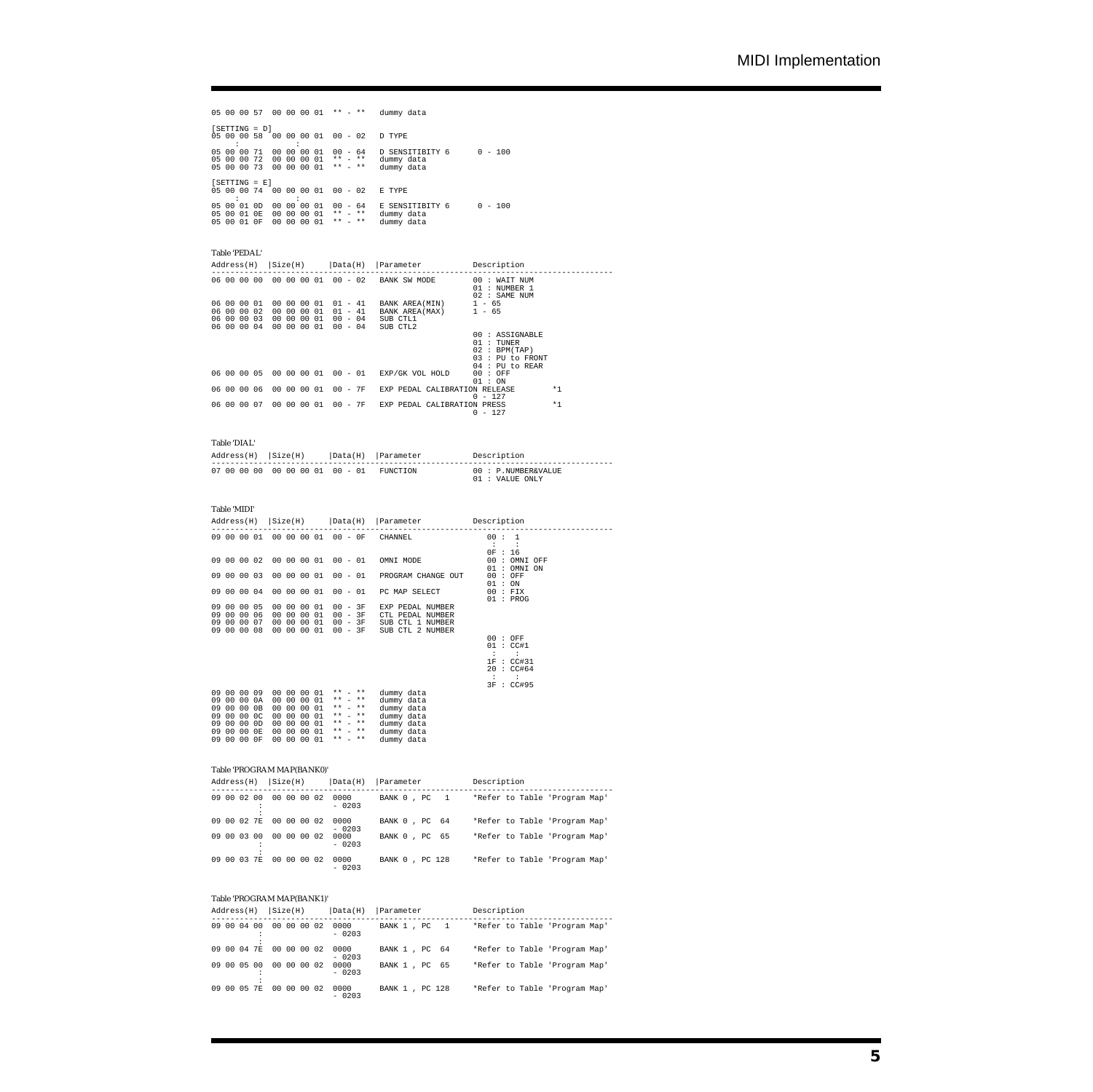|                                           |                 |          |                                           |             |          |                                                  | 05 00 00 57 00 00 00 01 ** - ** | dummy data                                          |           |  |
|-------------------------------------------|-----------------|----------|-------------------------------------------|-------------|----------|--------------------------------------------------|---------------------------------|-----------------------------------------------------|-----------|--|
| 05 00 00 58                               | $[SETTING = D]$ |          | 00 00 00 01<br>٠                          |             |          | $00 - 02$                                        |                                 | D TYPE                                              |           |  |
| 05 00 00 71<br>05 00 00 72<br>05 00 00 73 |                 |          | 00 00 00 01<br>00 00 00 01<br>00 00 00 01 |             |          | $***$ $***$                                      | $***$ $***$                     | 00 - 64 D SENSITIBITY 6<br>dummy data<br>dummy data | $0 - 100$ |  |
| 05 00 00 74                               | $[SETTING = E]$ |          | 00 00 00 01                               |             |          |                                                  | $00 - 02$                       | E TYPE                                              |           |  |
| 05 00 01 0D<br>05 00 01 0E<br>05 00 01 0F |                 | 00<br>00 | 00 00 00 01<br>00                         | 00 00<br>00 | 01<br>01 | $\star\star\quad=\quad\star\star$<br>$***$ $***$ |                                 | 00 - 64 E SENSITIBITY 6<br>dummy data<br>dummy data | $0 - 100$ |  |

# Table 'PEDAL'

| Address(H)  | Size(H)<br>$ \texttt{Data}(H) $    | Parameter Description                      |                                                                                         |
|-------------|------------------------------------|--------------------------------------------|-----------------------------------------------------------------------------------------|
|             | 06 00 00 00 00 00 00 01<br>00 - 02 | BANK SW MODE                               | $00:$ WAIT NUM<br>01: NUMBER 1<br>02 : SAME NUM                                         |
| 06 00 00 01 | 00 00 00 01<br>$01 - 41$           | BANK AREA(MIN) $1 - 65$                    |                                                                                         |
| 06 00 00 02 | 00 00 00 01<br>$01 - 41$           | BANK AREA(MAX) 1 - 65                      |                                                                                         |
| 06 00 00 03 | 00 00 00 01<br>$00 - 04$           | SUB CTL1                                   |                                                                                         |
| 06 00 00 04 | 00 00 00 01<br>$00 - 04$           | SUB CTL2                                   |                                                                                         |
|             |                                    |                                            | 00 : ASSIGNABLE<br>01 : TUNER<br>02 : BPM(TAP)<br>03 : PU to FRONT<br>$04$ : PU to REAR |
|             | 06 00 00 05 00 00 00 01            | 00 - 01<br>EXP/GK VOL HOLD                 | 00 : OFF<br>01 : ON                                                                     |
| 06 00 00 06 | 00 00 00 01                        | $00 - 7F$<br>EXP PEDAL CALIBRATION RELEASE | $*1$<br>$0 - 127$                                                                       |
| 06 00 00 07 | 00 00 00 01 00 - 7F                | EXP PEDAL CALIBRATION PRESS                | $*1$<br>$0 - 127$                                                                       |

#### Table 'DIAL'

| $Address(H)$ $Size(H)$ |                                 | Data(H) Parameter | Description                            |
|------------------------|---------------------------------|-------------------|----------------------------------------|
|                        | 07 00 00 00 00 00 00 01 00 - 01 | <b>FUNCTION</b>   | 00 : P.NUMBER&VALUE<br>01 : VALUE ONLY |

#### Table 'MIDI'

| Address(H)                                                                          |                |                                  | $ Size(H)$ $  Data(H)$ |  |                                                                                                    | Parameter Description |                                                                                                             |                                                                                                |                                                        |
|-------------------------------------------------------------------------------------|----------------|----------------------------------|------------------------|--|----------------------------------------------------------------------------------------------------|-----------------------|-------------------------------------------------------------------------------------------------------------|------------------------------------------------------------------------------------------------|--------------------------------------------------------|
| 09 00 00 01                                                                         |                |                                  |                        |  |                                                                                                    |                       | 00 00 00 01 00 - 0F                                                                                         | CHANNEL                                                                                        | 00:1                                                   |
| 09 00 00 02                                                                         |                |                                  |                        |  |                                                                                                    | 00 00 00 01           | $00 - 01$                                                                                                   | OMNI MODE                                                                                      | 0F : 16<br>00:<br>OMNI OFF<br>OMNI ON<br>01:           |
| 09 00 00 03                                                                         |                |                                  |                        |  | 00 00 00 01                                                                                        |                       | $00 - 01$                                                                                                   | PROGRAM CHANGE OUT                                                                             | $00:$ OFF<br>01 : ON                                   |
| 09 00 00 04                                                                         |                |                                  |                        |  |                                                                                                    | 00 00 00 01           | $00 - 01$                                                                                                   | PC MAP SELECT                                                                                  | $00$ : FIX<br>01 : PROG                                |
| 09 00 00 05<br>00<br>09<br>00<br>09<br>09 00 00 08                                  |                | 00 06<br>00 07                   |                        |  | 00 00 00 01<br>00 00 00 01<br>00 00 00 01<br>00 00 00 01                                           |                       | $00 - 3F$<br>$00 - 3F$<br>$00 - 3F$<br>$00 - 3F$                                                            | EXP PEDAL NUMBER<br>CTL PEDAL NUMBER<br>SUB CTL 1 NUMBER<br>SUB CTL 2 NUMBER                   | 00 : OFF                                               |
|                                                                                     |                |                                  |                        |  |                                                                                                    |                       |                                                                                                             |                                                                                                | 01 : CC#1<br>÷<br>1F : CCH31<br>20 : CC#64<br>$\sim$ 1 |
| 09<br>00<br>00<br>09<br>00<br>09<br>00<br>09<br>00<br>09<br>00<br>09<br>09 00 00 0F | 00 09<br>00 OE | 00 0A<br>00 0B<br>00 OC<br>00 OD | 00                     |  | 00 00 00 01<br>00 00 00 01<br>00 00 00 01<br>00 00 01<br>00 00 00 01<br>00 00 00 01<br>00 00 00 01 |                       | $*** = **$<br>$***$ $***$<br>$* *$<br>$***$ $-$<br>$***$ $***$<br>$***$ $***$<br>$***$ $***$<br>$***$ $***$ | dummy data<br>dummy data<br>dummy data<br>dummy data<br>dummy data<br>dummy data<br>dummy data | 3F : CC#95                                             |

## Table 'PROGRAM MAP(BANK0)'

|             |    | $Address(H)$ $ Size(H) $ |             | Data(H)  Parameter |                 |  |  | Description |  |                               |  |
|-------------|----|--------------------------|-------------|--------------------|-----------------|--|--|-------------|--|-------------------------------|--|
| 09 00 02 00 |    |                          | 00 00 00 02 | 0000<br>$-0203$    | BANK 0, PC 1    |  |  |             |  | *Refer to Table 'Program Map' |  |
| 09 00 02 7E |    |                          | 00 00 00 02 | 0000<br>$-0203$    | BANK 0, PC 64   |  |  |             |  | *Refer to Table 'Program Map' |  |
| 09 00 03 00 |    |                          | 00 00 00 02 | 0000<br>$-0203$    | BANK 0, PC 65   |  |  |             |  | *Refer to Table 'Program Map' |  |
| 09 00 03    | 7E |                          | 00 00 00 02 | 0000<br>$-0203$    | BANK 0 , PC 128 |  |  |             |  | *Refer to Table 'Program Map' |  |

#### Table 'PROGRAM MAP(BANK1)'

| $Address(H)$ $Size(H)$ |             | $ \texttt{Data}(H) $ | Parameter      | Description                   |
|------------------------|-------------|----------------------|----------------|-------------------------------|
| 09 00 04 00            | 00 00 00 02 | 0000<br>$-0203$      | BANK 1, PC 1   | *Refer to Table 'Program Map' |
| 09 00 04 7E            | 00 00 00 02 | 0000<br>$-0203$      | BANK 1, PC 64  | *Refer to Table 'Program Map' |
| 09 00 05 00            | 00 00 00 02 | 0000<br>$-0203$      | BANK 1, PC 65  | *Refer to Table 'Program Map' |
| 09 00 05 7E            | 00 00 00 02 | 0000<br>$-0203$      | BANK 1, PC 128 | *Refer to Table 'Program Map' |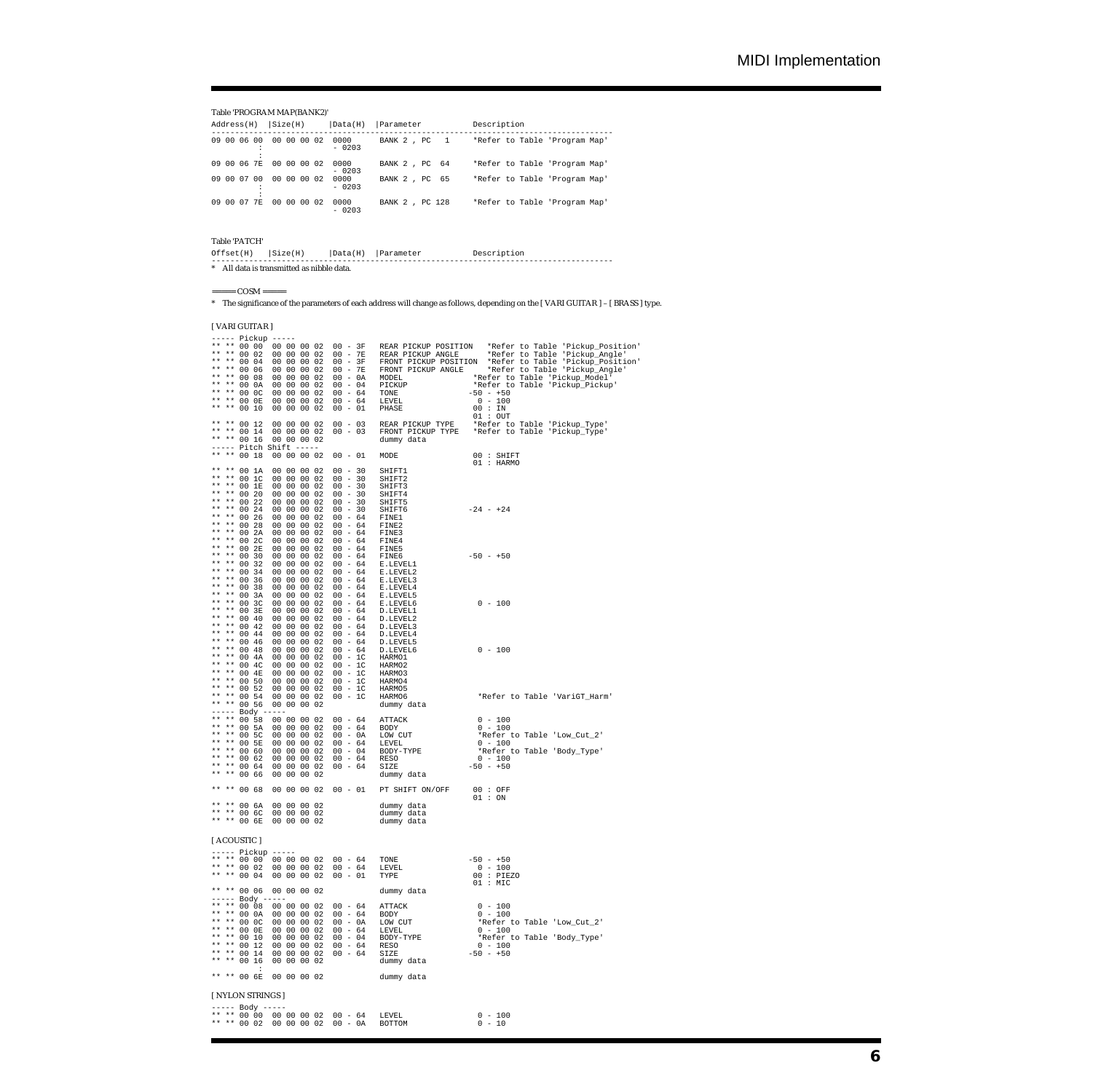Table 'PROGRAM MAP(BANK2)'

| Address(H)  | Size(H)     | Data(H)         | Parameter       | Description                   |
|-------------|-------------|-----------------|-----------------|-------------------------------|
| 09 00 06 00 | 00 00 00 02 | 0000<br>$-0203$ | BANK 2, PC 1    | *Refer to Table 'Program Map' |
| 09 00 06 7E | 00 00 00 02 | 0000<br>$-0203$ | BANK 2, PC 64   | *Refer to Table 'Program Map' |
| 09 00 07 00 | 00 00 00 02 | 0000<br>$-0203$ | BANK 2, PC 65   | *Refer to Table 'Program Map' |
| 09 00 07 7E | 00 00 00 02 | 0000<br>$-0203$ | BANK 2 , PC 128 | *Refer to Table 'Program Map' |

Table 'PATCH'

| $Offset(H)$ $ Size(H) $                   |  | Data(H) Parameter | Description |  |
|-------------------------------------------|--|-------------------|-------------|--|
| * All data is transmitted as nibble data. |  |                   |             |  |

 $\text{COSM} ==\text{COSM}$ 

\* The significance of the parameters of each address will change as follows, depending on the [ VARI GUITAR ] – [ BRASS ] type.

[ VARI GUITAR ]

| ----- Pickup -----<br>$***$<br>$\star\star$<br>00 08<br>$***$<br>$\star\star$<br>00 OA<br>$* *$<br>$\star\star$<br>00 OC<br>** ** 00 OE<br>$\star\star$<br>** 00 10                                                                                  | $00 - 0A$ MODEL<br>00 00 00 02<br>00 00 00 02<br>00 00 00 02<br>00 00 00 02<br>00 00 00 02<br>$00 - 01$                                                                                                                                                                                                                                                        | $00 - 04$ PICKUP<br>$00 - 64$ TONE<br>$00 - 64$ TONE<br>$00 - 64$ LEVEL<br>PHASE                                                                                        | *Refer to Table 'Pickup_Model'<br>*Refer to Table 'Pickup_Pickup'<br>$\begin{array}{cccc} -50 & - & +50 \\ 0 & - & 100 \end{array}$<br>00 : IN                                                                                                                                                                                                                |
|------------------------------------------------------------------------------------------------------------------------------------------------------------------------------------------------------------------------------------------------------|----------------------------------------------------------------------------------------------------------------------------------------------------------------------------------------------------------------------------------------------------------------------------------------------------------------------------------------------------------------|-------------------------------------------------------------------------------------------------------------------------------------------------------------------------|---------------------------------------------------------------------------------------------------------------------------------------------------------------------------------------------------------------------------------------------------------------------------------------------------------------------------------------------------------------|
| ** ** 00 12<br>** ** 00 14<br>** ** 00 16                                                                                                                                                                                                            | 00 00 00 02<br>00 00 00 02<br>00 00 00 02<br>----- Pitch Shift -----                                                                                                                                                                                                                                                                                           | dummy data                                                                                                                                                              | 01 : OUT<br>00 - 03 REAR PICKUP TYPE *Refer to Table 'Pickup_Type'<br>00 - 03 FRONT PICKUP TYPE *Refer to Table 'Pickup_Type'                                                                                                                                                                                                                                 |
| ** ** 00 18                                                                                                                                                                                                                                          | 00 00 00 02<br>$00 - 01$                                                                                                                                                                                                                                                                                                                                       | MODE                                                                                                                                                                    | 00 : SHIFT<br>01 : HARMO                                                                                                                                                                                                                                                                                                                                      |
| ** ** 00 1A<br>$\star\star$<br>** 00 1C<br>$\star\star$<br>** 00 1E<br>$* *$<br>$\star\star$<br>00 20<br>$* *$<br>$\star\star$<br>00 22<br>** 00 24<br>$\star\star$<br>** ** 00 26<br>** ** 00 28<br>** ** 00 2A<br>** **<br>00 2C<br>** **<br>00 2E | $00 - 30$<br>00 00 00 02<br>00 00 00 02<br>$00 - 30$<br>00 - 30 SHIFT3<br>00 00 00 02<br>00 - 30 SHIFT4<br>00 00 00 02<br>00 - 30 SHIFT5<br>00 00 00 02<br>00 - 30 SHIFT6<br>00 00 00 02<br>$00 - 64$ FINE1<br>00 00 00 02<br>$00 - 64$ FINE2<br>00 00 00 02<br>00 - 64 FINE3<br>00 00 00 02<br>00 - 64 FINE4<br>00 00 00 02<br>$00 - 64$ FINE5<br>00 00 00 02 | SHIFT1<br>SHIFT2<br>$-24 - +24$                                                                                                                                         |                                                                                                                                                                                                                                                                                                                                                               |
| ** **<br>00 30<br>** **<br>00 32<br>** **<br>00 34<br>** **<br>00 36<br>** **<br>00 38<br>** **<br>00 3A<br>** **<br>00 3C<br>** **                                                                                                                  | 00 00 00 02<br>00 00 00 02<br>00 00 00 02<br>00 00 00 02<br>00 00 00 02<br>00 00 00 02<br>00 00 00 02                                                                                                                                                                                                                                                          | $00 - 64$ FINE6<br>$-50 - +50$<br>$00 - 64$ E.LEVEL1<br>00 - 64 E.LEVEL2<br>00 - 64 E.LEVEL3<br>00 - 64 E.LEVEL4<br>00 - 64 E.LEVEL5<br>$0 - 100$<br>$00 - 64$ E.LEVEL6 |                                                                                                                                                                                                                                                                                                                                                               |
| 00 3E<br>** ** 00 40<br>** ** 00 42<br>** ** 00 44<br>** ** 00 46<br>** ** 00 48<br>** ** 00 4A<br>** ** 00 4C<br>** ** 00 4E<br>** ** 00 50<br>** ** 00 52<br>** ** 00 54<br>** ** 00 56                                                            | 00 00 00 02<br>00 00 00 02<br>00 00 00 02<br>00 00 00 02<br>00 00 00 02<br>00 00 00 02<br>$00 - 1C$ HARMO1<br>00 00 00 02<br>00 - 1C HARMO2<br>00 00 00 02<br>$00 - 10$<br>00 00 00 02<br>00 00 00 02<br>$00 - 10$<br>00 - 1C HARMO5<br>00 00 00 02<br>00 00 00 02<br>00 - 1C HARMO6<br>00 00 00 02                                                            | 00 - 64 D.LEVEL1<br>00 - 64 D.LEVEL2<br>00 - 64 D.LEVEL3<br>00 - 64 D.LEVEL4<br>00 - 64 D.LEVEL5<br>$0 - 100$<br>00 - 64 D.LEVEL6<br>HARMO3<br>HARMO4                   |                                                                                                                                                                                                                                                                                                                                                               |
| ----- Body -----<br>** ** 00 5A<br>** ** 00 5C<br>** ** 00 5E<br>** ** 00 60<br>** ** 00 62<br>** ** 00 64<br>** ** 00 66                                                                                                                            | ** ** 00 58 00 00 00 02<br>00 00 00 02<br>00 00 00 02<br>00 00 00 02<br>00 00 00 02<br>00 00 00 02<br>00 00 00 02<br>00 00 00 02                                                                                                                                                                                                                               | dummy data                                                                                                                                                              | $\begin{tabular}{lllllllllllll} 00&-64&\texttt{ATTACK} &0&-100 \\ 00&-64&\texttt{BODY} &0&-100 \\ 00&-0\textrm{A}&\texttt{LOW CUT}&*&\texttt{Refer to Table 'Low_Cut\_2'}\\ 00&-64&\texttt{LEVBL} &0&-100 \\ 00&-64&\texttt{RODY-TYPE}&*&\texttt{Refer to Table 'Body\_Type'}\\ 00&-64&\texttt{RESO}&0&-100 \\ 00&-64&\texttt{SIZE}&-50&-50 \\ \end{tabular}$ |
| ** ** 00 68                                                                                                                                                                                                                                          |                                                                                                                                                                                                                                                                                                                                                                | 00 00 00 02 00 - 01 PT SHIFT ON/OFF 00: OFF                                                                                                                             |                                                                                                                                                                                                                                                                                                                                                               |
| ** ** 00 6A<br>** **<br>00 6C<br>** ** 00 6E                                                                                                                                                                                                         | $\begin{array}{cccc} 00 & 00 & 00 & 02 \\ 00 & 00 & 00 & 02 \\ 00 & 00 & 00 & 02 \end{array}$                                                                                                                                                                                                                                                                  | dummy data<br>dummy data<br>dummy data                                                                                                                                  | 01 : ON                                                                                                                                                                                                                                                                                                                                                       |
| [ ACOUSTIC ]                                                                                                                                                                                                                                         |                                                                                                                                                                                                                                                                                                                                                                |                                                                                                                                                                         |                                                                                                                                                                                                                                                                                                                                                               |
| ----- Pickup -----<br>** ** 00 02<br>** ** 00 04                                                                                                                                                                                                     | ** ** 00 00 00 00 00 02 00 - 64                                                                                                                                                                                                                                                                                                                                |                                                                                                                                                                         | $-50 - +50$<br>$0 - 100$<br>00 : PIEZO                                                                                                                                                                                                                                                                                                                        |
|                                                                                                                                                                                                                                                      | ** ** 00 06 00 00 00 02                                                                                                                                                                                                                                                                                                                                        | dummy data                                                                                                                                                              | $01$ : MIC                                                                                                                                                                                                                                                                                                                                                    |
| ----- Body -----<br>** ** 00 0A<br>* *<br>** 00 0C<br>* *<br>$* *$<br>00 OE<br>* *<br>$* *$<br>00 10<br>* *<br>$* *$<br>00 12<br>$\star\star$<br>** 00 14<br>** 00 16                                                                                | ** ** 00 08 00 00 00 02 00 - 64 ATTACK<br>00 00 00 02 00 - 64 BODY<br>00 00 00 02<br>$00 - 0A$<br>00 00 00 02<br>$00 - 64$<br>00 00 00 02<br>$00 - 04$<br>00 00 00 02<br>$00 - 64$<br>00 00 00 02<br>$00 - 64$<br>00 00 00 02                                                                                                                                  | LOW CUT<br>LEVEL<br>BODY-TYPE<br>RESO<br>SIZE<br>dummy data                                                                                                             | $0 - 100$<br>$0 - 100$<br>*Refer to Table 'Low_Cut_2'<br>$0 - 100$<br>*Refer to Table 'Body_Type'<br>$0 - 100$<br>$-50 - +50$                                                                                                                                                                                                                                 |
| :<br>** 00 6E                                                                                                                                                                                                                                        | 00 00 00 02                                                                                                                                                                                                                                                                                                                                                    | dummy data                                                                                                                                                              |                                                                                                                                                                                                                                                                                                                                                               |
| [ NYLON STRINGS ]                                                                                                                                                                                                                                    |                                                                                                                                                                                                                                                                                                                                                                |                                                                                                                                                                         |                                                                                                                                                                                                                                                                                                                                                               |
| ----- Body -----                                                                                                                                                                                                                                     | ** ** 00 00 00 00 00 02 00 - 64<br>** ** 00 02 00 00 00 02<br>$00 - 0A$                                                                                                                                                                                                                                                                                        | LEVEL<br>BOTTOM                                                                                                                                                         | $0 - 100$<br>$0 - 10$                                                                                                                                                                                                                                                                                                                                         |
|                                                                                                                                                                                                                                                      |                                                                                                                                                                                                                                                                                                                                                                |                                                                                                                                                                         |                                                                                                                                                                                                                                                                                                                                                               |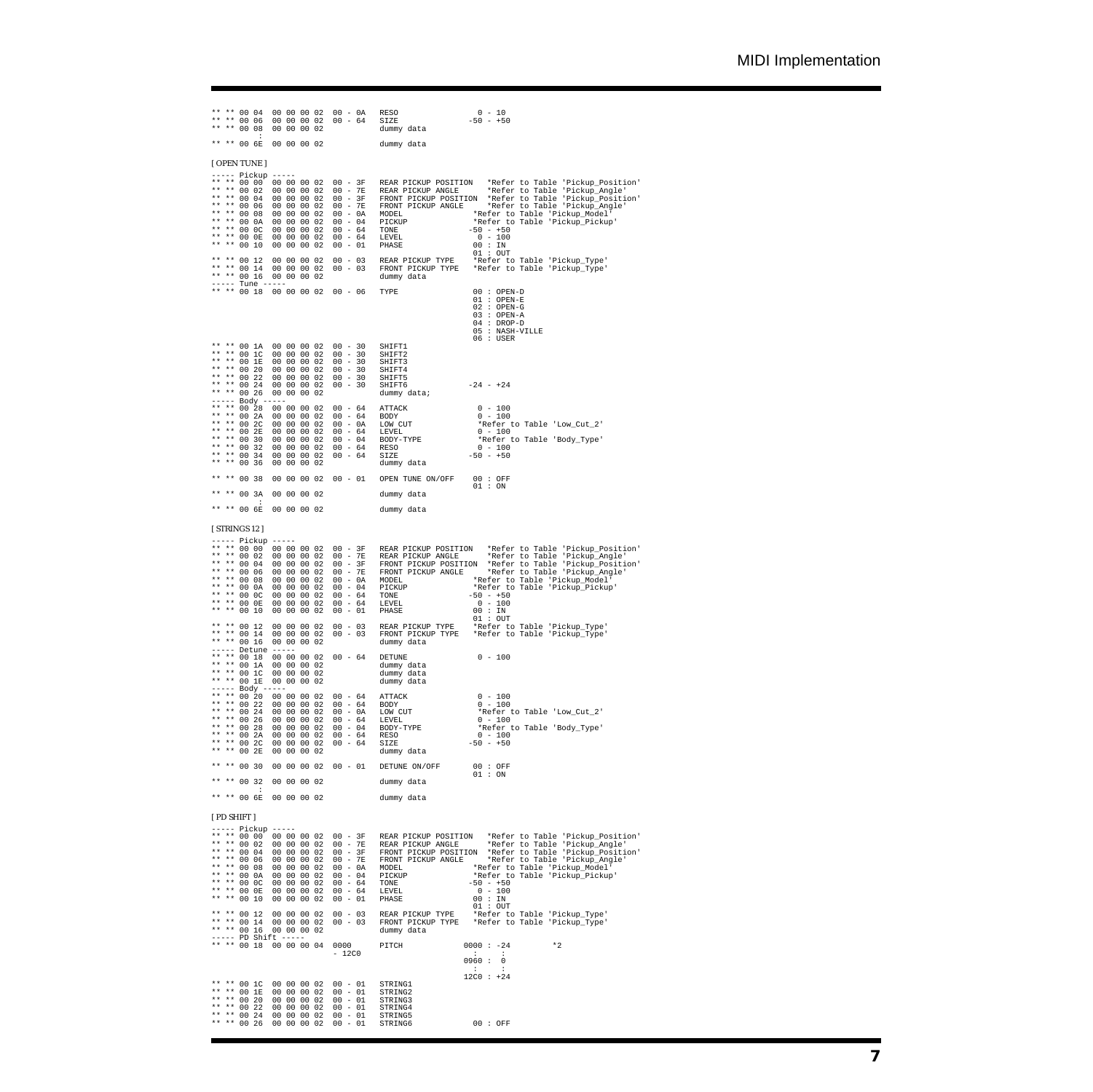\*\* \*\* 00 04 00 00 00 02 00 - 0A RESO 0 - 10 \*\* \*\* 00 06 00 00 00 02 00 - 64 SIZE -50 - +50 \*\* \*\* 00 08 00 00 00 02 dummy data : \*\* \*\* 00 6E 00 00 00 02 dummy data [ OPEN TUNE ] ----- Pickup ----- \*\* \*\* 00 00 00 00 00 02 00 - 3F REAR PICKUP POSITION \*Refer to Table 'Pickup\_Position' \*\* \*\* 00 02 00 00 00 02 00 - 7E REAR PICKUP ANGLE \*Refer to Table 'Pickup\_Angle' \*\* \*\* 00 04 00 00 00 02 00 - 3F FRONT PICKUP POSITION \*Refer to Table 'Pickup\_Position' \*\* \*\* 00 06 00 00 00 02 00 - 7E FRONT PICKUP ANGLE \*Refer to Table 'Pickup\_Angle' \*\* \*\* 00 08 00 00 00 02 00 - 0A MODEL \*Refer to Table 'Pickup\_Model' \*\* \*\* 00 0A 00 00 00 02 00 - 04 PICKUP \*Refer to Table 'Pickup\_Pickup' \*\* \*\* 00 0C 00 00 00 02 00 - 64 TONE -50 - +50<br>\*\* \*\* 00 0E 00 00 00 02 00 - 64 LEVEL - 0 - 100 \*\* \*\* 00 10 00 00 00 02 00 - 01 PHASE 00 : IN 01 : OUT \*\* \*\* 00 12 00 00 00 02 00 - 03 REAR PICKUP TYPE \*Refer to Table 'Pickup\_Type' \*\* \*\* 00 14 00 00 00 02 00 - 03 FRONT PICKUP TYPE \*Refer to Table 'Pickup\_Type' \*\* \*\* 00 16 00 00 00 02 dummy data ----- Tune ----- \*\* \*\* 00 18 00 00 00 02 00 - 06 TYPE 00 : OPEN-D 01 : OPEN-E<br>02 : OPEN-G<br>03 : OPEN-A<br>04 : DROP-D \*\* \*\* 00 1A 00 00 00 00 02 00 - 30 SHIFT1<br>\*\* \*\* 00 1C 00 00 00 00 02 00 - 30 SHIFT2<br>\*\* \*\* 00 1E 00 00 00 02 00 - 30 SHIFT2<br>\*\* \*\* 00 20 00 00 00 02 00 - 30 SHIFT4<br>\*\* \*\* 00 24 00 00 00 02 00 - 30 SHIFT4<br>\*\* \*\* 00 24 00 00 00  $\begin{tabular}{lllllllllll} 00 & -\ 64 & -\ 81 & -\ 90 & -\ 04 & -\ 100 & -\ 05 & 04 & -\ 06 & -\ 06 & -\ 07 & -\ 07 & -\ 08 & -\ 08 & -\ 09 & -\ 04 & -\ 09 & -\ 04 & -\ 09 & -\ 09 & -\ 04 & -\ 09 & -\ 09 & -\ 04 & -\ 09 & -\ 09 & -\ 09 & -\ 09 & -\ 09 & -\ 09 & -\ 09 & -\ 09 & -\ 09 & -\ 09 & -\ 09 &$ \*\* \*\* 00 32 00 00 00 02 00 - 64 RESO 0 - 100 \*\* \*\* 00 34 00 00 00 02 00 - 64 SIZE -50 - +50 \*\* \*\* 00 36 00 00 00 02 dummy data \*\* \*\* 00 38 00 00 00 02 00 - 01 OPEN TUNE ON/OFF 00 : OFF 01 : ON \*\* \*\* 00 3A 00 00 00 02 dummy data : \*\* \*\* 00 6E 00 00 00 02 dummy data [ STRINGS 12 ] ----- Pickup ----- \*\* \*\* 00 00 00 00 00 02 00 - 3F REAR PICKUP POSITION \*Refer to Table 'Pickup\_Position' \*\* \*\* 00 02 00 00 00 02 00 - 7E REAR PICKUP ANGLE \*Refer to Table 'Pickup\_Angle' \*\* \*\* 00 04 00 00 00 02 00 - 3F FRONT PICKUP POSITION \*Refer to Table 'Pickup\_Position' \*\* \*\* 00 06 00 00 00 02 00 - 7E FRONT PICKUP ANGLE \*Refer to Table 'Pickup\_Angle' \*\* \*\* 00 08 00 00 00 02 00 - 0A MODEL \*Refer to Table 'Pickup\_Model' \*\* \*\* 00 0A 00 00 00 02 00 - 04 PICKUP \*Refer to Table 'Pickup\_Pickup' \*\* \*\* 00 0C 00 00 00 02 00 - 64 TONE -50 - +50 \*\* \*\* 00 0E 00 00 00 02 00 - 64 LEVEL 0 - 100 \*\* \*\* 00 10 00 00 00 02 00 - 01 PHASE 00 : IN \*\* \*\* 00 02 00 00 00 02 00 - 64<br>
\*\* \*\* 00 02 00 00 00 02 00 - 64<br>
\*\* \*\* 00 02 00 00 00 02 00 - 64<br>
\*\* \*\* 00 10 00 00 00 02 00 - 01<br>
\*\* \*\* 00 10 00 00 00 02 00 - 01<br>
\*\* \*\* 00 14 00 00 00 02 00 - 03<br>
\*\* \*\* 00 14 00 00 00 02 \*\* \*\* 00 12 00 00 00 02 00 - 03 REAR PICKUP TYPE \*Refer to Table 'Pickup\_Type' \*\* \*\* 00 14 00 00 00 02 00 - 03 FRONT PICKUP TYPE \*Refer to Table 'Pickup\_Type' 00 12 00 00 00 02<br>00 14 00 00 00 02<br>00 16 00 00 00 02<br>Detume ---------- Detune ----- \* \* \* 00 18 00 00 00 02 00 - 64 DETUNE 0 - 100<br>\*\* \*\* 00 1A 00 00 00 02 dummy data<br>\*\* \*\* 00 1E 00 00 00 02 dummy data<br>\*\* \*\* 00 1E 00 00 00 02 dummy data ----- Body ----- \*\* \*\* 00 20 00 00 00 02 00 - 64 ATTACK 0 - 100 \*\* \*\* 00 22 00 00 00 02 00 - 64 BODY 0 - 100 \*\* \*\* 00 24 00 00 00 02 00 - 0A LOW CUT \*Refer to Table 'Low\_Cut\_2' \*\* \*\* 00 26 00 00 00 02 00 - 64 LEVEL 0 - 100 \*\* \*\* 00 28 00 00 00 02 00 - 04 BODY-TYPE \*Refer to Table 'Body\_Type' \*\* \*\* 00 2A 00 00 00 02 00 - 64 RESO 0 - 100 \*\* \*\* 00 2C 00 00 00 02 00 - 64 SIZE -50 - +50 \*\* \*\* 00 2E 00 00 00 02 dummy data \*\* \*\* 00 30 00 00 00 02 00 - 01 DETUNE ON/OFF 00 : OFF 01 : ON \*\* \*\* 00 32 00 00 00 02 dummy data : \*\* \*\* 00 6E 00 00 00 02 dummy data [ PD SHIFT ] ----- Pickup ----- \*\* \*\* 00 00 00 00 00 00 02 00 - 3F REAR PICKUP POSITION \*Refer to Table 'Pickup\_Position'<br>\*\* \*\* 00 02 00 00 00 00 02 00 - 7E REAR PICKUP ANGLE \*Refer to Table 'Pickup\_Angle'<br>\*\* \*\* 00 04 00 00 00 02 00 - 3F FRONT PICKUP POS \*\* \*\* 00 08 00 00 00 02 00 - 0A MODEL \*\* \*Refer to Table 'Pickup\_Model'<br>\*\* \*\* 00 0A 00 00 00 02 00 - 04 PICKUP \*\* \*Refer to Table 'Pickup\_Pickup' \*\* \*\* 00 0C 00 00 00 02 00 - 64 TONE -50 - +50<br>\*\* \*\* 00 0E 00 00 00 02 00 - 64 LEVEL - 0 - 100<br>\*\* \*\* 00 10 00 00 00 02 00 - 01 PHASE - 00 : IN \*\* \*\* 00 02 00 00 00 02 00 - 64<br>
\*\* \*\* 00 02 00 00 00 02 00 - 64<br>
\*\* \*\* 00 10 00 00 00 02 00 - 64<br>
\*\* \*\* 00 10 00 00 00 02 00 - 01<br>
PHASE<br>
\*\* \*\* 00 14 00 00 00 00 2 00 - 03<br>
\*\* \*\* 00 14 00 00 00 02 00 - 03<br>
\*\* \*\* 00 16 00 \*\* \*\* 00 12 00 00 00 02 00 - 03 REAR PICKUP TYPE \*Refer to Table 'Pickup\_Type' \*\* \*\* 00 14 00 00 00 02 00 - 03 FRONT PICKUP TYPE \*Refer to Table 'Pickup\_Type' 00 00 00 02 00 - 03 FRONT PICKU<br>00 00 00 02 dummy data ----- PD Shift ----- \*\* \*\* 00 18 00 00 00 04 0000 PITCH 0000 : -24 \*2  $-12$ CO : : :  $1200$   $1200$   $1960$   $0960$   $0$ the contract of the contract of the contract of the contract of the contract of the contract of the contract o \*\* \*\* 00 1C 00 00 00 02 00 - 01 STRING1 12C0 : +24<br>\*\* \*\* 00 1E 00 00 00 02 00 - 01 STRING2<br>\*\* \*\* 00 20 00 00 00 02 00 - 01 STRING3 \*\* 00 1C 00 00 00 02 00 - 01 STRING1<br>\*\* 00 1E 00 00 00 02 00 - 01 STRING2<br>\*\* 00 20 00 00 00 02 00 - 01 STRING4<br>\*\* 00 22 00 00 00 02 00 - 01 STRING5<br>\*\* 00 26 00 00 00 02 00 - 01 STRING5 \* \* \* 00 1E 00 00 00 02 00 - 01 STRING3<br>\*\* \*\* 00 22 00 00 00 02 00 - 01 STRING4<br>\*\* \*\* 00 24 00 00 00 02 00 - 01 STRING5<br>\*\* \*\* 00 26 00 00 00 02 00 - 01 STRING6 00 : OFF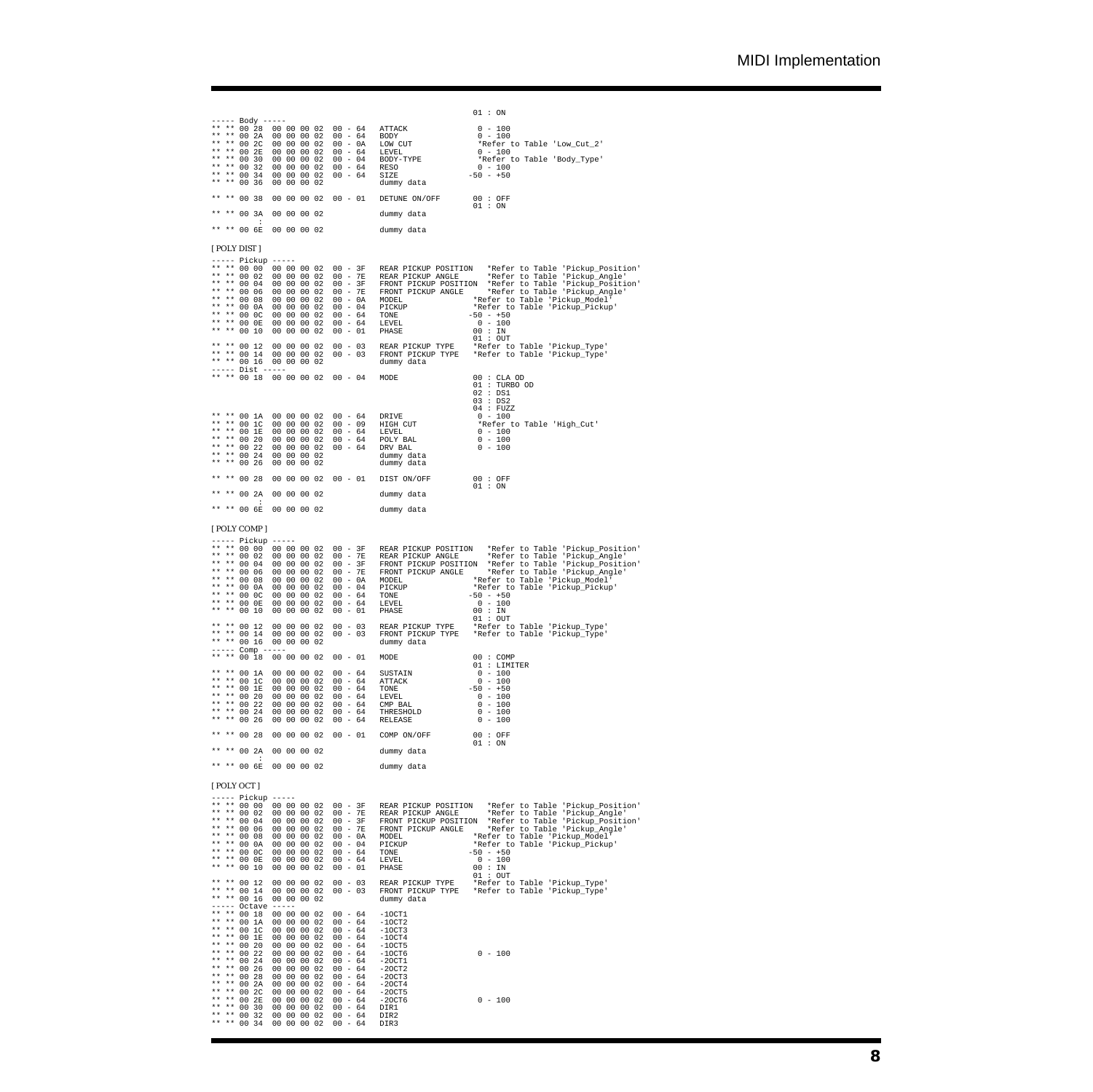01 : ON ----- Body<br>\*\* \*\* 00 28<br>\*\* \*\* 00 22<br>\*\* \*\* 00 22<br>\*\* \*\* 00 32<br>\*\* \*\* 00 34<br>\*\* \*\* 00 34<br>\*\* \*\* 00 34 \*\* \*\* 00 28 00 00 00 02 00 - 64 ATTACK 0 - 100 \*\* \*\* 00 2A 00 00 00 02 00 - 64 BODY 0 - 100 \*\* \*\* 00 2C 00 00 00 02 00 - 0A LOW CUT \*Refer to Table 'Low\_Cut\_2' \*\* \*\* 00 2E 00 00 00 02 00 - 64 LEVEL 0 - 100 \*\* \*\* 00 30 00 00 00 02 00 - 04 BODY-TYPE \*Refer to Table 'Body\_Type' \*\* \*\* 00 32 00 00 00 02 00 - 64 RESO 0 - 100 \*\* \*\* 00 34 00 00 00 02 00 - 64 SIZE -50 - +50 \*\* \*\* 00 36 00 00 00 02 dummy data \*\* \*\* 00 38 00 00 00 02 00 - 01 DETUNE ON/OFF 00 : OFF 01 : ON 01 : ON \*\* \*\* 00 3A 00 00 00 02 dummy data : \*\* \*\* 00 6E 00 00 00 02 dummy data [ POLY DIST ] ----- Pickup ----- \*\* \*\* 00 00 00 00 00 00 02 00 - 3F REAR PICKUP POSITION \*Refer to Table 'Pickup\_Position'<br>\*\* \*\* 00 02 00 00 00 00 02 00 - 7E REAR PICKUP ANGLE \*Refer to Table 'Pickup\_Angle'<br>\*\* \*\* 00 04 00 00 00 02 00 - 3F FRONT PICKUP POS \*\* \*\* 00 08 00 00 00 02 00 - 0A MODEL \*\* \*Refer to Table 'Pickup\_Model'<br>\*\* \*\* 00 0A 00 00 00 02 00 - 04 PICKUP \*\* \*Refer to Table 'Pickup\_Pickup' \*\* \*\* 00 0C 00 00 00 02 00 - 64 TONE -50 - +50<br>\*\* \*\* 00 0E 00 00 00 02 00 - 64 LEVEL - 0 - 100<br>\*\* \*\* 00 10 00 00 00 02 00 - 01 PHASE - 00 : IN 01 : OUT \*\* \*\* 00 12 00 00 00 02 00 - 03 REAR PICKUP TYPE \*Refer to Table 'Pickup\_Type' \*\* \*\* 00 14 00 00 00 02 00 - 03 FRONT PICKUP TYPE \*Refer to Table 'Pickup\_Type' \*\* \*\* 00 16 00 00 00 02 dummy data ----- Dist ----- \*\* \*\* 00 18 00 00 00 02 00 - 04 MODE 00 : CLA OD 01 : TURBO OD<br>02 : DS1<br>03 : DS2 \*\* \*\* 00 1<br/>A 00 00 00 02 00 - 64 DRIVE \*\* \*\* 00 1C 00 00 00 02 00 - 09 HIGH <br/>(\*\* \*\* 00 1E 00 00 00 02 00 - 64 LEVEL \*\* \*\* 00 20 00 00 00 02 00 - 64 POLY <br/>EVE \*\* \*\* 00 20 00 00 00 02 00 - 64 POLY B. \*\* \*\* 00 24 \*\* \*\* 00 1A 00 00 00 02 00 - 64 DRIVE 0 - 100  $\begin{array}{llll} \texttt{DRIVE} & 04: \texttt{FUCZ} \\ \texttt{HIGH CUT} & * \texttt{Refer to Table 'High_Cut'} \\ \texttt{LEVEL} & 0 - 100 \\ \texttt{DCV} & \texttt{BAL} & 0 - 100 \\ \texttt{DUV BAL} & 0 - 100 \\ \texttt{dummy data} & 0 - 100 \\ \texttt{dummy data} & \texttt{dummy} \end{array}$ \* \* \* 00 1E 00 00 00 00 2 00 - 64 LEVEL 0 - 100<br>\*\* \*\* 00 22 00 00 00 02 00 - 64 DRV BAL 0 - 100<br>\*\* \*\* 00 24 00 00 00 02 dummy data<br>\*\* \*\* 00 24 00 00 00 02 dummy data \*\* \*\* 00 28 00 00 00 02 00 - 01 DIST ON/OFF 00 : OFF 01 : ON \*\* \*\* 00 2A 00 00 00 02 dummy data : \*\* \*\* 00 6E 00 00 00 02 dummy data [ POLY COMP ] ----- Pickup ----- \*\* \*\* 00 00 00 00 00 02 00 - 3F REAR PICKUP POSITION \*Refer to Table 'Pickup\_Position' \*\* \*\* 00 02 00 00 00 02 00 - 7E REAR PICKUP ANGLE \*Refer to Table 'Pickup\_Angle' \*\* \*\* 00 04 00 00 00 02 00 - 3F FRONT PICKUP POSITION \*Refer to Table 'Pickup\_Position' \*\* \*\* 00 06 00 00 00 02 00 - 7E FRONT PICKUP ANGLE \*Refer to Table 'Pickup\_Angle' \*\* \*\* 00 08 00 00 00 02 00 - 0A MODEL \*Refer to Table 'Pickup\_Model' \*\* \*\* 00 0A 00 00 00 02 00 - 04 PICKUP \*Refer to Table 'Pickup\_Pickup' \*\* \*\* 00 0C 00 00 00 02 00 - 64 TONE -50 - +50 \*\* \*\* 00 0E 00 00 00 02 00 - 64 LEVEL 0 - 100 \*\* \*\* 00 10 00 00 00 02 00 - 01 PHASE 00 : IN 01 : OUT \*\* \*\* 00 12 00 00 00 02 00 - 03 REAR PICKUP TYPE \*Refer to Table 'Pickup\_Type' \*\* \*\* 00 14 00 00 00 02 00 - 03 FRONT PICKUP TYPE \*Refer to Table 'Pickup\_Type' \*\* \*\* 00 16 00 00 00 02 dummy data ----- Comp ----- \*\* \*\* 00 18 00 00 00 02 00 - 01 MODE 00 : COMP  $\begin{tabular}{lllllllllll} 00&-&01&\text{MODE} &\text{00}:\text{COMP} \\ 00&-&64&\text{SUSTAIN} &\text{01}: \text{LMITER} \\ 00&-&64&\text{ATTACK} &\text{0} &-100 \\ 00&-&64&\text{TONE} &\text{0} &-50&+50 \\ 00&-&64&\text{LNEEL} &\text{0} &\text{010} \\ 00&-&64&\text{CMP BAL} &\text{0} &-100 \\ \end{tabular}$ \*\* \*\* 00 1R 00 00 00 00 2 00 - 64 SUSTAIN 0 - 100<br>
\*\* \*\* 00 1E 00 00 00 02 00 - 64 ATTACK 0 - 100<br>
\*\* \*\* 00 1E 00 00 00 02 00 - 64 INNE -50 - +50<br>
\*\* \*\* 00 22 00 00 00 02 00 - 64 LEVEL 0 - 100<br>
\*\* \*\* 00 22 00 00 00 02 00 -\* 00 00 00 02 00 - 64 THRESHOLD 00 00 00 02 00 - 64 THRESHOLD 0 - 100<br>00 00 00 02 00 - 64 RELEASE 0 - 100 \*\* \*\* 00 1A<br>
\*\* \*\* 00 1C<br>
\*\* \*\* 00 1E<br>
\*\* \*\* 00 22<br>
\*\* \*\* 00 24<br>
\*\* \*\* 00 26 \*\* \*\* 00 28 00 00 00 02 00 - 01 COMP ON/OFF 00 : OFF 01 : ON 01 : ON \*\* \*\* 00 2A 00 00 00 02 dummy data : \*\* \*\* 00 6E 00 00 00 02 dummy data [ POLY OCT ]  $\begin{array}{l} \text{[POLY OCI]}\\ \text{---}-\text{Pickup}\text{---}\\ \text{---} \text{++} \times 000000000002\\ \text{++} \times 0002000000002\\ \text{++} \times 00060000000002\\ \text{++} \times 0006000000002\\ \text{++} \times 0008000000002\\ \text{++} \times 0000000000002\\ \text{++} \times 0000000000002\\ \text{++} \times 0000000000002\\ \text{++} \$ \*\* \*\* 00 00 00 00 00 02 00 - 3F REAR PICKUP POSITION \*Refer to Table 'Pickup\_Position' \*\* \*\* 00 02 00 00 00 02 00 - 7E REAR PICKUP ANGLE \*Refer to Table 'Pickup\_Angle' \*\* \*\* 00 04 00 00 00 02 00 - 3F FRONT PICKUP POSITION \*Refer to Table 'Pickup\_Position' \*\* \*\* 00 06 00 00 00 02 00 - 7E FRONT PICKUP ANGLE \*Refer to Table 'Pickup\_Angle' \*\* \*\* 00 08 00 00 00 02 00 - 0A MODEL \*Refer to Table 'Pickup\_Model' \*\* \*\* 00 0A 00 00 00 02 00 - 04 PICKUP \*Refer to Table 'Pickup\_Pickup' \*\* \*\* 00 0C 00 00 00 02 00 - 64 TONE -50 - +50<br>\*\* \*\* 00 0E 00 00 00 02 00 - 64 LEVEL - 0 - 100<br>\*\* \*\* 00 10 00 00 00 02 00 - 01 PHASE - 00 : IN 01 : OUT \*\* \*\* 00 12 00 00 00 02 00 - 03 REAR PICKUP TYPE \*Refer to Table 'Pickup\_Type' \*\* \*\* 00 14 00 00 00 02 00 - 03 FRONT PICKUP TYPE \*Refer to Table 'Pickup\_Type' \*\* \*\* 00 16 00 00 00 02 dummy data ----- Octave ----- \*\* \*\* 00 18 00 00 00 02 00 - 64 -1OCT1 \*\* \*\* 00 1A 00 00 00 02 00 - 64 -1OCT2 \*\* \*\* 00 1C 00 00 00 02 00 - 64 -1OCT3 \*\* \*\* 00 1E 00 00 00 02 00 - 64 -1OCT4 \*\* \*\* 00 20 00 00 00 02 00 - 64 -1OCT5 \*\* \*\* 00 22 00 00 00 02 00 - 64 -1OCT6 0 - 100 \*\* \*\* 00 24 00 00 00 02 00 - 64 -2OCT1 \*\* \*\* 00 26 00 00 00 02 00 - 64 -2OCT2 \*\* \*\* 00 28 00 00 00 02 00 - 64 -2OCT3 \*\* \*\* 00 2A 00 00 00 02 00 - 64 -2OCT4 \*\* \*\* 00 2C 00 00 00 02 00 - 64 -2OCT5 \*\* \*\* 00 2E 00 00 00 02 00 - 64 -2OCT6 0 - 100 \*\* \*\* 00 30 00 00 00 02 00 - 64 DIR1 \*\* \*\* 00 32 00 00 00 02 00 - 64 DIR2 \*\* \*\* 00 34 00 00 00 02 00 - 64 DIR3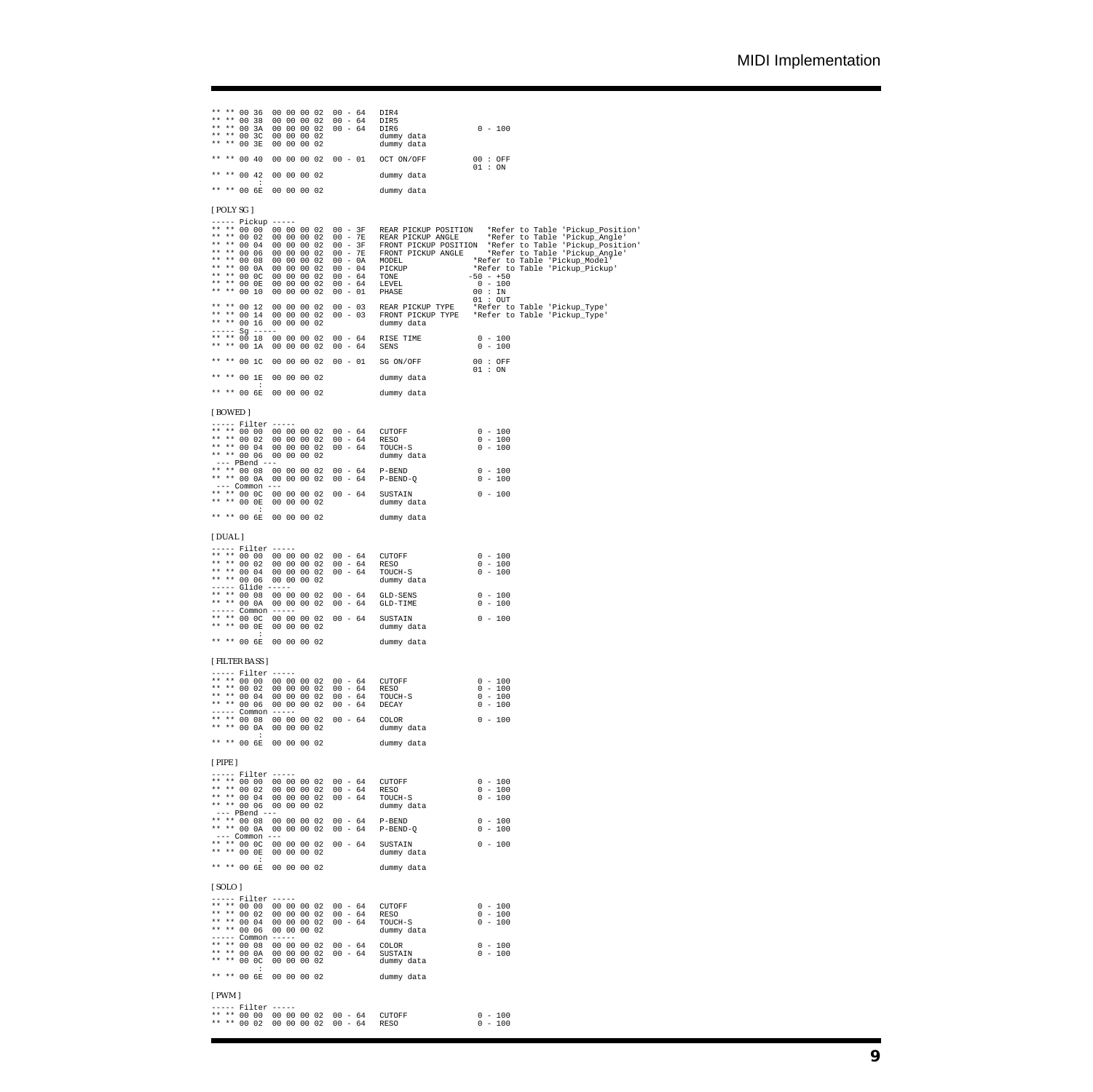| ** 00 36<br>* *<br>** 00 38<br>$* *$<br>$***$<br>00 3A<br>* *<br>** 00 3C<br>** 00 3E | 00 00 00 02<br>00 00 00 02<br>00 00 00 02<br>00 00 00 02<br>00 00 00 02 | $00 - 64$<br>$00 - 64$<br>$00 - 64$ | DIR4<br>DIR5<br>$0 - 100$<br>DIR6<br>dummy data<br>dummy data                                                           |                                                                   |
|---------------------------------------------------------------------------------------|-------------------------------------------------------------------------|-------------------------------------|-------------------------------------------------------------------------------------------------------------------------|-------------------------------------------------------------------|
| ** ** 00 40                                                                           | 00 00 00 02                                                             | $00 - 01$                           | OCT ON/OFF<br>00 : OFF<br>01 : ON                                                                                       |                                                                   |
| $** 00 42$<br>÷                                                                       | 00 00 00 02                                                             |                                     | dummy data                                                                                                              |                                                                   |
| ** ** 00 6E                                                                           | 00 00 00 02                                                             |                                     | dummy data                                                                                                              |                                                                   |
| [POLY SG]                                                                             |                                                                         |                                     |                                                                                                                         |                                                                   |
| ----- Pickup -----<br>** ** 00 00<br>** ** 00 02                                      | 00 00 00 02 00 - 3F<br>00 00 00 02                                      |                                     | 00 - 3F REAR PICKUP POSITION *Refer to Table 'Pickup_Position' 00 - 7E REAR PICKUP ANGLE *Refer to Table 'Pickup_Angle' |                                                                   |
| ** ** 00 04<br>** ** 00 06                                                            | 00 00 00 02<br>00 00 00 02                                              | $00 - 3F$<br>$00 - 7E$              | FRONT PICKUP POSITION *Refer to Table 'Pickup_Position'<br>FRONT PICKUP ANGLE *Refer to Table 'Pickup_Angle'            |                                                                   |
| ** ** 00 08<br>** ** 00 0A                                                            | 00 00 00 02<br>00 00 00 02                                              | $00 - 0A$<br>$00 - 04$              | MODEL<br>PICKUP                                                                                                         | *Refer to Table 'Pickup_Model'<br>*Refer to Table 'Pickup_Pickup' |
| ** ** 00 0C<br>** ** 00 OE                                                            | 00 00 00 02<br>00 00 00 02                                              | $00 - 64$<br>$00 - 64$<br>$00 - 01$ | $\begin{array}{cccc} -50 & - & +50 \\ 0 & - & 100 \end{array}$<br>TONE<br>LEVEL                                         |                                                                   |
| ** ** 00 10<br>** ** 00 12                                                            | 00 00 00 02<br>00 00 00 02                                              | $00 - 03$                           | PHASE<br>00 : IN<br>$01:$ OUT<br>REAR PICKUP TYPE                                                                       | *Refer to Table 'Pickup_Type'                                     |
| ** ** 00 14<br>** ** 00 16                                                            | 00 00 00 02<br>00 00 00 02                                              | $00 - 03$                           | FRONT PICKUP TYPE *Refer to Table 'Pickup_Type'<br>dummy data                                                           |                                                                   |
| ----- Sg -----<br>** ** 00 18                                                         | 00 00 00 02                                                             | $00 - 64$                           | $0 - 100$<br>RISE TIME                                                                                                  |                                                                   |
| ** ** 00 1A<br>** ** 00 1C                                                            | 00 00 00 02<br>00 00 00 02                                              | $00 - 64$<br>$00 - 01$              | $0 - 100$<br>SENS<br>SG ON/OFF<br>00 : OFF                                                                              |                                                                   |
| ** ** 00 1E                                                                           | 00 00 00 02                                                             |                                     | 01 : ON<br>dummy data                                                                                                   |                                                                   |
| и.<br>** ** 00 6E                                                                     | 00 00 00 02                                                             |                                     | dummy data                                                                                                              |                                                                   |
| [BOWED]                                                                               |                                                                         |                                     |                                                                                                                         |                                                                   |
| $---$ Filter $---$                                                                    | ** ** 00 00 00 00 00 02 00 - 64                                         |                                     | $0 - 100$<br>CUTOFF                                                                                                     |                                                                   |
| ** ** 00 02<br>** ** 00 04                                                            | 00 00 00 02<br>00 00 00 02                                              | $00 - 64$<br>$00 - 64$              | $0 - 100$<br>RESO<br>$0 - 100$<br>TOUCH-S                                                                               |                                                                   |
| ** ** 00 06<br>--- PBend ---                                                          | 00 00 00 02                                                             |                                     | dummy data                                                                                                              |                                                                   |
| ** ** 00 0A                                                                           | ** ** 00 08 00 00 00 02<br>00 00 00 02                                  | $00 - 64$<br>$00 - 64$              | $0 - 100$<br>$P-BEND$<br>$P-BEND-Q$<br>$0 - 100$                                                                        |                                                                   |
| $---$ Common $---$<br>** ** 00 0C<br>** ** 00 0E                                      | 00 00 00 02<br>00 00 00 02                                              | $00 - 64$                           | $0 - 100$<br>SUSTAIN<br>dummy data                                                                                      |                                                                   |
| ** ** 00 6E                                                                           | 00 00 00 02                                                             |                                     | dummy data                                                                                                              |                                                                   |
| [DUAL]                                                                                |                                                                         |                                     |                                                                                                                         |                                                                   |
| $---$ Filter $---$                                                                    | ** ** 00 00 00 00 00 02 00 - 64                                         |                                     | $0 - 100$<br>CUTOFF                                                                                                     |                                                                   |
| ** ** 00 02<br>** ** 00 04                                                            | 00 00 00 02<br>00 00 00 02                                              | $00 - 64$<br>$00 - 64$              | $0 - 100$<br>RESO<br>$0 - 100$<br>TOUCH-S                                                                               |                                                                   |
| ** ** 00 06<br>----- Glide -----                                                      | 00 00 00 02                                                             |                                     | dummy data                                                                                                              |                                                                   |
| ** ** 00 08<br>** ** 00 0A<br>----- Common -----                                      | 00 00 00 02<br>00 00 00 02                                              | $00 - 64$<br>$00 - 64$              | $0 - 100$<br>GLD-SENS<br>GLD-TIME<br>$0 - 100$                                                                          |                                                                   |
| ** ** 00 00<br>** ** 00 0E                                                            | 00 00 00 02<br>00 00 00 02                                              | $00 - 64$                           | $0 - 100$<br>SUSTAIN<br>dummy data                                                                                      |                                                                   |
| ** ** 00 6E                                                                           | 00 00 00 02                                                             |                                     | dummy data                                                                                                              |                                                                   |
| [ FILTER BASS ]                                                                       |                                                                         |                                     |                                                                                                                         |                                                                   |
| $---$ Filter $---$                                                                    | ** ** 00 00 00 00 00 02 00 - 64                                         |                                     | CUTOFF<br>$0 - 100$                                                                                                     |                                                                   |
| ** ** 00 02<br>** ** 00 04                                                            | 00 00 00 02<br>$00 00 00 02 00 - 64$                                    | $00 - 64$                           | RESO<br>$0 - 100$<br>$0 - 100$<br>TOUCH-S                                                                               |                                                                   |
| ** ** 00 06<br>----- Common -----                                                     | 00 00 00 02                                                             | $00 - 64$<br>$00 - 64$              | DECAY<br>$0 - 100$<br>COLOR                                                                                             |                                                                   |
| ** 00 0A<br>÷                                                                         | ** ** 00 08 00 00 00 02<br>00 00 00 02                                  |                                     | $0 - 100$<br>dummy data                                                                                                 |                                                                   |
| ** ** 00 6E                                                                           | 00 00 00 02                                                             |                                     | dummy data                                                                                                              |                                                                   |
| $[$ PIPE $]$                                                                          |                                                                         |                                     |                                                                                                                         |                                                                   |
| $---$ Filter $---$<br>** ** 00 02                                                     | ** ** 00 00 00 00 00 02 00 - 64<br>00 00 00 02                          | $00 - 64$                           | $0 - 100$<br>CUTOFF<br>$0 - 100$<br>RESO                                                                                |                                                                   |
| ** ** 00 04                                                                           | 00 00 00 02<br>** ** 00 06 00 00 00 02                                  | $00 - 64$                           | $0 - 100$<br>TOUCH-S<br>dummy data                                                                                      |                                                                   |
| $---$ PBend $---$                                                                     | ** ** 00 08 00 00 00 02                                                 | $00 - 64$                           | $0 - 100$<br>$P-BEND$                                                                                                   |                                                                   |
| $---$ Common $---$<br>** ** 00 00                                                     | ** ** 00 0A 00 00 00 02<br>00 00 00 02                                  | $00 - 64$<br>$00 - 64$              | $P-BEND-Q$<br>$0 - 100$<br>$0 - 100$<br>SUSTAIN                                                                         |                                                                   |
| ** ** 00 OE<br>$\cdot$                                                                | 00 00 00 02                                                             |                                     | dummy data                                                                                                              |                                                                   |
| ** ** 00 6E                                                                           | 00 00 00 02                                                             |                                     | dummy data                                                                                                              |                                                                   |
| [SOLO]<br>$---$ Filter $---$                                                          |                                                                         |                                     |                                                                                                                         |                                                                   |
| ** ** 00 02                                                                           | ** ** 00 00 00 00 00 02 00 - 64<br>00 00 00 02                          | $00 - 64$                           | $0 - 100$<br>CUTOFF<br>$0 - 100$<br>RESO                                                                                |                                                                   |
| ** ** 00 04<br>** ** 00 06                                                            | 00 00 00 02<br>00 00 00 02                                              | $00 - 64$                           | $0 - 100$<br>TOUCH-S<br>dummy data                                                                                      |                                                                   |
| ----- Common -----<br>** ** 00 0A                                                     | ** ** 00 08 00 00 00 02                                                 | $00 - 64$                           | $0 - 100$<br>COLOR                                                                                                      |                                                                   |
| ** ** 00 0C<br>÷                                                                      | 00 00 00 02<br>00 00 00 02                                              | $00 - 64$                           | SUSTAIN<br>$0 - 100$<br>dummy data                                                                                      |                                                                   |
| ** ** 00 6E                                                                           | 00 00 00 02                                                             |                                     | dummy data                                                                                                              |                                                                   |
| $[$ PWM $]$                                                                           |                                                                         |                                     |                                                                                                                         |                                                                   |
| $---$ Filter $---$                                                                    | ** ** 00 00 00 00 00 02 00 - 64<br>** ** 00 02 00 00 00 02 00 - 64      |                                     | $0 - 100$<br>CUTOFF<br>$0 - 100$<br>RESO                                                                                |                                                                   |
|                                                                                       |                                                                         |                                     |                                                                                                                         |                                                                   |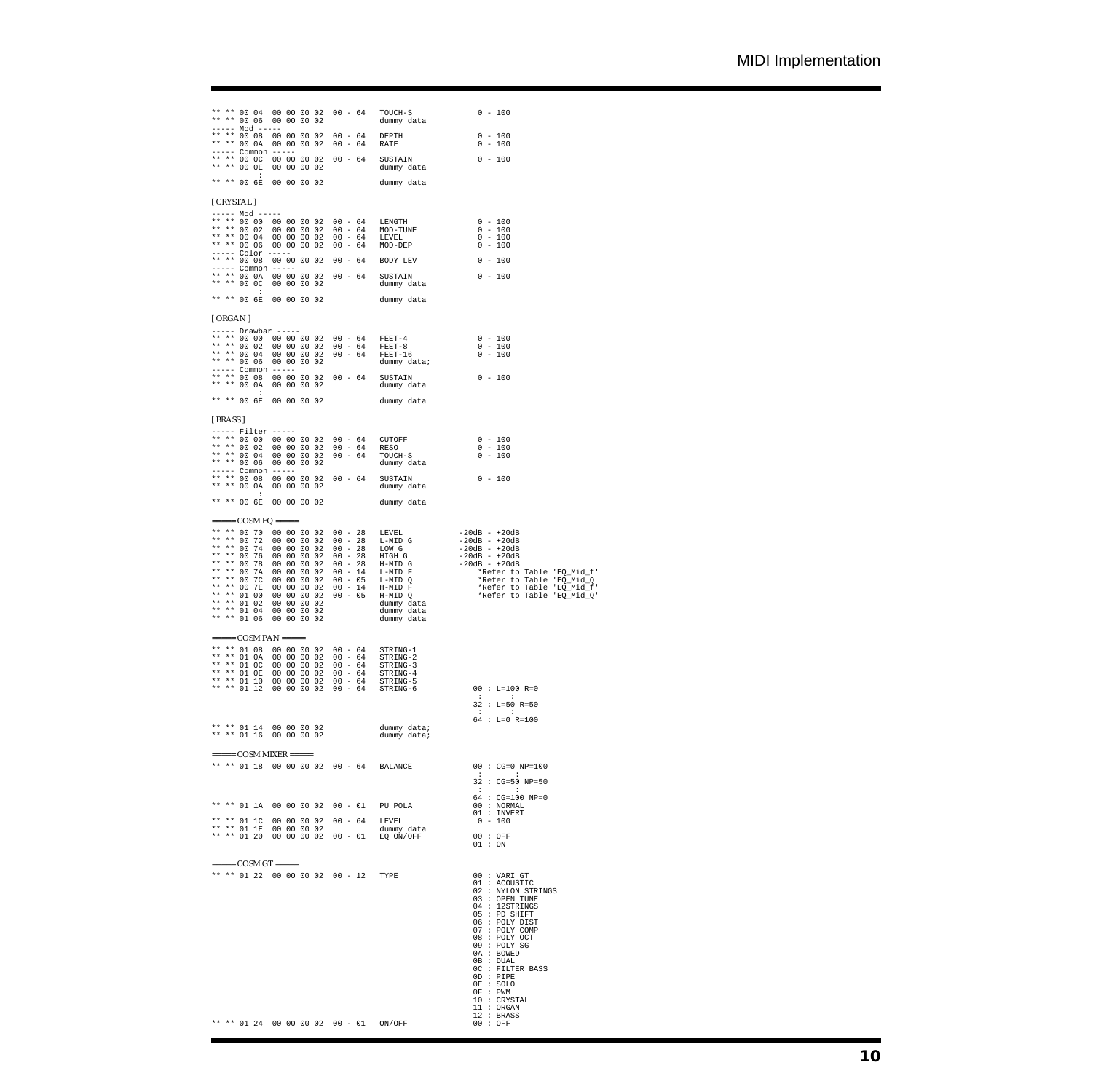|         |                                  |             |                                                                                                                                                                                                                                                                                                                                                                                                                                               | ** ** 00 04 00 00 00 02 00 - 64 TOUCH-S<br>** ** 00 06 00 00 00 02 00 - 04 100CH-8<br>----- Mod ----- Co 00 00 02 dummy data                                                                      | $0 - 100$                                                                                                                                                                                                                                                                                                                     |
|---------|----------------------------------|-------------|-----------------------------------------------------------------------------------------------------------------------------------------------------------------------------------------------------------------------------------------------------------------------------------------------------------------------------------------------------------------------------------------------------------------------------------------------|---------------------------------------------------------------------------------------------------------------------------------------------------------------------------------------------------|-------------------------------------------------------------------------------------------------------------------------------------------------------------------------------------------------------------------------------------------------------------------------------------------------------------------------------|
|         |                                  |             |                                                                                                                                                                                                                                                                                                                                                                                                                                               | ----- Nod -----<br>** ** 00 08 00 00 00 02 00 - 64 DEPTH<br>---- 10 00 00 00 00 02 00 - 64 RATE                                                                                                   | $0 - 100$<br>$0 - 100$                                                                                                                                                                                                                                                                                                        |
|         |                                  |             |                                                                                                                                                                                                                                                                                                                                                                                                                                               | ----- Common -----<br>** ** 00 0C 00 00 00 02 00 - 64 SUSTAIN 0 - 100<br>** ** 00 0E 00 00 00 02 dummy data                                                                                       |                                                                                                                                                                                                                                                                                                                               |
|         | $\cdot$ :<br>** ** 00 6E         | 00 00 00 02 |                                                                                                                                                                                                                                                                                                                                                                                                                                               | dummy data                                                                                                                                                                                        |                                                                                                                                                                                                                                                                                                                               |
|         | [ CRYSTAL ]                      |             |                                                                                                                                                                                                                                                                                                                                                                                                                                               |                                                                                                                                                                                                   |                                                                                                                                                                                                                                                                                                                               |
|         | ----- Mod -----                  |             |                                                                                                                                                                                                                                                                                                                                                                                                                                               |                                                                                                                                                                                                   |                                                                                                                                                                                                                                                                                                                               |
|         |                                  |             |                                                                                                                                                                                                                                                                                                                                                                                                                                               | ** ** 00 00 00 00 00 00 02 00 - 64 LENGTH<br>** ** 00 02 00 00 00 02 00 - 64 MOD-TUNE 0 - 100<br>** ** 00 04 00 00 00 02 00 - 64 LEVEL 0 - 100<br>** ** 00 06 00 00 00 02 00 - 64 MOD-DEP 0 - 100 |                                                                                                                                                                                                                                                                                                                               |
|         |                                  |             |                                                                                                                                                                                                                                                                                                                                                                                                                                               | ----- Color -----<br>** ** 00 08 00 00 00 02 00 - 64 BODY LEV                                                                                                                                     | $0 - 100$                                                                                                                                                                                                                                                                                                                     |
|         |                                  |             |                                                                                                                                                                                                                                                                                                                                                                                                                                               |                                                                                                                                                                                                   |                                                                                                                                                                                                                                                                                                                               |
|         | $\cdot$ :                        |             |                                                                                                                                                                                                                                                                                                                                                                                                                                               | ** ** 00 6E 00 00 00 02 dummy data                                                                                                                                                                |                                                                                                                                                                                                                                                                                                                               |
| [ORGAN] |                                  |             |                                                                                                                                                                                                                                                                                                                                                                                                                                               |                                                                                                                                                                                                   |                                                                                                                                                                                                                                                                                                                               |
|         | ----- Drawbar -----              |             |                                                                                                                                                                                                                                                                                                                                                                                                                                               |                                                                                                                                                                                                   |                                                                                                                                                                                                                                                                                                                               |
|         |                                  |             |                                                                                                                                                                                                                                                                                                                                                                                                                                               | **** 00 02 00 00 00 02 00 - 64 FEET-4 0 - 100<br>**** 00 02 00 00 00 02 00 - 64 FEET-8 0 - 100<br>**** 00 04 00 00 00 02 00 - 64 FEET-16 0 - 100<br>**** 00 06 00 00 00 02 dummy data; 0 - 100    |                                                                                                                                                                                                                                                                                                                               |
|         | ** ** 00 0A                      |             |                                                                                                                                                                                                                                                                                                                                                                                                                                               | $---$ Common $---$<br>** ** 00 08 00 00 00 02 00 - 64 SUSTAIN<br>00 00 00 02 dummy data                                                                                                           | $0 - 100$                                                                                                                                                                                                                                                                                                                     |
|         |                                  |             | ** ** 00 6E 00 00 00 02                                                                                                                                                                                                                                                                                                                                                                                                                       | dummy data                                                                                                                                                                                        |                                                                                                                                                                                                                                                                                                                               |
| [BRASS] |                                  |             |                                                                                                                                                                                                                                                                                                                                                                                                                                               |                                                                                                                                                                                                   |                                                                                                                                                                                                                                                                                                                               |
|         | ----- Filter -----               |             |                                                                                                                                                                                                                                                                                                                                                                                                                                               |                                                                                                                                                                                                   |                                                                                                                                                                                                                                                                                                                               |
|         |                                  |             |                                                                                                                                                                                                                                                                                                                                                                                                                                               |                                                                                                                                                                                                   |                                                                                                                                                                                                                                                                                                                               |
|         | ** ** 00 0A<br>$\cdot$ :         | 00 00 00 02 |                                                                                                                                                                                                                                                                                                                                                                                                                                               | $***$ 0.000 0.000 0.000 0.000 0.04<br>** ** 0.000 0.000 0.000 0.000 0.04<br>dummy data<br>dummy data                                                                                              |                                                                                                                                                                                                                                                                                                                               |
|         | ** ** 00 6E                      | 00 00 00 02 |                                                                                                                                                                                                                                                                                                                                                                                                                                               | dummy data                                                                                                                                                                                        |                                                                                                                                                                                                                                                                                                                               |
|         | $= == = \text{COSM}$ EQ $= == =$ |             |                                                                                                                                                                                                                                                                                                                                                                                                                                               |                                                                                                                                                                                                   |                                                                                                                                                                                                                                                                                                                               |
|         |                                  |             |                                                                                                                                                                                                                                                                                                                                                                                                                                               |                                                                                                                                                                                                   | $\begin{tabular}{lllllllllllll} \mbox{\small $+$ $+$ $0$ & $000$ & $100$ & $000$ & $000$ & $000$ & $000$ & $000$ & $000$ & $000$ & $000$ & $000$ & $000$ & $000$ & $000$ & $000$ & $000$ & $000$ & $000$ & $000$ & $000$ & $000$ & $000$ & $000$ & $000$ & $000$ & $000$ & $000$ & $000$ & $000$ & $000$ & $000$ & $000$ & $$ |
|         | $====$ COSM PAN $====$           |             |                                                                                                                                                                                                                                                                                                                                                                                                                                               |                                                                                                                                                                                                   |                                                                                                                                                                                                                                                                                                                               |
|         |                                  |             | $\begin{array}{cccccc} ** & ** & 01 & 08 & 00 & 00 & 00 & 02 & 00\; -\; 64 & & \text{STRING-1} \\ ** & ** & 01 & 0 \text{A} & 00 & 00 & 00 & 02 & 00\; -\; 64 & & \text{STRING-2} \\ ** & ** & 01 & 0 \text{C} & 00 & 00 & 00 & 02 & 00\; -\; 64 & & \text{STRING-3} \\ ** & ** & 01 & 0 \text{E} & 00 & 00 & 00 & 02 & 00\; -\; 64 & & \text{STRING$<br>** ** 01 10 00 00 00 02 00 - 64 STRING-5<br>** ** 01 12 00 00 00 02 00 - 64 STRING-6 |                                                                                                                                                                                                   | $00 : L=100 R=0$<br>$\cdot$ :<br>$\mathbb{R}^2$                                                                                                                                                                                                                                                                               |
|         |                                  |             |                                                                                                                                                                                                                                                                                                                                                                                                                                               |                                                                                                                                                                                                   | $32 : L=50 R=50$<br>$\cdot$ :<br>$\cdot$ :                                                                                                                                                                                                                                                                                    |
|         | ** ** 01 14 00 00 00 02          |             | ** ** 01 14 00 00 00 02<br>** ** 01 16 00 00 00 02                                                                                                                                                                                                                                                                                                                                                                                            | dummy data;<br>dummy data;                                                                                                                                                                        | $64 : L=0 R=100$                                                                                                                                                                                                                                                                                                              |
|         | ===== COSM MIXER =====           |             | ** ** 01 18 00 00 00 02 00 - 64 BALANCE                                                                                                                                                                                                                                                                                                                                                                                                       |                                                                                                                                                                                                   | $00 : CG = 0 NP = 100$                                                                                                                                                                                                                                                                                                        |
|         |                                  |             |                                                                                                                                                                                                                                                                                                                                                                                                                                               |                                                                                                                                                                                                   | <b>State State</b><br>32 : CG=50 NP=50                                                                                                                                                                                                                                                                                        |
|         | ** ** 01 1A                      |             | 00 00 00 02 00 - 01                                                                                                                                                                                                                                                                                                                                                                                                                           | PU POLA                                                                                                                                                                                           | $: 34 : CG=100 NP=0$<br>00 : NORMAL                                                                                                                                                                                                                                                                                           |
|         | ** ** 01 1C                      | 00 00 00 02 | $00 - 64$                                                                                                                                                                                                                                                                                                                                                                                                                                     | LEVEL                                                                                                                                                                                             | 01 : INVERT<br>$0 - 100$                                                                                                                                                                                                                                                                                                      |
|         | ** ** 01 1E<br>** ** 01 20       | 00 00 00 02 | 00 00 00 02 00 - 01                                                                                                                                                                                                                                                                                                                                                                                                                           | dummy data<br>EQ ON/OFF                                                                                                                                                                           | 00 : OFF<br>01 : ON                                                                                                                                                                                                                                                                                                           |
|         | $==== COSM GT == ==$             |             |                                                                                                                                                                                                                                                                                                                                                                                                                                               |                                                                                                                                                                                                   |                                                                                                                                                                                                                                                                                                                               |
|         |                                  |             | ** ** 01 22 00 00 00 02 00 - 12 TYPE                                                                                                                                                                                                                                                                                                                                                                                                          |                                                                                                                                                                                                   | 00: VARI GT<br>01 : ACOUSTIC<br>02 : NYLON STRINGS<br>03 : OPEN TUNE<br>04 : 12STRINGS<br>$05 : PD$ SHIFT<br>06 : POLY DIST<br>07 : POLY COMP<br>08 : POLY OCT<br>09 : POLY SG<br>0A : BOWED<br>$0B$ : $DUAL$<br>OC : FILTER BASS<br>OD : PIPE<br>OE : SOLO<br>$0F$ : PWM<br>10 : CRYSTAL                                     |
|         |                                  |             | ** ** 01 24 00 00 00 02 00 - 01 ON/OFF                                                                                                                                                                                                                                                                                                                                                                                                        |                                                                                                                                                                                                   | 11 : ORGAN<br>12 : BRASS<br>00 : OFF                                                                                                                                                                                                                                                                                          |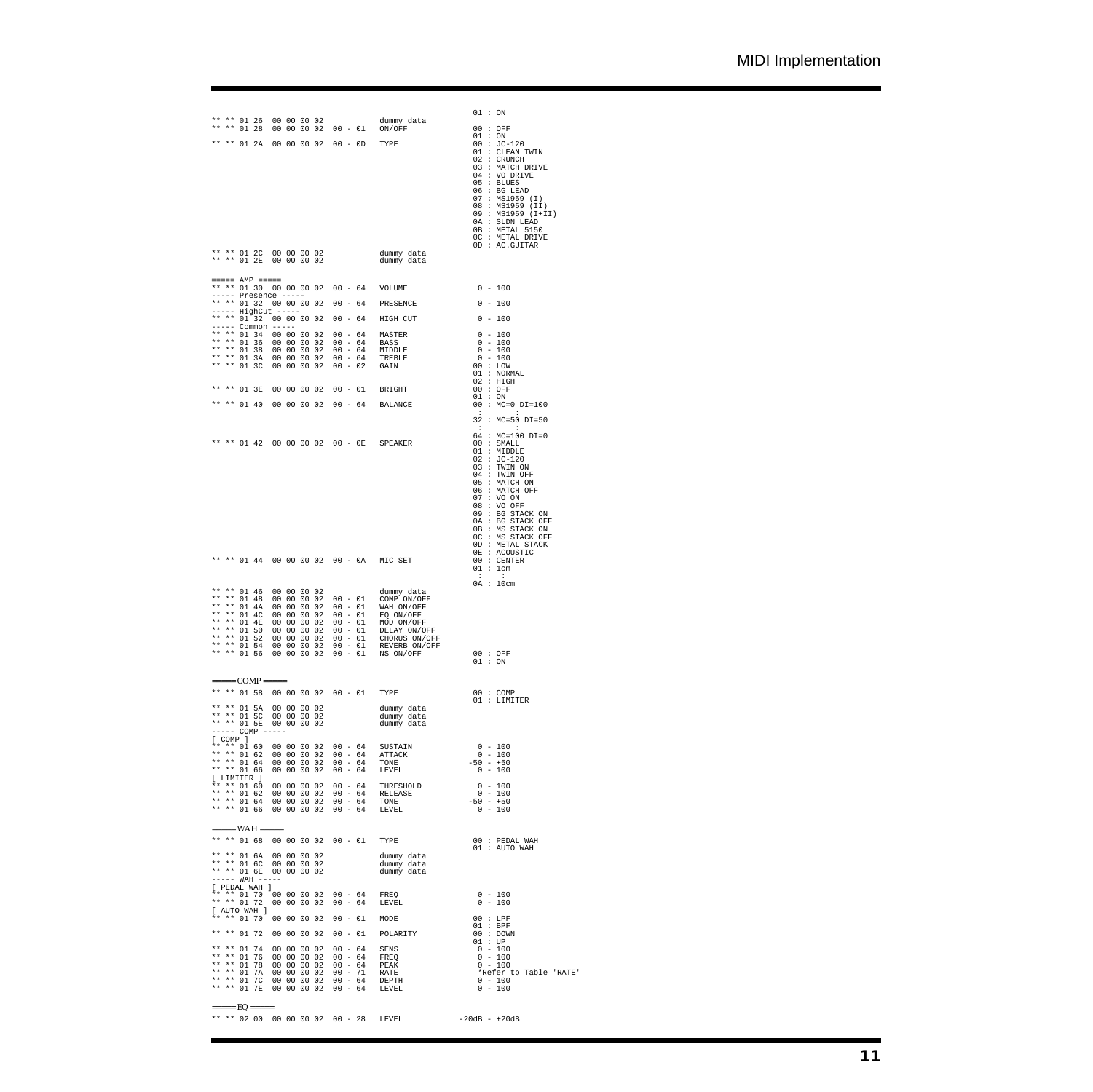| ** ** 01 2A                                                                                    | ** ** 01 26 00 00 00 02<br>** ** 01 28 00 00 00 02 00 - 01 ON/OFF<br>00 00 00 02 00 - 0D TYPE                                                                                                                                                              | dummy data                                             | 01 : ON<br>00 : OFF<br>01 : ON<br>$00 : JC-120$<br>01 : CLEAN TWIN<br>02 : CRUNCH<br>03 : MATCH DRIVE<br>04 : VO DRIVE<br>05 : BLUES<br>06 : BG LENGTH<br>07 : MS1959 (I)<br>08 : MS1959 (II)<br>09 : MS1959 (I+II)<br>0A : SLDN LEAD<br>0B : METAL 5150<br>OC : METAL DRIVE<br>$0D$ : AC.GUITAR |
|------------------------------------------------------------------------------------------------|------------------------------------------------------------------------------------------------------------------------------------------------------------------------------------------------------------------------------------------------------------|--------------------------------------------------------|--------------------------------------------------------------------------------------------------------------------------------------------------------------------------------------------------------------------------------------------------------------------------------------------------|
|                                                                                                | ** ** 01 2C 00 00 00 02 dummy data<br>** ** 01 2E 00 00 00 02 dummy data                                                                                                                                                                                   |                                                        |                                                                                                                                                                                                                                                                                                  |
| $\qquad \qquad \text{where} \quad \text{AMP} \quad \text{where} \quad$<br>----- Presence ----- | ** ** 01 30 00 00 00 02 00 - 64 VOLUME                                                                                                                                                                                                                     |                                                        | $0 - 100$                                                                                                                                                                                                                                                                                        |
| ----- HighCut -----                                                                            | ** ** 01 32 00 00 00 02 00 - 64 PRESENCE                                                                                                                                                                                                                   |                                                        | $0 - 100$                                                                                                                                                                                                                                                                                        |
| ----- Common -----                                                                             | ** ** 01 32 00 00 00 02                                                                                                                                                                                                                                    | 00 - 64 HIGH CUT                                       | $0 - 100$                                                                                                                                                                                                                                                                                        |
|                                                                                                | ** ** 01 34 00 00 00 02<br>00 - 64 MASTER<br>** ** 01 36 00 00 00 02<br>$00 - 64$ BASS<br>** ** 01 38 00 00 00 02<br>** ** 01 3A 00 00 00 02<br>** ** 01 3C 00 00 00 02                                                                                    | $00 - 64$ MIDDLE<br>$00 - 64$ TREBLE<br>$00 - 02$ GAIN | $0 - 100$<br>$0 - 100$<br>$0 - 100$<br>$0 - 100$<br>00 : LOW<br>01 : NORMAL                                                                                                                                                                                                                      |
| ** ** 01 3E                                                                                    | 00 00 00 02                                                                                                                                                                                                                                                | $00 - 01$ BRIGHT                                       | 02 : HIGH<br>$\begin{array}{l} 00 \ : \ \text{OFF} \\ 01 \ : \ \text{ON} \end{array}$                                                                                                                                                                                                            |
| ** ** 01 40                                                                                    | 00 00 00 02 00 - 64 BALANCE                                                                                                                                                                                                                                |                                                        | $00 : MC = 0 DI = 100$<br><b>State State</b>                                                                                                                                                                                                                                                     |
|                                                                                                |                                                                                                                                                                                                                                                            |                                                        | 32 : MC=50 DI=50<br>$\mathbf{1}$ , and $\mathbf{1}$ , and $\mathbf{1}$                                                                                                                                                                                                                           |
|                                                                                                | ** ** 01 42 00 00 00 02 00 - 0E SPEAKER                                                                                                                                                                                                                    |                                                        | 64 : MC=100 DI=0<br>00 : SMALL<br>01 : MIDDLE<br>$02 : JC-120$<br>$03$ : TWIN ON<br>$04$ : TWIN OFF<br>05 : MATCH ON<br>$06$ : MATCH OFF<br>07 : VO ON<br>08 : VO OFF<br>09 : BG STACK ON<br>0A : BG STACK OFF<br>0B : MS STACK ON<br>OC : MS STACK OFF                                          |
|                                                                                                | ** ** 01 44 00 00 00 02 00 - 0A MIC SET                                                                                                                                                                                                                    |                                                        | OD : METAL STACK<br>OE : ACOUSTIC<br>00 : CENTER<br>01 : 1cm<br>$\cdot$ :<br>- 11                                                                                                                                                                                                                |
| ** ** 01 46                                                                                    | 00 00 00 02<br>** ** 01 48 00 00 00 02 00 - 01 COMP ON/OFF<br>** ** 01 48 00 00 00 02 00 - 01 WAH ON/OFF<br>** ** 01 42 00 00 00 02 00 - 01 WAH ON/OFF<br>** ** 01 4E 00 00 00 02 00 - 01 MOD ON/OFF<br>** ** 01 52 00 00 00 02 00 - 01 DELAY ON/OFF<br>** | dummy data                                             | 0A : 10cm<br>00 : OFF<br>01 : ON                                                                                                                                                                                                                                                                 |
| $====$ COMP =====                                                                              |                                                                                                                                                                                                                                                            |                                                        |                                                                                                                                                                                                                                                                                                  |
| $---COMP\ \ -----$                                                                             | ** ** 01 58 00 00 00 02 00 - 01<br>** ** 01 5A 00 00 00 02<br>** ** 01 5C 00 00 00 02<br>** ** 01 5E 00 00 00 02                                                                                                                                           | TYPE<br>dummy data<br>dummy data<br>dummy data         | 00 : COMP<br>01 : LIMITER                                                                                                                                                                                                                                                                        |
| $[$ COMP $]$                                                                                   | ** ** 01 60 00 00 00 00 2 00 - 64 SUSTAIN<br>** ** 01 62 00 00 00 02 00 - 64 ATTACK<br>** ** 01 64 00 00 00 02 00 - 64 TONE                                                                                                                                |                                                        | $0 - 100$<br>$0 - 100$                                                                                                                                                                                                                                                                           |
|                                                                                                | ** ** 01 64 00 00 00 02<br>** ** 01 66 00 00 00 02 00 - 64 LEVEL                                                                                                                                                                                           |                                                        | $-50 - +50$<br>$0 - 100$                                                                                                                                                                                                                                                                         |
| [ LIMITER ]<br>** ** 01 60<br>$\star\star\;\star\star\;\;01\;\;62$                             |                                                                                                                                                                                                                                                            |                                                        | $\frac{0}{0} - 100$<br>$0 - 100$                                                                                                                                                                                                                                                                 |
| ** ** 01 64<br>** ** 01 66                                                                     | $\begin{array}{cccc} 00&00&00&02&00\; -\; 64 &\text{THRESHOLD} \\ 00&00&00&02&00\; -\; 64 &\text{RELEASE} \\ 00&00&00&02&00\; -\; 64 &\text{TONE} \\ 00&00&00&02&00\; -\; 64 &\text{LEVEL} \end{array}$                                                    |                                                        | $-50 - +50$<br>$0 - 100$                                                                                                                                                                                                                                                                         |
| $====$ WAH =====                                                                               |                                                                                                                                                                                                                                                            |                                                        |                                                                                                                                                                                                                                                                                                  |
|                                                                                                | ** ** 01 68 00 00 00 02 00 - 01 TYPE                                                                                                                                                                                                                       |                                                        | $00:$ PEDAL WAH<br>$01:$ AUTO WAH                                                                                                                                                                                                                                                                |
| $--- - - -$ WAH -----<br>[ PEDAL WAH ]                                                         | ** ** 01 6A 00 00 00 02<br>** ** 01 6C 00 00 00 02<br>** ** 01 6E 00 00 00 02                                                                                                                                                                              | dummy data<br>dummy data<br>dummy data                 |                                                                                                                                                                                                                                                                                                  |
|                                                                                                | ** ** 01 70 00 00 00 02 00 - 64 FREQ<br>** ** 01 72 00 00 00 02 00 - 64 LEVEI<br>00 - 64 LEVEL                                                                                                                                                             |                                                        | $0 - 100$<br>$0 - 100$                                                                                                                                                                                                                                                                           |
| [ AUTO WAH ]                                                                                   | ** ** 01 70 00 00 00 02<br>00 - 01 MODE                                                                                                                                                                                                                    |                                                        | 00 : LPF<br>$01$ : BPF                                                                                                                                                                                                                                                                           |
| ** ** 01 72                                                                                    | 00 00 00 02                                                                                                                                                                                                                                                | $00 - 01$ POLARITY                                     | $\begin{array}{lcl} 00 & : & \text{Down} \\ 01 & : & \text{UP} \end{array}$                                                                                                                                                                                                                      |
|                                                                                                |                                                                                                                                                                                                                                                            |                                                        | $0 - 100$<br>$0 - 100$                                                                                                                                                                                                                                                                           |
|                                                                                                |                                                                                                                                                                                                                                                            |                                                        | $0 - 100$<br>*Refer to Table 'RATE'<br>$0 - 100$<br>$0 - 100$                                                                                                                                                                                                                                    |
|                                                                                                | ** ** 02 00 00 00 00 02 00 - 28 LEVEL                                                                                                                                                                                                                      |                                                        | $-20dB - +20dB$                                                                                                                                                                                                                                                                                  |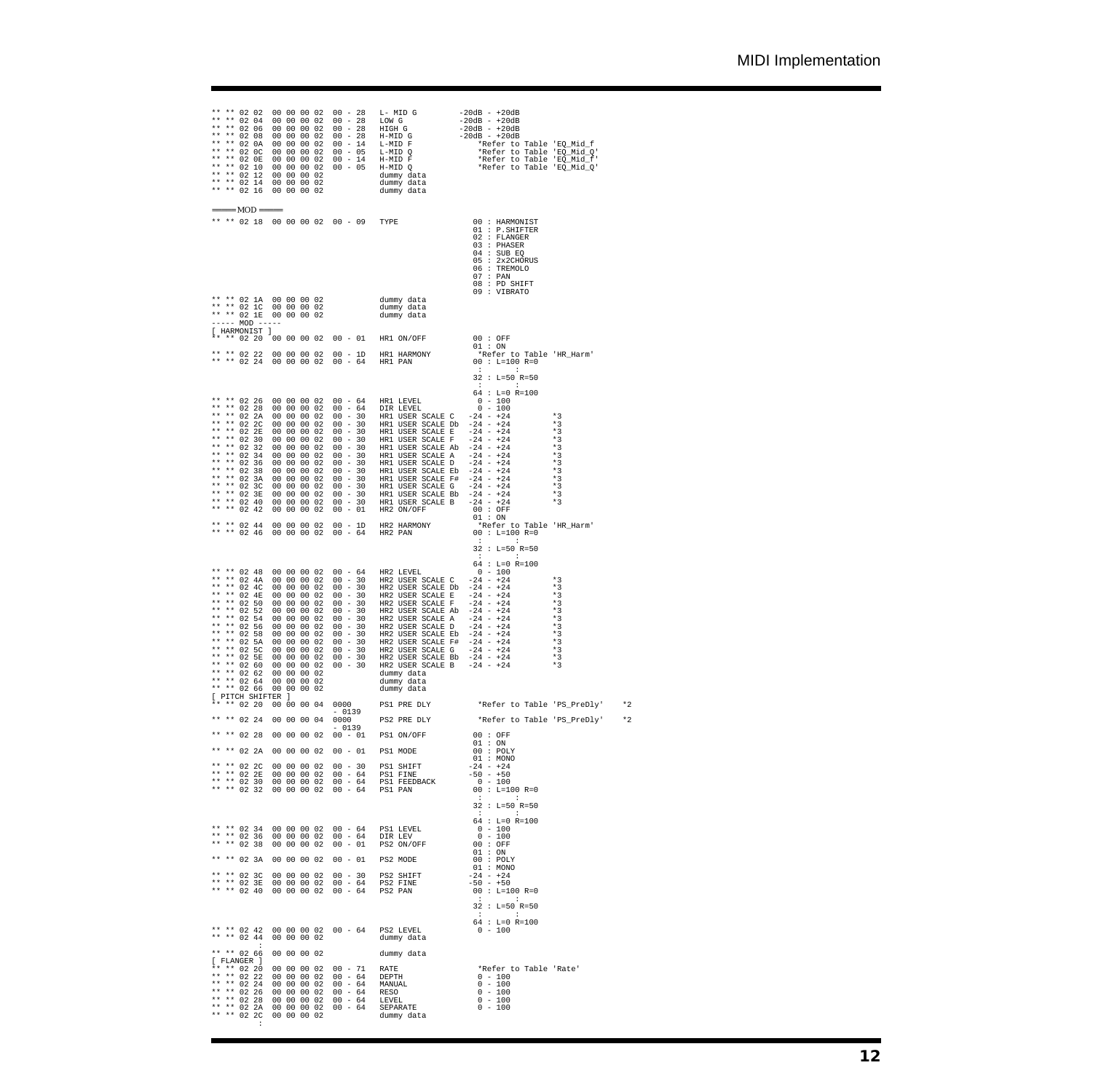| **<br>**<br>**<br>**<br>**                                                                                             | ** ** 02 02<br>$***$<br>$* *$<br>$***$<br>$** 02 12$<br>** ** 02 14<br>** ** 02 16                                   | 02 04<br>02 06<br>02 08<br>** 02 0A<br>** 02 OC<br>** 02 OE<br>** 02 10                                  |                                              |                            | 00 00 00 02<br>00 00 00 02<br>00 00 00 02<br>00 00 00 02<br>00 00 00 02<br>00 00 00 02<br>00 00 00 02<br>00 00 00 02<br>00 00 00 02<br>00 00 00 02<br>00 00 00 02                                                             |      |                                                                                                                                |                                      | dummy data<br>dummy data                                                                                                                                                                                                                                                                                                                                                                                       |                                                                                                                                                                                                                                                                                           |                                                                                              |      |
|------------------------------------------------------------------------------------------------------------------------|----------------------------------------------------------------------------------------------------------------------|----------------------------------------------------------------------------------------------------------|----------------------------------------------|----------------------------|-------------------------------------------------------------------------------------------------------------------------------------------------------------------------------------------------------------------------------|------|--------------------------------------------------------------------------------------------------------------------------------|--------------------------------------|----------------------------------------------------------------------------------------------------------------------------------------------------------------------------------------------------------------------------------------------------------------------------------------------------------------------------------------------------------------------------------------------------------------|-------------------------------------------------------------------------------------------------------------------------------------------------------------------------------------------------------------------------------------------------------------------------------------------|----------------------------------------------------------------------------------------------|------|
|                                                                                                                        |                                                                                                                      |                                                                                                          | $==== MOD == ==$                             |                            |                                                                                                                                                                                                                               |      |                                                                                                                                | ** ** 02 18 00 00 00 02 00 - 09 TYPE |                                                                                                                                                                                                                                                                                                                                                                                                                | 00 : HARMONIST<br>01 : P.SHIFTERER<br>02 : FLANGER<br>03 : PHASER<br>04 : SUB EO<br>05 : 2x2CHORUS<br>06 : TREMOLO<br>07 : PAN<br>$08:$ PD SHIFT                                                                                                                                          |                                                                                              |      |
|                                                                                                                        |                                                                                                                      |                                                                                                          | $--- MOD$ $---$                              |                            |                                                                                                                                                                                                                               |      |                                                                                                                                |                                      | ** ** 02 1A 00 00 00 02 dummy data<br>** ** 02 1C 00 00 00 02 dummy data<br>** ** 02 1E 00 00 00 02 dummy data                                                                                                                                                                                                                                                                                                 | 09 : VIBRATO                                                                                                                                                                                                                                                                              |                                                                                              |      |
|                                                                                                                        | ** ** 02 20                                                                                                          |                                                                                                          | [ HARMONIST ]                                |                            |                                                                                                                                                                                                                               |      |                                                                                                                                |                                      |                                                                                                                                                                                                                                                                                                                                                                                                                |                                                                                                                                                                                                                                                                                           |                                                                                              |      |
|                                                                                                                        | ** ** 02 22<br>** ** 02 24                                                                                           |                                                                                                          |                                              |                            |                                                                                                                                                                                                                               |      |                                                                                                                                |                                      |                                                                                                                                                                                                                                                                                                                                                                                                                | <b>CENTER CONTROL</b><br>$32 : L=50 R=50$<br><b>CENTER CONTROL</b>                                                                                                                                                                                                                        |                                                                                              |      |
| **<br>**<br>**<br>**<br>**<br>$\star\star$<br>$\star\star$<br>$\star\star$<br>$* *$<br>**<br>**<br>* *<br>$\star\star$ | ** 02 32<br>** 02 34<br>** 02 36<br>** 02 38<br>** 02 3A<br>** 02 3C<br>** ** 02 3E<br>** ** 02 40<br>** 02 42       | $** 02 26$<br>** 02 28<br>** 02 2A<br>** 02 2C<br>** 02 2E<br>** 02 30                                   |                                              |                            | 00 00 00 02<br>00 00 00 02<br>00 00 00 02<br>00 00 00 02<br>00 00 00 02<br>00 00 00 02<br>00 00 00 02<br>00 00 00 02<br>00 00 00 02<br>00 00 00 02<br>00 00 00 02<br>00 00 00 02<br>00 00 00 02<br>00 00 00 02<br>00 00 00 02 |      | $00 - 30$<br>$00 - 30$<br>$00 - 30$<br>$00 - 30$<br>$00 - 30$<br>$00 - 30$<br>$00 - 30$<br>$00 - 30$                           |                                      | 00 - 64 HR1 LEVEL<br>00 - 64 DIR LEVEL<br>$00 - 30$ HR1 USER SCALE C $-24 - +24$<br>$00 - 30$ HR1 USER SCALE Db $-24 - +24$<br>HR1 USER SCALE E<br>HR1 USER SCALE F<br>HR1 USER SCALE Ab<br>HR1 USER SCALE A<br>HR1 USER SCALE D<br>HR1 USER SCALE Eb<br>00 - 30 HR1 USER SCALE F#<br>HR1 USER SCALE G<br>HR1 USER SCALE Bb $-24 - +24$                                                                        | $64 : L=0 R=100$<br>$0 - 100$<br>$0 - 100$<br>$-24$ - $+24$<br>-24 - $+24$<br>$-24 - +24$<br>$-24 - +24$<br>$-24 - +24$<br>$-24$ - $+24$<br>$-24$ - $+24$<br>$-24$ - $+24$<br>$+24$                                                                                                       | $*3$<br>$*3$<br>$*3$<br>$*3$<br>$*3$<br>$*3$<br>$*3$<br>$*3$<br>$*3$<br>$*3$<br>$*3$         |      |
|                                                                                                                        | ** ** 02 44<br>** ** 02 46                                                                                           |                                                                                                          |                                              |                            | 00 00 00 02<br>00 00 00 02                                                                                                                                                                                                    |      |                                                                                                                                |                                      | $\begin{tabular}{lllllllllllllllll} \multicolumn{2}{c }{0.0\,-\,30} & $\text{HRL USER SCALE B}$ & $-24\,-\,4\,-\,4\,4$ & $\ast$3\\ \multicolumn{2}{c }{0.0\,-\,01} & $\text{HR2 ON/OFF}$ & 0.0: $OPT$ & $\ast$3\\ \multicolumn{2}{c }{0.0\,-\,01}$ & $\text{HR2 HARMONY}$ & $\phantom{-}1$ & $\ast$0$ & $\ast$0$\\ \multicolumn{2}{c }{0.0\,-\,01}$ & $\text{HR2 HARMONY}$ & $\ast$0$ & $\ast$1$ & $\ast$1$\\$ |                                                                                                                                                                                                                                                                                           |                                                                                              |      |
| **<br>$* *$<br>$* *$<br>$* *$<br>**<br>**<br>**<br>**<br>$* *$                                                         | $** 02 54$<br>** 02 56<br>** 02 5E<br>** ** 02 60<br>** ** 02 62<br>** ** 02 64                                      | ** 02 48<br>** 02 4A<br>** 02 4C<br>** 02 4E<br>** 02 50<br>** 02 52<br>** 02 58<br>** 02 5A<br>** 02 5C | ** ** 02 66 00 00 00 02<br>[ PITCH SHIFTER ] |                            | 00 00 00 02<br>00 00 00 02<br>00 00 00 02<br>00 00 00 02<br>00 00 00 02<br>00 00 00 02<br>00 00 00 02<br>00 00 00 02<br>00 00 00 02<br>00 00 00 02<br>00 00 00 02<br>00 00 00 02<br>00 00 00 02<br>00 00 00 02<br>00 00 00 02 |      | $00 - 30$<br>$00 - 30$<br>$00 - 30$<br>$00 - 30$<br>$00 - 30$<br>$00 - 30$<br>$00 - 30$<br>$00 - 30$<br>$00 - 30$<br>$00 - 30$ |                                      | 00 - 64 HR2 LEVEL<br>00 - 30 HR2 USER SCALE C<br>00 - 30 HR2 USER SCALE Db<br>HR2 USER SCALE E<br>HR2 USER SCALE F<br>HR2 USER SCALE Ab<br>HR2 USER SCALE A<br>HR2 USER SCALE D<br>HR2 USER SCALE Eb<br>dummy data<br>dummy data<br>dummy data                                                                                                                                                                 | <b>Experience of the State</b><br>$32 : L=50 R=50$<br><b>CENTRAL CONTRACTOR</b><br>$64 : L=0 R=100$<br>$0 - 100$<br>$-24 - +24$<br>$-24 - +24$<br>$\begin{array}{r} -24 - +24 \\ -24 - +24 \\ -24 - +24 \\ -24 - +24 \\ -24 - +24 \\ -24 - +24 \end{array}$<br>$-24 - +24$<br>$-24 - +24$ | $*3$<br>$*3$<br>$*3$<br>$*3$<br>$*3$<br>$*3$<br>$*3$<br>$*3$<br>$*3$<br>$*3$<br>$*3$<br>$*3$ |      |
|                                                                                                                        |                                                                                                                      |                                                                                                          | ** ** 02 20 00 00 00 04                      |                            |                                                                                                                                                                                                                               | 0000 | $-0139$                                                                                                                        |                                      | PS1 PRE DLY                                                                                                                                                                                                                                                                                                                                                                                                    |                                                                                                                                                                                                                                                                                           | *Refer to Table 'PS PreDly'                                                                  | $*2$ |
| **<br>**<br>**                                                                                                         | ** ** 02 24<br>** ** 02 28<br>** ** 02 2A<br>** 02 32                                                                | ** 02 2C<br>** 02 2E<br>** 02 30                                                                         |                                              | 00 00 00 04<br>00 00 00 02 | 00 00 00 02<br>00 00 00 02<br>00 00 00 02<br>00 00 00 02<br>00 00 00 02                                                                                                                                                       | 0000 | $-0139$<br>$00 - 01$<br>$00 - 01$<br>$00 - 30$<br>$00 - 64$<br>$00 - 64$<br>$00 - 64$                                          |                                      | PS2 PRE DLY<br>PS1 ON/OFF<br>PS1 MODE<br>PS1 SHIFT<br>PS1 FINE<br>PS1 FEEDBACK<br>PS1 PAN                                                                                                                                                                                                                                                                                                                      | 00 : OFF<br>01:ON<br>$00$ : POLY<br>01 : MONO<br>$-24 - 24$<br>$-50 - +50$<br>$0 - 100$<br>$00 : L=100 R=0$<br><b>CENTER CONTRACTOR</b><br>$32 : L=50 R=50$<br><b>CENTER CONTROL</b>                                                                                                      | *Refer to Table 'PS_PreDly' *2                                                               |      |
| **                                                                                                                     | ** ** 02 34<br>** ** 02 3A<br>** ** 02 3C<br>** 02 3E<br>** 02 40                                                    | ** 02 36<br>** 02 38                                                                                     |                                              |                            | 00 00 00 02<br>00 00 00 02<br>00 00 00 02<br>00 00 00 02<br>00 00 00 02<br>00 00 00 02                                                                                                                                        |      | $00 00 00 02 00 - 64$<br>$00 - 64$<br>$00 - 01$<br>$00 - 01$<br>$00 - 30$<br>$00 - 64$<br>$00 - 64$                            |                                      | PS1 LEVEL<br>DIR LEV<br>PS2 ON/OFF<br>PS2 MODE<br>PS2 SHIFT<br>PS2 FINE<br>PS2 PAN                                                                                                                                                                                                                                                                                                                             | $64 : L=0 R=100$<br>$0 - 100$<br>$0 - 100$<br>00 : OFF<br>01:ON<br>00 : POLY<br>01 : MONO<br>$-24 - 24$<br>$-50 - +50$<br>$00 : L=100 R=0$<br><b>COLLEGE</b><br>- 11<br>$32 : L=50 R=50$<br><b>Committee Committee</b><br>$64 : L=0 R=100$                                                |                                                                                              |      |
|                                                                                                                        | ** ** 02 42                                                                                                          | ** 02 44                                                                                                 |                                              |                            | 00 00 00 02                                                                                                                                                                                                                   |      | $00 00 00 02 00 - 64$                                                                                                          |                                      | PS2 LEVEL<br>dummy data                                                                                                                                                                                                                                                                                                                                                                                        | $0 - 100$                                                                                                                                                                                                                                                                                 |                                                                                              |      |
|                                                                                                                        | ** ** 02 66<br>[ FLANGER ]<br>** ** 02 22<br>** ** 02 24<br>** ** 02 26<br>** ** 02 28<br>** ** 02 2A<br>** ** 02 2C | ** 02 20                                                                                                 | п.                                           | 00 00 00 02                | 00 00 00 02<br>00 00 00 02<br>00 00 00 02<br>00 00 00 02<br>00 00 00 02<br>00 00 00 02<br>00 00 00 02                                                                                                                         |      | $00 - 71$<br>$00 - 64$<br>$00 - 64$<br>$00 - 64$<br>$00 - 64$<br>$00 - 64$                                                     |                                      | dummy data<br>RATE<br>DEPTH<br>MANUAL<br>RESO<br>LEVEL<br>SEPARATE<br>dummy data                                                                                                                                                                                                                                                                                                                               | *Refer to Table 'Rate'<br>$0 - 100$<br>$0 - 100$<br>$0 - 100$<br>$0 - 100$<br>$0 - 100$                                                                                                                                                                                                   |                                                                                              |      |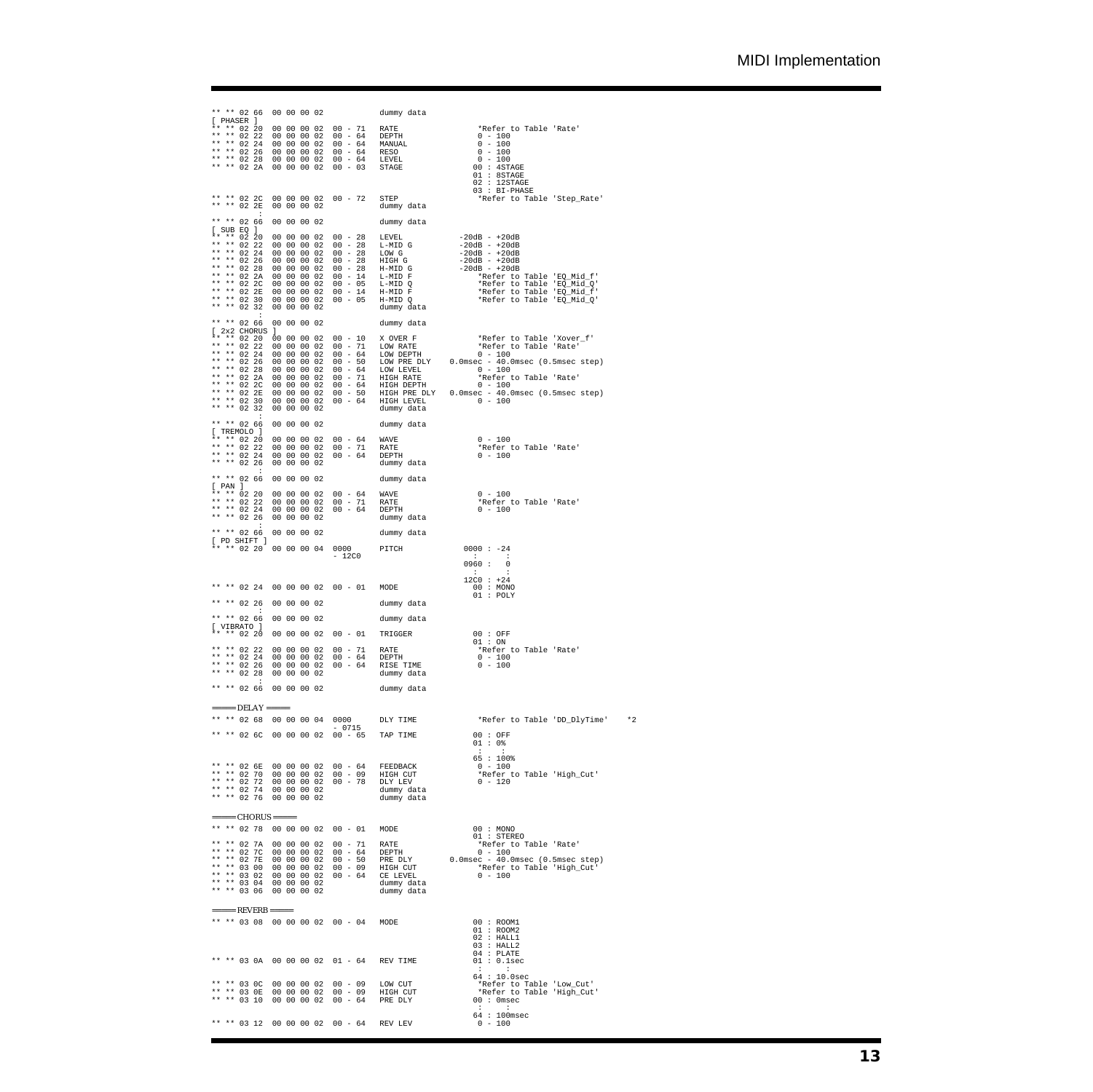| [ PHASER ]                                               |                         | ** ** 02 66 00 00 00 02                                         |  |                                                          |                                                |           |                                 | dummy data                                                                                                                                                                                                                                                                          |                                                                                                                                                                                                                                                                   |
|----------------------------------------------------------|-------------------------|-----------------------------------------------------------------|--|----------------------------------------------------------|------------------------------------------------|-----------|---------------------------------|-------------------------------------------------------------------------------------------------------------------------------------------------------------------------------------------------------------------------------------------------------------------------------------|-------------------------------------------------------------------------------------------------------------------------------------------------------------------------------------------------------------------------------------------------------------------|
| ** ** 02 24<br>** ** 02 26                               | $***$ 02 20<br>** 02 22 |                                                                 |  |                                                          |                                                |           |                                 | 00 00 00 02 00 - 71 RATE<br>00 00 00 02 00 - 64 DEPTH<br>00 00 00 02 00 - 64 DEPTH<br>00 00 00 02 00 - 64 RANUAL<br>00 00 00 02 00 - 64 RESSO<br>00 00 02 00 - 64 LEVEL<br>00 00 02 00 - 64 LEVEL<br>** ** 02 28 00 00 00 02 00 - 64 LEVEL<br>** ** 02 2A 00 00 00 02 00 - 03 STAGE | *Refer to Table 'Rate'<br>$0 - 100$<br>$0 - 100$<br>$0 - 100$<br>$0 - 100$<br>$00:4$ STAGE<br>01 : 8STAGE<br>$02 : 12$ STAGE                                                                                                                                      |
| ** ** 02 2C<br>** ** 02 2E                               |                         |                                                                 |  |                                                          | $00 00 00 02 00 - 72$<br>00 00 00 02           |           |                                 | STEP<br>dummy data                                                                                                                                                                                                                                                                  | $03 : BI-PHASE$<br>*Refer to Table 'Step_Rate'                                                                                                                                                                                                                    |
| ** ** 02 66                                              |                         |                                                                 |  | 00 00 00 02                                              |                                                |           |                                 | dummy data                                                                                                                                                                                                                                                                          |                                                                                                                                                                                                                                                                   |
| $[$ SUB EQ $]$<br>** ** 02 32                            |                         |                                                                 |  | 00 00 00 02                                              |                                                |           |                                 | 00 00 00 02 00 - 28 LEVEL<br>dummy data                                                                                                                                                                                                                                             |                                                                                                                                                                                                                                                                   |
| ** ** 02 66                                              |                         | [ 2x2 CHORUS ]                                                  |  |                                                          | 00 00 00 02                                    |           |                                 | dummy data                                                                                                                                                                                                                                                                          |                                                                                                                                                                                                                                                                   |
| ** ** 02 30<br>** ** 02 32                               |                         |                                                                 |  | 00 00 00 02                                              |                                                |           |                                 | dummy data                                                                                                                                                                                                                                                                          | ** ** 02 2E 00 00 00 02 00 - 50 HIGH PRE DLY 0.0msec - 40.0msec (0.5msec step)<br>** ** 02 30 00 00 00 02 00 - 64 HIGH LEVEL 0 - 100                                                                                                                              |
| ** ** 02 66<br>[ TREMOLO ]                               |                         |                                                                 |  | 00 00 00 02                                              |                                                |           |                                 | dummy data                                                                                                                                                                                                                                                                          |                                                                                                                                                                                                                                                                   |
| ** ** 02 20<br>** ** 02 22<br>** ** 02 24<br>** ** 02 26 |                         |                                                                 |  | 00 00 00 02                                              |                                                |           |                                 | 00 00 00 02 00 - 64 WAVE<br>00 00 00 02 00 - 71 RATE<br>00 00 00 02 00 - 64 DEPTH<br>dummy data                                                                                                                                                                                     | $0 - 100$<br>*Refer to Table 'Rate'<br>$0 - 100$                                                                                                                                                                                                                  |
| ** ** 02 66<br>$[$ PAN $]$                               |                         |                                                                 |  | 00 00 00 02                                              |                                                |           |                                 | dummy data                                                                                                                                                                                                                                                                          |                                                                                                                                                                                                                                                                   |
| ** 02 20<br>** ** 02 22<br>** ** 02 24<br>** ** 02 26    |                         |                                                                 |  | 00 00 00 02                                              |                                                |           |                                 | $00\ 00\ 00\ 02\ 00 - 71$ RATE<br>00 00 00 02 00 - 71 RATE<br>00 00 00 02 00 - 64 DEPTH<br>00 00 00 02<br>dummy data                                                                                                                                                                | $0 - 100$<br>*Refer to Table 'Rate'<br>$0 - 100$                                                                                                                                                                                                                  |
|                                                          |                         | ** ** 02 66 00 00 00 02<br>[ PD SHIFT ]                         |  |                                                          |                                                |           |                                 | dummy data                                                                                                                                                                                                                                                                          |                                                                                                                                                                                                                                                                   |
|                                                          |                         | ** ** 02 20 00 00 00 04 0000                                    |  |                                                          |                                                |           | $-12C0$                         | PITCH                                                                                                                                                                                                                                                                               | $0000 : -24$<br><b>Contract Contract</b><br>$\sim$<br>0960 : 0<br>$\sim$ 1.000 $\sim$<br>$\mathbf{r}$                                                                                                                                                             |
|                                                          |                         |                                                                 |  |                                                          |                                                |           |                                 |                                                                                                                                                                                                                                                                                     | $12C0 : +24$<br>00 : MONO                                                                                                                                                                                                                                         |
| ** ** 02 26                                              |                         |                                                                 |  | 00 00 00 02                                              |                                                |           |                                 | dummy data                                                                                                                                                                                                                                                                          | $01$ : POLY                                                                                                                                                                                                                                                       |
| ** ** 02 66<br>[ VIBRATO ]                               |                         |                                                                 |  | 00 00 00 02                                              |                                                |           |                                 | dummy data                                                                                                                                                                                                                                                                          |                                                                                                                                                                                                                                                                   |
| ** ** 02 20                                              |                         |                                                                 |  |                                                          |                                                |           |                                 | 00 00 00 02 00 - 01 TRIGGER                                                                                                                                                                                                                                                         | 00 : OFF                                                                                                                                                                                                                                                          |
| ** ** 02 22<br>** ** 02 24<br>** ** 02 26<br>** ** 02 28 |                         |                                                                 |  | 00 00 00 02<br>00 00 00 02<br>00 00 00 02<br>00 00 00 02 |                                                |           |                                 | dummy data                                                                                                                                                                                                                                                                          | $\begin{tabular}{lllllllllllll} 00 & - & 01 & TRIGGER & 00: OFF \\ 00 & - & 71 & RATE & 01: ON \\ 00 & - & 64 & DEPTH & 0 & - & 100 \\ 00 & - & 64 & RISE TIME & 0 & - & 100 \\ 01 & - & 64 & RISE TIME & 0 & - & 100 \\ \end{tabular}$<br>*Refer to Table 'Rate' |
|                                                          |                         | ** ** 02 66 00 00 00 02                                         |  |                                                          |                                                |           |                                 | dummy data                                                                                                                                                                                                                                                                          |                                                                                                                                                                                                                                                                   |
|                                                          |                         | $= == ==$ DELAY =====                                           |  |                                                          |                                                |           |                                 |                                                                                                                                                                                                                                                                                     |                                                                                                                                                                                                                                                                   |
|                                                          |                         | ** ** 02 68 00 00 00 04 0000<br>** ** 02 6C 00 00 00 02 00 - 65 |  |                                                          |                                                | $-0715$   |                                 | DLY TIME<br>TAP TIME                                                                                                                                                                                                                                                                | $*2$<br>*Refer to Table 'DD_DlyTime'<br>00 : OFF                                                                                                                                                                                                                  |
|                                                          |                         |                                                                 |  |                                                          |                                                |           |                                 |                                                                                                                                                                                                                                                                                     | $01 : 0$ %<br>$\sim$<br>$\rightarrow$                                                                                                                                                                                                                             |
| ** ** 02 6E<br>** 02 70<br>** ** 02 72                   |                         | ** ** 02 74 00 00 00 02<br>** ** 02 76 00 00 00 02              |  |                                                          | $00 00 00 02 00 - 64$<br>$00 00 00 02 00 - 09$ |           |                                 | FEEDBACK<br>HIGH CUT<br>00 00 00 02 00 - 78 DLY LEV<br>dummy data<br>dummy data                                                                                                                                                                                                     | 65:100%<br>$0 - 100$<br>*Refer to Table 'High_Cut'<br>$0 - 120$                                                                                                                                                                                                   |
|                                                          |                         | $====$ CHORUS =====<br>** ** 02 78 00 00 00 02 00 - 01          |  |                                                          |                                                |           |                                 | MODE                                                                                                                                                                                                                                                                                | 00 : MONO                                                                                                                                                                                                                                                         |
| ** ** 02 7A                                              |                         |                                                                 |  | 00 00 00 02                                              |                                                |           |                                 | 00 - 71 RATE                                                                                                                                                                                                                                                                        | $01 :$ STEREO<br>*Refer to Table 'Rate'                                                                                                                                                                                                                           |
| ** ** 03 00                                              |                         | ** ** 02 7C 00 00 00 02<br>** ** 02 7E 00 00 00 02              |  |                                                          |                                                |           |                                 | $00 - 64$ DEPTH<br>00 - 64 DEFTH<br>00 - 50 PRE DLY<br>00 00 00 02 00 - 09 HIGH CUT                                                                                                                                                                                                 | $0 - 100$<br>$0.0$ msec - $40.0$ msec (0.5msec step)<br>*Refer to Table 'High_Cut'                                                                                                                                                                                |
|                                                          |                         | ** ** 03 04 00 00 00 02                                         |  |                                                          |                                                |           |                                 | ** ** 03 02 00 00 00 02 00 - 64 CE LEVEL<br>dummy data                                                                                                                                                                                                                              | $0 - 100$                                                                                                                                                                                                                                                         |
|                                                          |                         | ** ** 03 06 00 00 00 02                                         |  |                                                          |                                                |           |                                 | dummy data                                                                                                                                                                                                                                                                          |                                                                                                                                                                                                                                                                   |
|                                                          |                         | $====$ REVERB =====<br>** ** 03 08 00 00 00 02 00 - 04          |  |                                                          |                                                |           |                                 | MODE                                                                                                                                                                                                                                                                                | 00 : R00M1                                                                                                                                                                                                                                                        |
|                                                          |                         |                                                                 |  |                                                          |                                                |           |                                 |                                                                                                                                                                                                                                                                                     | 01 : ROOM2<br>02 : HAL1<br>03 : HALL2<br>$04$ : PLATE                                                                                                                                                                                                             |
|                                                          |                         |                                                                 |  |                                                          |                                                |           | ** ** 03 0A 00 00 00 02 01 - 64 | REV TIME                                                                                                                                                                                                                                                                            | 01 : 0.1sec<br>$\mathbb{R}^2$<br>$\sim$ 1.<br>64 : 10.0sec                                                                                                                                                                                                        |
| ** ** 03 0C<br>** ** 03 OE<br>** ** 03 10                |                         |                                                                 |  | 00 00 00 02                                              | $0000000200 - 09$                              | $00 - 64$ | 00 00 00 02 00 - 09             | LOW CUT<br>HIGH CUT<br>PRE DLY                                                                                                                                                                                                                                                      | *Refer to Table 'Low_Cut'<br>*Refer to Table 'High_Cut'<br>$00:0$ msec<br>$\cdot$ :<br>$\sim$ 1                                                                                                                                                                   |
|                                                          |                         |                                                                 |  |                                                          |                                                |           |                                 | ** ** 03 12 00 00 00 02 00 - 64 REV LEV                                                                                                                                                                                                                                             | 64 : 100msec<br>$0 - 100$                                                                                                                                                                                                                                         |
|                                                          |                         |                                                                 |  |                                                          |                                                |           |                                 |                                                                                                                                                                                                                                                                                     |                                                                                                                                                                                                                                                                   |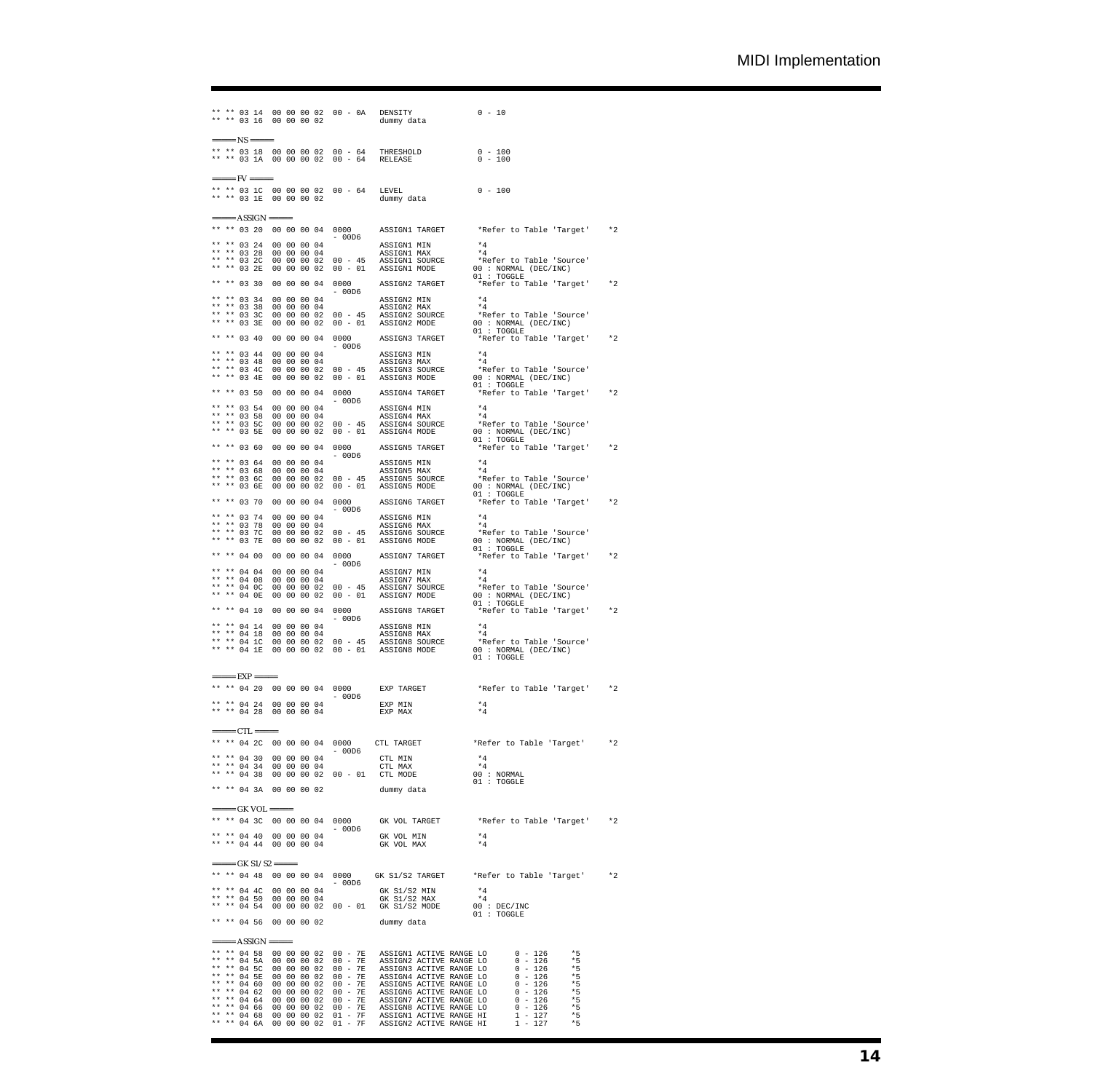```
** ** 03 14 00 00 00 02 00 - 0A DENSITY 0 - 10
** ** 03 16 00 00 00 02 dummy data
= =====
 ** ** 03 18 00 00 00 02 00 - 64 THRESHOLD 0 - 100
** ** 03 1A 00 00 00 02 00 - 64 RELEASE 0 - 100
==== FV == ==** ** 03 1C 00 00 00 02 00 - 64 LEVEL 0 - 100
** ** 03 1E 00 00 00 02 dummy data
  === ASSIGN ==** ** 03 20 00 00 00 04 0000 ASSIGN1 TARGET *Refer to Table 'Target' *2
  - 00D6
** ** 03 24 00 00 00 04 ASSIGN1 MIN *4
** ** 03 28 00 00 00 04 ASSIGN1 MAX *4
 ** ** 03 2C 00 00 00 02 00 - 45 ASSIGN1 SOURCE *Refer to Table 'Source'
 ** ** 03 2E 00 00 00 02 00 - 01 ASSIGN1 MODE 00 : NORMAL (DEC/INC)
** ** 03 2C 00 00 00 02 00 - 45 ASSIGNI MAR<br>** ** 03 2E 00 00 00 02 00 - 01 ASSIGNI MODE<br>** ** 03 30 00 00 00 04 0000 ASSIGN2 TARGET
 ** ** 03 30 00 00 00 04 0000 ASSIGN2 TARGET *Refer to Table 'Target' *2
  - 00D6
** ** 03 34 00 00 00 04 ASSIGN2 MIN *4
** ** 03 38 00 00 00 04 ASSIGN2 MAX *4
 ** ** 03 3C 00 00 00 02 00 - 45 ASSIGN2 SOURCE *Refer to Table 'Source'
 ** ** 03 3E 00 00 00 02 00 - 01 ASSIGN2 MODE 00 : NORMAL (DEC/INC)
** ** 03 34 00 00 00 04<br>
** ** 03 38 00 00 00 04<br>
** ** 03 36 00 00 00 04<br>
** ** 03 3E 00 00 00 02 00 - 45<br>
** ** 03 40 00 00 00 04 0000<br>
** ** 03 40 00 00 00 04 0000<br>
ASSIGN3 TARGET
 ** ** 03 40 00 00 00 04 0000 ASSIGN3 TARGET *Refer to Table 'Target' *2
  - 00D6
** ** 03 44 00 00 00 04 ASSIGN3 MIN *4
** ** 03 48 00 00 00 04 ASSIGN3 MAX *4
 ** ** 03 4C 00 00 00 02 00 - 45 ASSIGN3 SOURCE *Refer to Table 'Source'
 ** ** 03 4E 00 00 00 02 00 - 01 ASSIGN3 MODE 00 : NORMAL (DEC/INC)
 01 : TOGGLE
 ** ** 03 50 00 00 00 04 0000 ASSIGN4 TARGET *Refer to Table 'Target' *2
  - 00D6
** ** 03 54 00 00 00 04 ASSIGN4 MIN *4
** ** 03 58 00 00 00 04 ASSIGN4 MAX *4
 ** ** 03 5C 00 00 00 02 00 - 45 ASSIGN4 SOURCE *Refer to Table 'Source'
 ** ** 03 5E 00 00 00 02 00 - 01 ASSIGN4 MODE 00 : NORMAL (DEC/INC)
**** 03 58 00 00 00 04<br>**** 03 58 00 00 00 02 00 - 45<br>**** 03 5E 00 00 00 02 00 - 01 ASSIGN4 MODE<br>**** 03 60 00 00 00 02 00 - 01 ASSIGN4 MODE
 ** ** 03 60 00 00 00 04 0000 ASSIGN5 TARGET *Refer to Table 'Target' *2
 - 00D6<br>**** 03 64 00 00 00 04<br>**** 03 68 00 00 00 04<br>**** 03 6C 00 00 00 02 00 - 45<br>**** 03 6E 00 00 00 02 00 - 01 ASSIGN5 MODE 00 : NORMAL (DEC/INC)<br>**** 03 6E 00 00 00 02 00 - 01 ASSIGN5 MODE 00 : TOGGLE
** ** 03 6E 00 00 00 02 00 - 01 ASSIGN5 MODE . WORMAL (DEC/INC)<br>** ** 03 6E 00 00 00 02 00 - 01 ASSIGN5 MODE 01: TOGGLE<br>** ** 03 70 00 00 00 04 0000 ASSIGN6 TARGET *Refer to Table 'Target' *2
 ** ** 03 74 00 00 00 04 ASSIGN6 MIN *4<br>** ** 03 78 00 00 00 04 ASSIGN6 MAX *4<br>** ** 03 7C 00 00 00 02 00 - 45 ASSIGN6 SOURCE *Refer to Table 'Source'<br>** ** 03 7E 00 00 00 02 00 - 01 ASSIGN6 MODE 00 : NORMAL (DEC/INC)
  01 : TOGGLE
** ** 04 00 00 00 00 04 0000 ASSIGN7 TARGET *Refer to Table 'Target' *2
  - 00D6
** ** 04 04 00 00 00 04 ASSIGN7 MIN *4
** ** 04 08 00 00 00 04 ASSIGN7 MAX *4
 ** ** 04 0C 00 00 00 02 00 - 45 ASSIGN7 SOURCE *Refer to Table 'Source'
 ** ** 04 0E 00 00 00 02 00 - 01 ASSIGN7 MODE 00 : NORMAL (DEC/INC)
  01 : TOGGLE
** ** 04 10 00 00 00 04 0000 ASSIGN8 TARGET *Refer to Table 'Target' *2
 ** ** 04 14 00 00 00 04 ASSIGN8 MIN *4<br>** ** 04 18 00 00 00 04 ASSIGN8 MAX *4<br>** ** 04 1E 00 00 00 02 00 - 45 ASSIGN8 SOURCE *Refer to Table 'Source'<br>** ** 04 1E 00 00 00 02 00 - 01 ASSIGN8 MODE 00 : NORMAL (DEC/INC)
                                                                                  "+<br>"Refer to Table 'Source'<br>00 : NORMAL (DEC/INC)<br>01 : TOGGLE
  = EXP = = = = =** ** 04 20 00 00 00 04 0000 EXP TARGET *Refer to Table 'Target' *2
  - 00D6
** ** 04 24 00 00 00 04 EXP MIN *4
** ** 04 28 00 00 00 04 EXP MAX *4
===== CTL =====
** ** 04 2C 00 00 00 04 0000 CTL TARGET *Refer to Table 'Target' *2
  - 00D6
** ** 04 30 00 00 00 04 CTL MIN *4
** ** 04 34 00 00 00 04 CTL MAX *4
** ** 04 38 00 00 00 02 00 - 01 CTL MODE 00 : NORMAL
  01 : TOGGLE
** ** 04 3A 00 00 00 02 dummy data
==== GK VOL ====** ** 04 3C 00 00 00 04 0000 GK VOL TARGET *Refer to Table 'Target' *2
  - 00D6
** ** 04 40 00 00 00 04 GK VOL MIN *4
** ** 04 44 00 00 00 04 GK VOL MAX *4
= =====-K S1/S2 =====
** ** 04 48 00 00 00 04 0000 GK S1/S2 TARGET *Refer to Table 'Target' *2
 ** ** 04 4C 00 00 00 04 6K S1/S2 MIN *4<br>** ** 04 50 00 00 00 00 04 6K S1/S2 MAX *4<br>** ** 04 54 00 00 00 02 00 - 01 6K S1/S2 MODE 00 : DEC/INC
  01 : TOGGLE
** ** 04 56 00 00 00 02 dummy data
\begin{array}{lllllllll} \texttt{-----} & \texttt{ASSIGN} \texttt{-----} \\ \texttt{***} & 04 & 58 & 00 & 00 & 00 & 02 \\ \texttt{***} & 04 & 5 \texttt{A} & 00 & 00 & 00 & 02 \\ \texttt{***} & 04 & 5 \texttt{C} & 00 & 00 & 00 & 02 \\ \texttt{***} & 04 & 5 \texttt{E} & 00 & 00 & 00 & 02 \\ \texttt{***} & 04 & 6 \texttt{A} & 0 & 00 & 00 & 02 \\ \texttt{***} & 04 & 64** ** 04 58 00 00 00 02 00 - 7E ASSIGN1 ACTIVE RANGE LO 0 - 126 *5<br>** ** 04 5A 00 00 00 2 00 - 7E ASSIGN3 ACTIVE RANGE LO 0 - 126 *5<br>** ** 04 5C 00 00 00 02 00 - 7E ASSIGN3 ACTIVE RANGE LO 0 - 126 *5
                   ** ** 04 5E 00 00 00 02 00 - 7E ASSIGN4 ACTIVE RANGE LO 0 - 126 *5
                   ** ** 04 60 00 00 00 02 00 - 7E ASSIGN5 ACTIVE RANGE LO 0 - 126 *5
 ** ** 04 62 00 00 00 02 00 – 7E ASSIGNY ACTIVE RANGE LO 0 – 126 *55<br>** ** 04 66 00 00 00 02 00 – 7E ASSIGNY ACTIVE RANGE LO 0 – 126 *5<br>** ** 04 66 00 00 00 02 00 – 7E ASSIGN8 ACTIVE RANGE LO 0 – 126 *5<br>** ** 04 68 00 00 0
```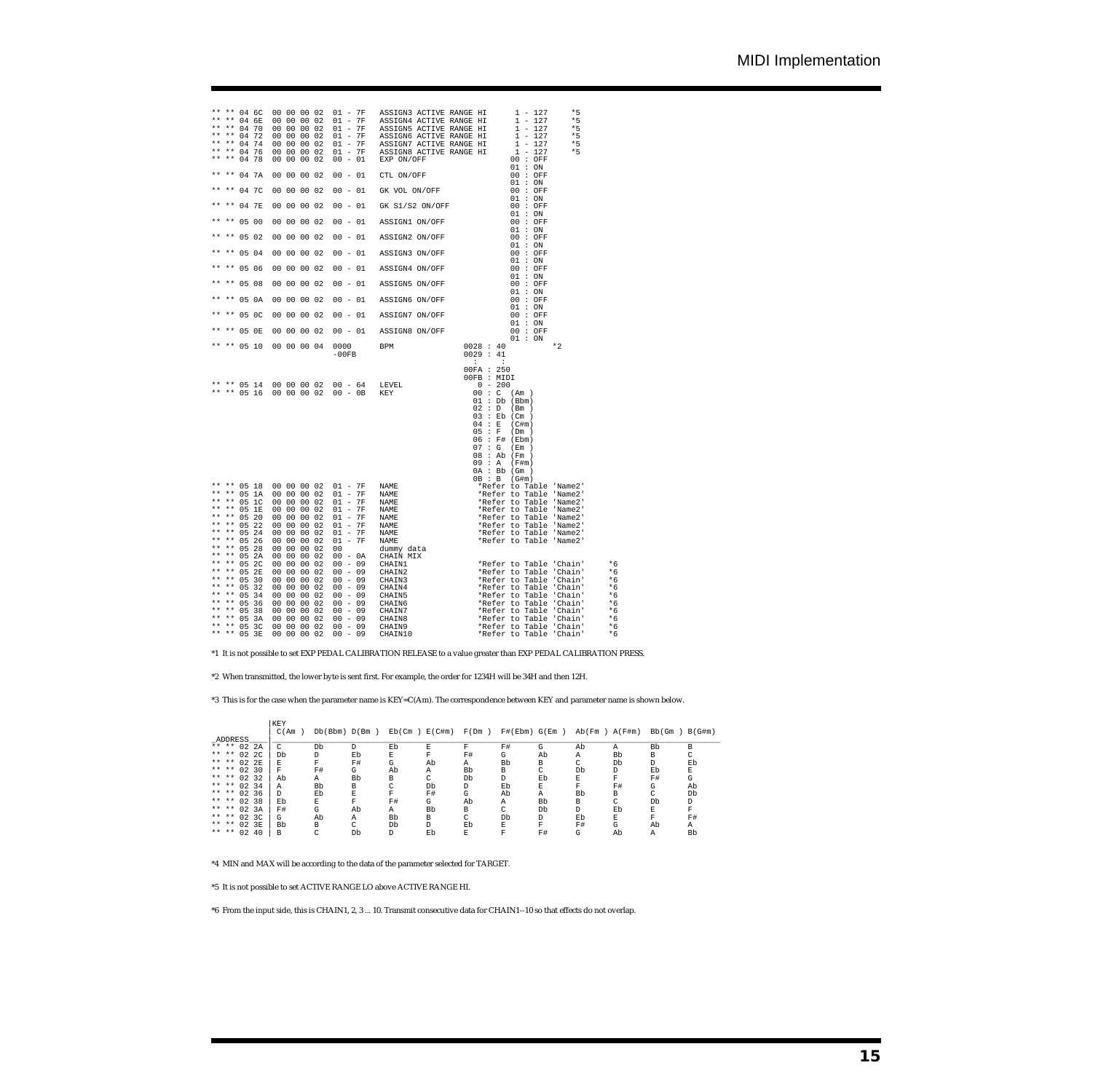| $* *$<br>**<br>$\star$ $\star$<br>$* *$                                                                                                                             | $* *$                                                                     | ** ** 04 6C<br>** 04 6E<br>04 70<br>** 04 72<br>** 04 74<br>** 04 76<br>** 04 78                                                                                                                                                 |  | 00 00 00 02<br>00 00 00 02<br>00 00 00 02<br>00 00 00 02<br>00 00 00 02<br>00 00 00 02<br>00 00 00 02                                                                                                                                                                                                    |           | 01 - 7F ASSIGN3 ACTIVE RANGE HI<br>$01 - 7F \quad \text{ASSICRA ACTIVE RANGE H1} \quad 1 - 127 \\ 01 - 7F \quad \text{ASSICRA ACTIVE RANGE H1} \quad 1 - 127 \\ 01 - 7F \quad \text{ASSICAN6 ACTIVE RANGE H1} \quad 1 - 127 \\ 01 - 7F \quad \text{ASSICAN6 ACTIVE RANGE H1} \quad 1 - 127 \\ 01 - 7F \quad \text{ASSICAN7 ACTIVE RANGE H1} \quad 1 - 127 \\ 01 - 7F \quad \text{ASSICAN8 ACTIVE RANGE H1} \quad 1 - 127 \\ 00 - 01 \quad \text{EXP} \quad \text{EXP} \quad \text$<br>EXP ON/OFF<br>CTL ON/OFF |                                             | $1 - 127$<br>01:ON                                                                                                                                                             | $*5$<br>$*5$<br>$*5$<br>$*5$<br>$*5$<br>$*5$ |  |
|---------------------------------------------------------------------------------------------------------------------------------------------------------------------|---------------------------------------------------------------------------|----------------------------------------------------------------------------------------------------------------------------------------------------------------------------------------------------------------------------------|--|----------------------------------------------------------------------------------------------------------------------------------------------------------------------------------------------------------------------------------------------------------------------------------------------------------|-----------|----------------------------------------------------------------------------------------------------------------------------------------------------------------------------------------------------------------------------------------------------------------------------------------------------------------------------------------------------------------------------------------------------------------------------------------------------------------------------------------------------------------|---------------------------------------------|--------------------------------------------------------------------------------------------------------------------------------------------------------------------------------|----------------------------------------------|--|
|                                                                                                                                                                     |                                                                           | ** ** 04 7A                                                                                                                                                                                                                      |  | 00 00 00 02                                                                                                                                                                                                                                                                                              | $00 - 01$ |                                                                                                                                                                                                                                                                                                                                                                                                                                                                                                                |                                             | 00:OFF                                                                                                                                                                         |                                              |  |
|                                                                                                                                                                     |                                                                           | ** ** 04 7C                                                                                                                                                                                                                      |  | 00 00 00 02                                                                                                                                                                                                                                                                                              |           | GK VOL ON/OFF                                                                                                                                                                                                                                                                                                                                                                                                                                                                                                  |                                             |                                                                                                                                                                                |                                              |  |
|                                                                                                                                                                     |                                                                           | ** ** 04 7E                                                                                                                                                                                                                      |  | 00 00 00 02                                                                                                                                                                                                                                                                                              |           |                                                                                                                                                                                                                                                                                                                                                                                                                                                                                                                |                                             |                                                                                                                                                                                |                                              |  |
|                                                                                                                                                                     |                                                                           | ** ** 05 00                                                                                                                                                                                                                      |  | 00 00 00 02                                                                                                                                                                                                                                                                                              |           |                                                                                                                                                                                                                                                                                                                                                                                                                                                                                                                |                                             |                                                                                                                                                                                |                                              |  |
|                                                                                                                                                                     |                                                                           | $** 05 02$                                                                                                                                                                                                                       |  | 00 00 00 02                                                                                                                                                                                                                                                                                              |           |                                                                                                                                                                                                                                                                                                                                                                                                                                                                                                                |                                             |                                                                                                                                                                                |                                              |  |
|                                                                                                                                                                     |                                                                           | ** ** 05 04                                                                                                                                                                                                                      |  | 00 00 00 02                                                                                                                                                                                                                                                                                              |           | 00 - 01 GK VOL ON/OFF<br>00 - 01 GK S1/S2 ON/OFF<br>00 - 01 ASSIGN1 ON/OFF<br>00 - 01 ASSIGN2 ON/OFF<br>00 - 01 ASSIGN3 ON/OFF                                                                                                                                                                                                                                                                                                                                                                                 |                                             |                                                                                                                                                                                |                                              |  |
|                                                                                                                                                                     |                                                                           | ** ** 05 06                                                                                                                                                                                                                      |  | 00 00 00 02                                                                                                                                                                                                                                                                                              |           |                                                                                                                                                                                                                                                                                                                                                                                                                                                                                                                |                                             |                                                                                                                                                                                |                                              |  |
|                                                                                                                                                                     |                                                                           | ** ** 05 08                                                                                                                                                                                                                      |  | 00 00 00 02                                                                                                                                                                                                                                                                                              |           | 00 - 01 ASSIGN4 ON/OFF<br>00 - 01 ASSIGN5 ON/OFF<br>00 - 01 ASSIGN6 ON/OFF<br>00 - 01 ASSIGN6 ON/OFF                                                                                                                                                                                                                                                                                                                                                                                                           |                                             |                                                                                                                                                                                |                                              |  |
|                                                                                                                                                                     |                                                                           | ** 05 0A                                                                                                                                                                                                                         |  | 00 00 00 02                                                                                                                                                                                                                                                                                              |           |                                                                                                                                                                                                                                                                                                                                                                                                                                                                                                                |                                             |                                                                                                                                                                                |                                              |  |
|                                                                                                                                                                     |                                                                           | $**$ 05 0C                                                                                                                                                                                                                       |  | 00 00 00 02                                                                                                                                                                                                                                                                                              |           |                                                                                                                                                                                                                                                                                                                                                                                                                                                                                                                |                                             | 00 : OFF<br>01:ON                                                                                                                                                              |                                              |  |
|                                                                                                                                                                     |                                                                           | ** ** 05 OE                                                                                                                                                                                                                      |  | 00 00 00 02                                                                                                                                                                                                                                                                                              |           | 00 - 01 ASSIGN7 ON/OFF<br>00 - 01 ASSIGN8 ON/OFF<br>00000 BPM 0028 : 40<br>00000 BPM 00228 : 40                                                                                                                                                                                                                                                                                                                                                                                                                |                                             | 00 : OFF<br>01 : ON                                                                                                                                                            |                                              |  |
|                                                                                                                                                                     |                                                                           | ** ** 05 10                                                                                                                                                                                                                      |  | 00 00 00 04                                                                                                                                                                                                                                                                                              |           | $0000$ BPM<br>-00FB                                                                                                                                                                                                                                                                                                                                                                                                                                                                                            | 0029 : 41<br>$\mathbf{r}$                   | $\cdot$ :                                                                                                                                                                      | $*2$                                         |  |
|                                                                                                                                                                     |                                                                           | ** ** 05 14<br>** ** 05 16                                                                                                                                                                                                       |  |                                                                                                                                                                                                                                                                                                          |           |                                                                                                                                                                                                                                                                                                                                                                                                                                                                                                                | $00FA$ : 250<br>00FB : MIDI<br>$04 \cdot E$ | 01 : Db (Bbm)<br>02 : D (Bm)<br>$03 :$ Eb (Cm )<br>$(C \# m)$<br>05 : F (Dm)<br>06 : F# (Ebm)<br>07 : G (Em)<br>$08:$ Ab (Fm )<br>09 : A (F#m)<br>0A : Bb (Gm)<br>OB : B (G#m) |                                              |  |
| $* *$<br>**<br>$* *$<br>$* *$<br>$* *$<br>$* *$<br>$* *$<br>$* *$<br>$* *$<br>$* *$<br>$* *$<br>$* *$<br>$* *$<br>$* *$<br>$* *$<br>$\star\star$<br>$\star$ $\star$ | $***$<br>$* *$<br>$* *$<br>$\star\star$<br>$***$<br>$***$<br>$\star\star$ | ** 05 18<br>05 1A<br>05 1C<br>05 1E<br>** $0520$<br>** $0522$<br>** 05 24<br>** 05 26<br>** $0528$<br>** 05 2A<br>05 2C<br>05 2E<br>** 05 30<br>05 32<br>05 34<br>** 05 36<br>** 05 38<br>** 05 3A<br>** ** 05 3C<br>** ** 05 3E |  | 00 00 00 02<br>00 00 00 02<br>00 00 00 02<br>00 00 00 02<br>00 00 00 02<br>00 00 00 02<br>00 00 00 02<br>00 00 00 02<br>00 00 00 02<br>00 00 00 02<br>00 00 00 02<br>00 00 00 02<br>00 00 00 02<br>00 00 00 02<br>00 00 00 02<br>00 00 00 02<br>00 00 00 02<br>00 00 00 02<br>00 00 00 02<br>00 00 00 02 |           |                                                                                                                                                                                                                                                                                                                                                                                                                                                                                                                |                                             |                                                                                                                                                                                |                                              |  |

\*1 It is not possible to set EXP PEDAL CALIBRATION RELEASE to a value greater than EXP PEDAL CALIBRATION PRESS.

\*2 When transmitted, the lower byte is sent first. For example, the order for 1234H will be 34H and then 12H.

\*3 This is for the case when the parameter name is KEY=C(Am). The correspondence between KEY and parameter name is shown below.

|                | KEY   |               |    |                     |    |              |               |              |                   |    |        |        |
|----------------|-------|---------------|----|---------------------|----|--------------|---------------|--------------|-------------------|----|--------|--------|
|                | C(Am) | Db(Bbm) D(Bm) |    | $Eb$ (Cm) $E$ (C#m) |    | F(Dm)        | F#(Ebm) G(Em) |              | $Ab(Fm)$ $A(F+m)$ |    | Bb (Gm | B(G#m) |
| ADDRESS        |       |               |    |                     |    |              |               |              |                   |    |        |        |
| ** ** 02 2A    | C     | Db            | D. | Eb                  | F. | F            | F#            | G            | Ab                | Α  | Bb     | B      |
| ** ** 02 2C    | Db    | D             | Eb | Е                   | F  | F#           | G             | Ab           | Α                 | Bb | В      |        |
| ** ** 02 2E    | Е.    | F             | F# | G                   | Ab | Α            | Bb            | <sub>R</sub> | ◠                 | Db | D      | Eb     |
| ** ** 02 30    | F     | F#            | G  | Ab                  | Α  | Bb           | В             | C            | Db                | D  | Eb     | E      |
| ** ** 02 32    | Ab    | Α             | Bb | в                   | C  | Db           | D             | Eb           | F.                | F  | F#     | G      |
| ** ** 02 34    | Α     | Bb            | В  | C                   | Db | D            | Eb            | E            | F                 | F# | G      | Ab     |
| ** ** 02 36    | D.    | Eb            | E  | F                   | F# | G            | Ab            | Α            | Bb                | R  | C      | Db     |
| ** ** 02 38    | Eb    | E             | F  | F#                  | G  | Ab           | А             | Bb           | В                 | C  | Db     | D      |
| ** ** 02.3A    | F#    | G             | Ab | Α                   | Bb | <sub>R</sub> | C             | Db           | D.                | Eb | F.     | F      |
| ** ** 02 3C    | G.    | Ab            | Α  | Bb                  | B  | C            | Db            | D            | Eb                | E  | F      | F#     |
| ** ** 02.3R    | Bb    | B             | C  | Db                  | D. | Eb           | Е             | F            | F#                | G  | Ab     | Α      |
| ** **<br>02 40 | в     |               | Db | D                   | Eb | E            | F             | F#           | G                 | Ab | Α      | Bb     |

\*4 MIN and MAX will be according to the data of the parameter selected for TARGET.

\*5 It is not possible to set ACTIVE RANGE LO above ACTIVE RANGE HI.

\*6 From the input side, this is CHAIN1, 2, 3 ... 10. Transmit consecutive data for CHAIN1--10 so that effects do not overlap.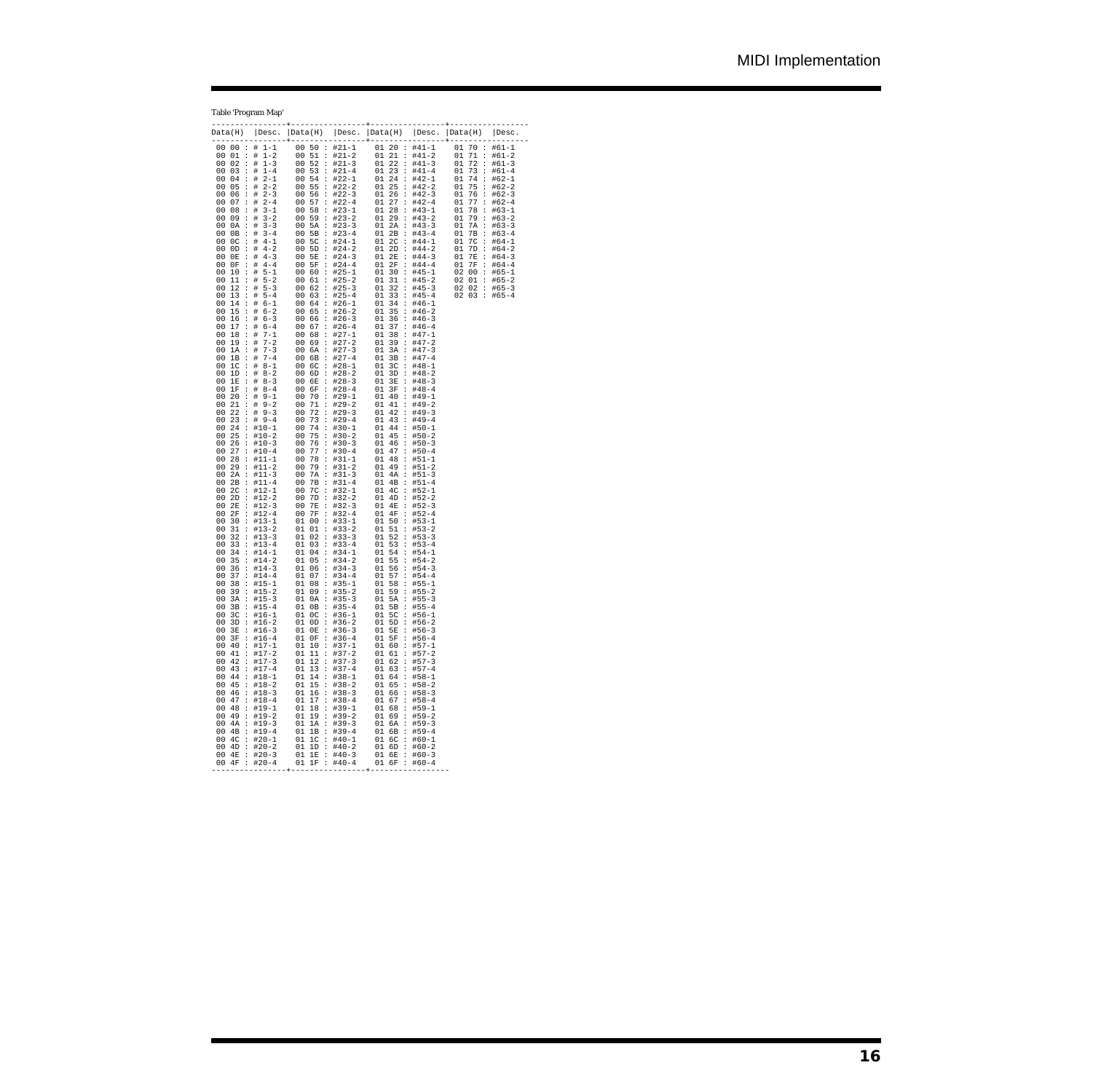## Table 'Program Map'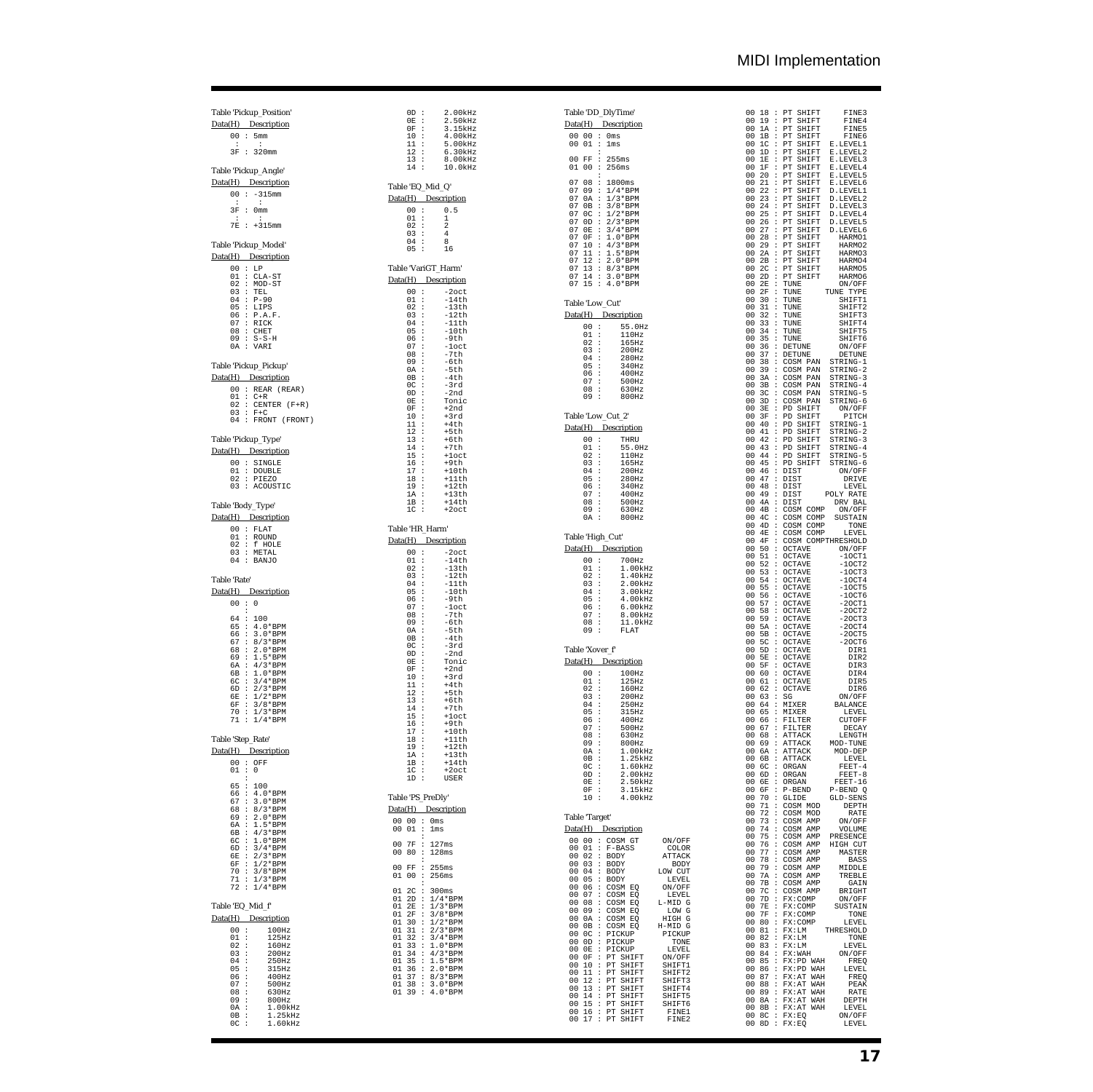# MIDI Implementation

# Table 'Pickup\_Position' Data(H) Description

| n۵ | $\mathbf{r}$ | 5mm        |
|----|--------------|------------|
|    |              |            |
| २म |              | $: 320$ mm |

# Table 'Pickup\_Angle'<br>Data(H) Description

|  | Data(H) Description |
|--|---------------------|
|  | $00 : -315$ mm      |
|  | 3F : 0mm            |

# 3F : 0mm : : 7E : +315mm

## Table 'Pickup\_Model'

| Data(H) _ |              | Description     |
|-----------|--------------|-----------------|
| 00 :      |              | T.P             |
|           |              |                 |
|           |              | $01$ : $CLA-ST$ |
|           |              | $02$ : MOD-ST   |
|           |              | 03 : TEL        |
|           |              | $04 : P-90$     |
|           |              | 05 : LIPS       |
|           |              | $06$ : $P.A.F.$ |
|           |              | 07 : RTCK       |
|           |              | 08 : CHET       |
|           |              | $09 : S-S-H$    |
| 0А        | $\mathbf{r}$ | <b>VART</b>     |
|           |              |                 |

#### Table 'Pickup\_Pickup'  $\overline{\text{Da}}$

|  | Data(H) Description  |
|--|----------------------|
|  | $00:$ REAR (REAR)    |
|  | $01 : C+R$           |
|  | $02:$ CENTER $(F+R)$ |
|  | $03 : F + C$         |
|  | 04 : FRONT (FRONT)   |

#### Table 'Pickup\_Type'

|          | Data(H) Description                  |
|----------|--------------------------------------|
| 01<br>02 | $00 :$ STNGLE<br>: DOUBLE<br>: PTEZO |
| 03       | : ACOUSTIC                           |
|          |                                      |

# Table 'Body\_Type'

|    | Data(H) Description |
|----|---------------------|
| 00 | : FLAT              |
| 01 | : ROUND             |
| 02 | $: f H$ $\cap F$    |
| 03 | : METAL             |
| 04 | : BANJO             |
|    |                     |

# Table 'Rate'<br>Data(H) \_ L

| Data(H)        |                      | <b>Description</b> |
|----------------|----------------------|--------------------|
| 0 <sub>0</sub> | ÷                    | 0                  |
|                | :                    |                    |
| 64             | $\cdot$              | 100                |
| 65             | - :                  | $4.0*BFM$          |
| რრ :           |                      | $3.0*BPM$          |
| 67             | $\cdot$ :            | 8/3*BPM            |
| 68 :           |                      | $2.0*$ BPM         |
| 69 :           |                      | $1.5*BPM$          |
| 6А             | $\cdot$ :            | $4/3*BPM$          |
| 6 <sub>B</sub> | ÷                    | $1.0*$ BPM         |
| 60             | $\ddot{\phantom{a}}$ | $3/4*BPM$          |
| 6D.            | $\mathbf{r}$         | $2/3*BPM$          |
| 6F.            | $\ddot{\phantom{a}}$ | $1/2*$ BPM         |
| 6F             | $\ddot{\phantom{a}}$ | $3/8*BPM$          |
| 70             | $\ddot{\phantom{a}}$ | $1/3*BPM$          |
| 71             | ÷                    | $1/4*$ BPM         |
|                |                      |                    |

#### Table 'Step\_Rate'

#### Table 'EQ\_Mid\_f'  $Dat$ </u>

| Data(H) |         | Description   |
|---------|---------|---------------|
| 0O      | ÷       | 100Hz         |
| 01      | $\cdot$ | 125Hz         |
| 02:     |         | 160Hz         |
| 03 :    |         | 200Hz         |
| 04 :    |         | 250Hz         |
| 05:     |         | 315Hz         |
| ი :     |         | 400Hz         |
| 07 :    |         | 500Hz         |
| 08 :    |         | 630Hz         |
| 09      | ÷       | 800Hz         |
| ΩA      | ÷       | 1.00kHz       |
| 0B      |         | $1.25$ k $Hz$ |
| 0C      |         | 1.60kHz       |

|                 | $_{\text{OD}}$<br>$\ddot{\phantom{0}}$<br>ï<br>0Е<br>0F<br>$\ddot{\phantom{0}}$<br>ï<br>10<br>11<br>11<br>12<br>13<br>ï<br>ï<br>$\ddot{\phantom{0}}$<br>14<br>$\ddot{\phantom{0}}$ | 00kHz<br>$\overline{c}$<br>50kHz<br>15kHz<br>3<br>4.<br>00kHz<br>5<br>00kHz<br>$\cdot$<br>.30kHz<br>6<br>8.00kHz<br>$10.0$ k $Hz$ |
|-----------------|------------------------------------------------------------------------------------------------------------------------------------------------------------------------------------|-----------------------------------------------------------------------------------------------------------------------------------|
|                 |                                                                                                                                                                                    | Table 'EQ_Mid_Q'                                                                                                                  |
| Data(H)         | $\ddot{\phantom{0}}$<br>00                                                                                                                                                         | Description<br>0.5                                                                                                                |
|                 | 01<br>$\ddot{\phantom{0}}$<br>02<br>$\ddot{\phantom{0}}$                                                                                                                           | 1<br>$\overline{\mathbf{c}}$                                                                                                      |
|                 | 03<br>ï<br>04<br>$\ddot{\phantom{0}}$                                                                                                                                              | 4<br>8                                                                                                                            |
|                 | 05<br>$\ddot{\phantom{0}}$                                                                                                                                                         | 16                                                                                                                                |
| Data(H)         |                                                                                                                                                                                    | Table 'VariGT_Harm'<br>Description                                                                                                |
|                 | 00<br>$\ddot{\phantom{0}}$<br>01<br>$\ddot{\phantom{0}}$                                                                                                                           | -2oct                                                                                                                             |
|                 | 02<br>ï<br>03<br>ï                                                                                                                                                                 | ----<br>14th<br>13th<br>12th<br>11th<br>L)<br>É,                                                                                  |
|                 | 04<br>ï<br>05<br>ï                                                                                                                                                                 | É,<br>E,<br>10th                                                                                                                  |
|                 | ï<br>06<br>07<br>ï                                                                                                                                                                 | -9th                                                                                                                              |
|                 | 08<br>ï<br>ï<br>09                                                                                                                                                                 | -loct<br>-7th<br>-6th                                                                                                             |
|                 | ï<br>0A                                                                                                                                                                            | -5th                                                                                                                              |
|                 | 0B<br>ï<br>0C<br>ï                                                                                                                                                                 | -4th<br>$-3rd$                                                                                                                    |
|                 | 0 <sub>D</sub><br>ï<br>0E<br>ï                                                                                                                                                     | $-2nd$<br>Tonic                                                                                                                   |
|                 | ï<br>0F<br>ï<br>10                                                                                                                                                                 | +2nd<br>+3rd                                                                                                                      |
|                 | - 1 1<br>1 2<br>1 3<br>- .<br>ï<br>ï                                                                                                                                               | $+4th$<br>+5th                                                                                                                    |
|                 | ï<br>14<br>ï                                                                                                                                                                       | +6th<br>$+7th$                                                                                                                    |
|                 | 15<br>ï                                                                                                                                                                            | $+1$ oct                                                                                                                          |
|                 | 16<br>ï<br>17<br>ï                                                                                                                                                                 | +9th<br>$+10th$<br>$+11th$                                                                                                        |
|                 | 18<br>ï<br>19<br>ï                                                                                                                                                                 | -----<br>11th<br>13th<br>14th<br>$\ddot{+}$                                                                                       |
|                 | ï<br>1А<br>$\ddot{\phantom{0}}$<br>1в                                                                                                                                              | $+$                                                                                                                               |
|                 | 1 <sup>C</sup><br>$\ddot{\phantom{0}}$                                                                                                                                             | $+14th$<br>$+2oct$                                                                                                                |
|                 |                                                                                                                                                                                    | Table 'HR_Harm'                                                                                                                   |
| Data(H)         |                                                                                                                                                                                    | <b>Description</b>                                                                                                                |
|                 | ï<br>00<br>01<br>ï                                                                                                                                                                 | -2oct<br>$-14th$                                                                                                                  |
|                 | 02<br>ï<br>03<br>ï                                                                                                                                                                 | 14th<br>13th<br>12th<br>11th                                                                                                      |
|                 | 04<br>ï                                                                                                                                                                            | $\frac{1}{2}$                                                                                                                     |
|                 | 05<br>ï<br>06<br>ï                                                                                                                                                                 | 10th<br>-9th                                                                                                                      |
|                 | 07<br>ï<br>08<br>ï                                                                                                                                                                 | -loct<br>-7th                                                                                                                     |
|                 | 09<br>ï<br>0A<br>ï                                                                                                                                                                 | -6th<br>-5th                                                                                                                      |
|                 | ï<br>0B<br>0C<br>ï                                                                                                                                                                 | -4th                                                                                                                              |
|                 | ï<br>$_{\text{OD}}$<br>ï<br>0E                                                                                                                                                     | -3rd<br>-2nd<br>Tonic                                                                                                             |
|                 | ï<br>0F                                                                                                                                                                            | $+2nd$<br>$+3rd$                                                                                                                  |
|                 | $\ddot{\phantom{0}}$<br>10<br>$\frac{11}{2}$<br>$\ddot{\phantom{0}}$                                                                                                               | $+4th$                                                                                                                            |
|                 | 12<br>13<br>ï<br>ï                                                                                                                                                                 | $+5th$<br>$+6th$                                                                                                                  |
|                 | $\frac{14}{5}$<br>ï<br>15<br>ï                                                                                                                                                     | $+7th$<br>$+1$ oct                                                                                                                |
|                 | 16<br>ï<br>17<br>ï                                                                                                                                                                 | +9th                                                                                                                              |
|                 | 18<br>ï<br>19<br>ï                                                                                                                                                                 | ---<br>+10th<br>+11th                                                                                                             |
|                 | 1 A<br>ï                                                                                                                                                                           | +12th<br>+12th<br>+13th                                                                                                           |
|                 | ï<br>1в<br>1C<br>$\ddot{\phantom{0}}$                                                                                                                                              | $+14th$<br>$+2oct$                                                                                                                |
|                 | 1D<br>$\ddot{\phantom{0}}$                                                                                                                                                         | USER                                                                                                                              |
|                 |                                                                                                                                                                                    | Table 'PS PreDly'                                                                                                                 |
| Data(H)<br>00   | $\ddot{\phantom{0}}$<br>00                                                                                                                                                         | Description<br>0 <sub>ms</sub>                                                                                                    |
| 00              | $\ddot{\phantom{0}}$<br>01<br>$\ddot{\cdot}$                                                                                                                                       | 1ms                                                                                                                               |
| 00<br>00        | 7F<br>$\ddot{\phantom{0}}$<br>80<br>$\ddot{\phantom{0}}$<br>$\ddot{\phantom{0}}$                                                                                                   | 127ms<br>128ms                                                                                                                    |
| 00<br>01        | $\ddot{\phantom{0}}$<br>FF<br>$\ddot{\phantom{0}}$<br>00                                                                                                                           | 255ms<br>256ms                                                                                                                    |
| 01              | $\ddot{\phantom{0}}$<br>2 <sup>c</sup><br>$\ddot{\phantom{0}}$<br>2D<br>$\ddot{\cdot}$                                                                                             | 300ms<br>$1/4*$ BPM                                                                                                               |
| $\frac{01}{01}$ | 2E<br>$\vdots$<br>2F<br>$\vdots$                                                                                                                                                   |                                                                                                                                   |
|                 | 30<br>$\vdots$                                                                                                                                                                     |                                                                                                                                   |
|                 | 31<br>$\vdots$<br>32<br>$\vdots$                                                                                                                                                   |                                                                                                                                   |
|                 | 33<br>$\vdots$<br>34<br>$\vdots$                                                                                                                                                   | 3/8"<br>1/2*BPM<br>2/3*BPM<br>3/4*BPM<br>1.0*BPM<br>4/3*BPM<br>4/3*BPM                                                            |
|                 | 35<br>$\vdots$<br>36<br>$\vdots$                                                                                                                                                   |                                                                                                                                   |
|                 | 37<br>$\vdots$<br>38<br>$\vdots$                                                                                                                                                   | 4/3*BPM<br>1.5*BPM<br>2.0*BPM<br>8/3*BPM<br>3.0*BPM<br>4.0*                                                                       |
| 01              | 39<br>$\mathbf{.}$                                                                                                                                                                 | $4.0*BPM$                                                                                                                         |
|                 |                                                                                                                                                                                    |                                                                                                                                   |

|                    |                       | Table 'DD_DlyTime'<br>Data(H) Description                                                                                                                            |                         |
|--------------------|-----------------------|----------------------------------------------------------------------------------------------------------------------------------------------------------------------|-------------------------|
| 00                 | 00                    | ÷<br>0 <sub>ms</sub>                                                                                                                                                 |                         |
| 00                 | 01                    | $\ddot{\phantom{0}}$<br>lms<br>$\ddot{\phantom{0}}$                                                                                                                  |                         |
| 00<br>01           | FF<br>00              | $\ddot{\phantom{0}}$<br>255ms<br>$\ddot{\phantom{0}}$<br>256ms<br>$\ddot{\phantom{0}}$                                                                               |                         |
| 07                 | 08                    | $\ddot{\cdot}$<br>1800ms                                                                                                                                             |                         |
| 07<br>07           | 09<br>0A              | $1/4*$ BPM<br>$\ddot{\cdot}$<br>$1/3*BPM$<br>$\ddot{\cdot}$                                                                                                          |                         |
| 07                 | 0В                    | 3/8*BPM<br>$\ddot{\cdot}$                                                                                                                                            |                         |
| 07<br>07           | 0C<br>0D              | 1/2*BPM<br>2/3*BPM<br>3/4*BPM<br>$\ddot{\cdot}$<br>$\ddot{\cdot}$                                                                                                    |                         |
| 07<br>07           | 0Е                    | $\ddot{\cdot}$                                                                                                                                                       |                         |
| 07                 | $0\,\mathrm{F}$<br>10 | $\ddot{\cdot}$<br>$\ddot{\cdot}$                                                                                                                                     |                         |
| 07<br>07           | 11                    | 1.0*BPM<br>4/3*BPM<br>1.5*BPM<br>2.0*BPM<br>$\ddot{\cdot}$                                                                                                           |                         |
|                    | $\frac{12}{12}$<br>13 | $\vdots$<br>$\ddot{\cdot}$                                                                                                                                           |                         |
| $07$<br>$07$<br>07 | 14<br>⊥4<br>15        | 2.0*BPM<br>8/3*BPM<br>3.0*BPM<br>1.0*PPM<br>$\ddot{\cdot}$<br>$\vdots$<br>$4.0*BPM$                                                                                  |                         |
|                    |                       | Table 'Low_Cut'                                                                                                                                                      |                         |
|                    | Data(H)<br>00         | Description<br>55.OHz<br>I                                                                                                                                           |                         |
|                    | 01<br>02              | 110Hz<br>$\ddot{\cdot}$                                                                                                                                              |                         |
|                    | 03                    | $\ddot{\cdot}$<br>165Hz<br>$\ddot{\cdot}$<br>200Hz                                                                                                                   |                         |
|                    | 04<br>05              | $\ddot{\cdot}$<br>280Hz<br>340Hz<br>$\ddot{\cdot}$                                                                                                                   |                         |
|                    | 06                    | $\ddot{\cdot}$<br>400Hz                                                                                                                                              |                         |
|                    | 07<br>08              | $\ddot{\cdot}$<br>500Hz<br>$\ddot{\phantom{0}}$<br>630Hz                                                                                                             |                         |
|                    | 09                    | $\ddot{\phantom{0}}$<br>800Hz                                                                                                                                        |                         |
|                    |                       | Table 'Low_Cut_2'                                                                                                                                                    |                         |
| Data(H)            |                       | Description                                                                                                                                                          |                         |
|                    | 00<br>01              | $\ddot{\cdot}$<br>THRU<br>$\ddot{\phantom{0}}$<br>55.OHz                                                                                                             |                         |
|                    | 02<br>03              | 110Hz<br>$\ddot{\phantom{0}}$                                                                                                                                        |                         |
|                    | 04                    | $\ddot{\cdot}$<br>165Hz<br>ï<br>200Hz                                                                                                                                |                         |
|                    | 05<br>06              | ï<br>280Hz<br>340Hz<br>$\ddot{\phantom{0}}$                                                                                                                          |                         |
|                    | 07                    | $\ddot{\phantom{0}}$<br>400Hz                                                                                                                                        |                         |
|                    | 08<br>09              | $\ddot{\phantom{0}}$<br>500Hz<br>$\ddot{\phantom{0}}$<br>630Hz                                                                                                       |                         |
|                    | 0A                    | $\ddot{\phantom{0}}$<br>800Hz                                                                                                                                        |                         |
|                    |                       | Table 'High_Cut'                                                                                                                                                     |                         |
|                    | Data(H)               | Description                                                                                                                                                          |                         |
|                    | 00<br>01              | 700Hz<br>$\ddot{\phantom{0}}$<br>$\ddot{\phantom{0}}$<br>1.00kHz                                                                                                     |                         |
|                    | 02<br>03              | 1.40kHz<br>$\ddot{\cdot}$                                                                                                                                            |                         |
|                    | 04                    | $\ddot{\cdot}$<br>2.00kHz<br>3.00kHz<br>$\ddot{\cdot}$                                                                                                               |                         |
|                    | 05<br>06              | $\ddot{\cdot}$<br>4.00kHz<br>$\ddot{\cdot}$<br>6.00kHz                                                                                                               |                         |
|                    | 07                    | $\ddot{\phantom{0}}$<br>8.00kHz                                                                                                                                      |                         |
|                    | 08<br>09              | 11.0kHz<br>$\ddot{\phantom{0}}$<br>$\ddot{\phantom{0}}$<br>FLAT                                                                                                      |                         |
|                    |                       | Table 'Xover_f'                                                                                                                                                      |                         |
|                    | Data(H)               | <b>Description</b>                                                                                                                                                   |                         |
|                    | 00                    | $\ddot{\phantom{0}}$<br>100Hz<br>$\ddot{\phantom{0}}$                                                                                                                |                         |
|                    | 01<br>02              | $_{125Hz}$<br>160Hz<br>I                                                                                                                                             |                         |
|                    | 03<br>04              | $\ddot{\cdot}$<br>200Hz<br>$\ddot{\cdot}$<br>250Hz                                                                                                                   |                         |
|                    | 05                    | 315Hz<br>$\ddot{\cdot}$                                                                                                                                              |                         |
|                    | 06<br>07              | $\ddot{\cdot}$<br>400Hz<br>$\ddot{\phantom{0}}$<br>500Hz                                                                                                             |                         |
|                    | 08                    | $\ddot{\phantom{0}}$<br>630Hz                                                                                                                                        |                         |
|                    | 09<br>0A              | $\ddot{\cdot}$<br>800Hz<br>$\ddot{\cdot}$<br>1.00kHz                                                                                                                 |                         |
|                    | 0В                    | 1.25kHz<br>$\ddot{\cdot}$                                                                                                                                            |                         |
|                    | 0C<br>0D              | 1.60kHz<br>$\ddot{\cdot}$<br>$\ddot{\phantom{0}}$<br>2.00kHz                                                                                                         |                         |
|                    | 0Е                    | 2.50kHz<br>3.15kHz<br>$\ddot{\phantom{0}}$                                                                                                                           |                         |
|                    | 0F<br>10              | $\ddot{\phantom{0}}$<br>$\ddot{\phantom{0}}$<br>4.00kHz                                                                                                              |                         |
|                    | Table 'Target'        |                                                                                                                                                                      |                         |
|                    | Data(H)               | Description                                                                                                                                                          |                         |
| 00                 | 00                    | COSM GT<br>ï                                                                                                                                                         | ON/OFF                  |
| 00<br>00           | 01<br>02              | $\ddot{\cdot}$<br>F-BASS<br>$\ddot{\cdot}$<br>BODY                                                                                                                   | COLOR<br>ATTACK         |
| 00<br>00           | 03<br>04              | $\ddot{\cdot}$<br>BODY                                                                                                                                               | BODY<br>LOW CUT         |
|                    | 05                    | $\ddot{\cdot}$<br>BODY<br>$\ddot{\cdot}$<br>BODY                                                                                                                     | LEVEL                   |
| 00                 |                       | $\ddot{\cdot}$<br>COSM<br>EQ<br>$\ddot{\cdot}$                                                                                                                       | ON/OFF<br>LEVEL         |
| 00                 | 06                    | COSM<br>EQ                                                                                                                                                           |                         |
| 00<br>00           | 07<br>08              | $\ddot{\cdot}$<br>COSM<br>EQ                                                                                                                                         | L-MID<br>G              |
| 00                 | 09                    | $\ddot{\cdot}$<br>COSM<br>EQ                                                                                                                                         | LOW<br>G                |
| 00<br>00           | 0A<br>0В              | $\ddot{\cdot}$<br>COSM<br>EQ<br>$\ddot{\cdot}$<br>COSM<br>EQ                                                                                                         | HIGH<br>G<br>H-MID<br>G |
| 00                 | 0C                    | $\ddot{\cdot}$<br>PICKUP                                                                                                                                             | PICKUP                  |
| 00<br>00           | 0D<br>0E              | $\ddot{\cdot}$<br>PICKUP<br>$\ddot{\cdot}$<br>PICKUP                                                                                                                 | TONE<br>LEVEL           |
| 00                 | 0F                    | $\ddot{\cdot}$<br>PТ                                                                                                                                                 | ON/OFF                  |
| 00<br>00           | 10                    | $\overbrace{\mathop{\mathsf{SHTFT}}\limits_{\mathop{\mathsf{err}}\limits^{\mathcal{C}}}}$<br>$_{\rm PT}$<br>$\ddot{\cdot}$<br>SHIFT<br>PT<br>$\ddot{\cdot}$<br>SHIFT | SHIFT1<br>SHIFT2        |
| 00                 |                       | $_{\rm PT}$<br>$\ddot{\cdot}$<br>SHIFT                                                                                                                               | SHIFT3                  |
| 00<br>00           | 11<br>12<br>13<br>14  | $_{\rm PT}$<br>$\ddot{\cdot}$<br>SHIFT<br>$_{\rm PT}$<br>$\ddot{\cdot}$<br>SHIFT                                                                                     | SHIFT4<br>SHIFT5        |
| 00<br>00           | 15<br>16              | PT<br>$\ddot{\cdot}$<br>SHIFT<br>PT<br>$\cdot$<br>SHIFT                                                                                                              | SHIFT6<br>FINE1         |

| 0 <sub>0</sub><br>18<br>$\ddot{\phantom{0}}$                         | PΤ<br>SHIFT                                               | FINE3                        |
|----------------------------------------------------------------------|-----------------------------------------------------------|------------------------------|
| 00<br>19<br>$\ddot{\cdot}$                                           | SHIFT<br>PТ                                               | FINE4                        |
| 00<br>1A<br>$\ddot{\phantom{a}}$                                     | PΤ<br>SHIFT                                               | FINE5                        |
| 00<br>1B<br>$\ddot{\phantom{a}}$                                     | PΤ<br>SHIFT                                               | FINE6                        |
| 00<br>1 <sup>C</sup><br>$\ddot{\phantom{a}}$                         | PΤ<br>SHIFT                                               | E.LEVEL1                     |
| 0 <sub>0</sub><br>1D<br>$\ddot{\phantom{a}}$                         | $\rm PT$<br>SHIFT                                         | E.LEVEL2                     |
| 00<br>1E<br>$\ddot{\cdot}$                                           | $\rm PT$<br>SHIFT                                         | E.LEVEL3                     |
| 00<br>1F<br>$\ddot{\cdot}$                                           | $\rm PT$<br>SHIFT                                         | E.LEVEL4                     |
| 00<br>20<br>$\ddot{\cdot}$                                           | $\rm PT$<br>SHIFT                                         | E.LEVEL5                     |
| 00<br>21<br>$\ddot{\cdot}$                                           | $\rm PT$<br>SHIFT                                         | E. LEVEL6                    |
| 22<br>00<br>$\ddot{\cdot}$                                           | $\mathbb{P}\mathbb{T}$<br>SHIFT                           | D.LEVEL1                     |
| 23<br>00<br>$\ddot{\cdot}$                                           | $\mathbb{P}\mathbb{T}$<br>SHIFT                           | D.LEVEL2                     |
| 24<br>00<br>$\ddot{\cdot}$<br>25                                     | $\mathbb{P}\mathbb{T}$<br>SHIFT<br>$\mathbb{P}\mathbb{T}$ | D.LEVEL3                     |
| 00<br>$\ddot{\cdot}$<br>26                                           | SHIFT<br>$\mathbb{P}\mathbb{T}$                           | D.LEVEL4                     |
| 00<br>$\ddot{\cdot}$<br>27                                           | SHIFT                                                     | D.LEVEL5                     |
| 00<br>$\ddot{\cdot}$                                                 | $\rm PT$<br>SHIFT                                         | D.LEVEL6                     |
| 00<br>28<br>$\ddot{\cdot}$<br>29<br>00<br>$\ddot{\cdot}$             | $\rm PT$<br>SHIFT<br>$\mathbb{P}\mathbb{T}$<br>SHIFT      | HARMO1<br>HARMO <sub>2</sub> |
| 00<br>2A<br>$\ddot{\cdot}$                                           | $\mathbb{P}\mathbb{T}$<br>SHIFT                           | HARMO3                       |
| 00<br>2B<br>$\ddot{\cdot}$                                           | $\mathbb{P}\mathbb{T}$<br>SHIFT                           | HARMO4                       |
| 00                                                                   | $\mathbb{P}\mathbb{T}$                                    |                              |
| 2 <sub>C</sub><br>$\ddot{\cdot}$<br>00<br>2D<br>$\ddot{\cdot}$       | SHIFT<br>PT SHIFT                                         | HARMO5                       |
| 0 <sub>0</sub><br>2E<br>$\ddot{\cdot}$                               | TUNE                                                      | HARMO6<br>ON/OFF             |
| 00<br>2F<br>$\ddot{\cdot}$                                           | TUNE                                                      | TUNE TYPE                    |
| 00<br>30<br>$\ddot{\cdot}$                                           | TUNE                                                      | SHIFT1                       |
| 31<br>00<br>$\ddot{\cdot}$                                           | TUNE                                                      | SHIFT <sub>2</sub>           |
| 32<br>00<br>$\ddot{\cdot}$                                           | TUNE                                                      | SHIFT3                       |
| 33<br>00<br>$\ddot{\cdot}$                                           | TUNE                                                      | SHIFT4                       |
| 34<br>00<br>$\ddot{\cdot}$                                           | TUNE                                                      | SHIFT5                       |
| 35<br>00<br>$\ddot{\cdot}$                                           | TUNE                                                      | SHIFT6                       |
| 36<br>00<br>$\ddot{\cdot}$                                           | DETUNE                                                    | ON/OFF                       |
| 37<br>00<br>$\ddot{\cdot}$                                           | DETUNE                                                    | DETUNE                       |
| 38<br>00<br>$\ddot{\cdot}$                                           | COSM PAN                                                  |                              |
| 39<br>0 <sub>0</sub><br>$\ddot{\cdot}$                               | COSM PAN                                                  | STRING-1<br>STRING-2         |
| 3A<br>0 <sub>0</sub><br>$\ddot{\cdot}$                               | COSM PAN                                                  | STRING-3                     |
| $\overline{3}B$<br>0 <sub>0</sub><br>$\ddot{\cdot}$                  | COSM<br>PAN                                               | STRING-4                     |
| 3C<br>0 <sub>0</sub><br>$\ddot{\cdot}$                               | COSM PAN                                                  | STRING-5                     |
| 3D<br>0 <sub>0</sub><br>$\ddot{\cdot}$                               | COSM PAN                                                  | STRING-6                     |
| 3E<br>0 <sub>0</sub><br>$\ddot{\cdot}$                               | PD SHIFT                                                  | ON/OFF                       |
| 3F<br>0 <sub>0</sub><br>$\ddot{\cdot}$                               | PD SHIFT                                                  | PITCH                        |
| 0 <sub>0</sub><br>40<br>$\ddot{\cdot}$                               | PD SHIFT                                                  | STRING-1<br>STRING-2         |
| 0 <sub>0</sub><br>41<br>$\ddot{\cdot}$                               | PD SHIFT                                                  |                              |
| 0 <sub>0</sub><br>42<br>$\ddot{\cdot}$                               | PD SHIFT                                                  | STRING-3                     |
| 0 <sub>0</sub><br>43<br>$\ddot{\cdot}$                               | PD SHIFT                                                  | STRING-4                     |
| 0 <sub>0</sub><br>44<br>$\ddot{\cdot}$                               | SHIFT<br>PD                                               | STRING-5                     |
| 45<br>0 <sub>0</sub><br>$\ddot{\cdot}$                               | PD SHIFT                                                  | STRING-6                     |
| 0 <sub>0</sub><br>46<br>$\ddot{\cdot}$<br>0 <sub>0</sub>             | DIST                                                      | ON/OFF                       |
| 47<br>$\ddot{\cdot}$<br>00<br>48<br>$\ddot{\cdot}$                   | DIST<br>DIST                                              | DRIVE                        |
| 49<br>00<br>$\ddot{\cdot}$                                           | DIST                                                      | LEVEL<br>POLY RATE           |
| 00<br>4A<br>$\ddot{\cdot}$                                           | DIST                                                      | DRV BAL                      |
| 00<br>$4B$<br>$\ddot{\cdot}$                                         | COSM<br>COMP                                              | ON/OFF                       |
| 00<br>4 <sup>C</sup><br>$\ddot{\cdot}$                               | COSM<br>COMP                                              | SUSTAIN                      |
| 00<br>4D<br>$\ddot{\cdot}$                                           | COSM<br>COMP                                              | TONE                         |
| 00<br>4E<br>$\ddot{\cdot}$                                           | COSM<br>COMP                                              | LEVEL                        |
| 00<br>4F<br>$\ddot{\cdot}$                                           |                                                           | COSM COMPTHRESHOLD           |
| 00<br>50<br>$\ddot{\cdot}$                                           | OCTAVE                                                    | ON/OFF                       |
|                                                                      |                                                           |                              |
| 00<br>51<br>$\ddot{\cdot}$                                           | <b>OCTAVE</b>                                             | $-10CT1$                     |
| 52<br>00<br>$\ddot{\cdot}$                                           | <b>OCTAVE</b>                                             | $-10CT2$                     |
| 53<br>00<br>$\ddot{\cdot}$                                           | <b>OCTAVE</b>                                             | $-10CT3$                     |
| 54<br>00<br>$\ddot{\cdot}$<br>55<br>00<br>$\ddot{\cdot}$             | <b>OCTAVE</b><br><b>OCTAVE</b>                            | $-10CT4$<br>$-10CT5$         |
| 56<br>00<br>$\ddot{\cdot}$                                           | <b>OCTAVE</b>                                             | $-10CT6$                     |
| 57<br>00<br>$\ddot{\cdot}$                                           | <b>OCTAVE</b>                                             | $-20CT1$                     |
| 00<br>58<br>$\ddot{\cdot}$                                           | <b>OCTAVE</b>                                             | $-20CT2$                     |
| 59<br>00<br>$\ddot{\cdot}$                                           | <b>OCTAVE</b>                                             | $-20CT3$                     |
| 00<br>5A<br>$\ddot{\cdot}$                                           | <b>OCTAVE</b>                                             | $-20CT4$                     |
| 00<br>5В<br>$\ddot{\cdot}$                                           | <b>OCTAVE</b>                                             | $-20CT5$                     |
| 00<br>5С<br>$\ddot{\cdot}$                                           | <b>OCTAVE</b>                                             | $-20CT6$                     |
| 00<br>5D<br>$\ddot{\cdot}$                                           | OCTAVE                                                    | DIR1                         |
| 0 <sub>0</sub><br>5E<br>$\ddot{\cdot}$                               | OCTAVE                                                    | DIR2                         |
| 00<br>5F<br>$\ddot{\cdot}$<br>0 <sub>0</sub><br>$\ddot{\phantom{0}}$ | OCTAVE                                                    | DIR3                         |
| 60<br>00<br>$\ddot{\phantom{a}}$                                     | <b>OCTAVE</b>                                             | DIR4                         |
| 61<br>00<br>62<br>$\ddot{\phantom{a}}$                               | OCTAVE<br>OCTAVE                                          | DIR5<br>DIR6                 |
| 63<br>00<br>$\ddot{\cdot}$                                           | SG                                                        | ON/OFF                       |
| 64<br>00<br>$\ddot{\cdot}$                                           | MIXER                                                     | <b>BALANCE</b>               |
| 65<br>00<br>$\ddot{\phantom{a}}$                                     | MIXER                                                     | LEVEL                        |
| 00<br>66<br>$\ddot{\phantom{a}}$                                     | FILTER                                                    | <b>CUTOFF</b>                |
| 67<br>00<br>$\ddot{\phantom{a}}$                                     | FILTER                                                    | DECAY                        |
| 00<br>68<br>$\ddot{\cdot}$                                           | ATTACK                                                    | LENGTH                       |
| 00<br>69<br>$\ddot{\cdot}$                                           | ATTACK                                                    | MOD-TUNE                     |
| 00<br>6A<br>$\ddot{\phantom{a}}$                                     | ATTACK                                                    | MOD-DEP                      |
| 00<br>6B<br>$\ddot{\cdot}$<br>00<br>$\ddot{\phantom{a}}$             | ATTACK                                                    | LEVEL                        |
| 6C<br>00<br>6D<br>$\ddot{\phantom{a}}$                               | ORGAN<br>ORGAN                                            | $FEET-4$<br>$FEET-8$         |
| 00<br>6E<br>$\ddot{\phantom{a}}$                                     | ORGAN                                                     | $FEET-16$                    |
| 00<br>6F<br>$\ddot{\phantom{a}}$                                     | $P-BEND$                                                  | P-BEND Q                     |
| 00<br>70<br>$\ddot{\phantom{a}}$                                     | <b>GLIDE</b>                                              | GLD-SENS                     |
| 71<br>00<br>$\ddot{\phantom{a}}$                                     | COSM MOD                                                  | DEPTH                        |
| 72<br>00<br>$\ddot{\cdot}$                                           | COSM MOD                                                  | RATE                         |
| 73<br>00<br>$\ddot{\cdot}$                                           | COSM AMP                                                  | ON/OFF                       |
| 74<br>00<br>$\ddot{\cdot}$                                           | COSM AMP                                                  | VOLUME                       |
| 75<br>00<br>$\ddot{\cdot}$                                           | COSM AMP                                                  | PRESENCE                     |
| 76<br>0 <sub>0</sub><br>$\ddot{\cdot}$                               | COSM AMP                                                  | HIGH CUT                     |
| 77<br>00<br>$\ddot{\cdot}$<br>78<br>00<br>$\ddot{\cdot}$             | COSM AMP<br>COSM AMP                                      | MASTER<br>BASS               |
| 79<br>00<br>$\ddot{\cdot}$                                           | COSM AMP                                                  | MIDDLE                       |
| 7A<br>00<br>$\ddot{\cdot}$                                           | COSM AMP                                                  | TREBLE                       |
| 7B<br>00<br>$\ddot{\cdot}$                                           | COSM AMP                                                  | GAIN                         |
| 7 <sup>c</sup><br>00<br>$\ddot{\cdot}$                               | COSM AMP                                                  | BRIGHT                       |
| 7D<br>00<br>$\ddot{\phantom{a}}$                                     | FX:COMP                                                   | ON/OFF                       |
| $7\,\mathrm{E}$<br>00<br>$\ddot{\cdot}$                              | FX:COMP                                                   | SUSTAIN                      |
| $7\,\mathrm{F}$<br>00<br>$\ddot{\phantom{a}}$                        | FX: COMP                                                  | TONE                         |
| 00<br>80<br>$\ddot{\phantom{a}}$                                     | FX: COMP                                                  | LEVEL                        |
| 00<br>81<br>$\ddot{\phantom{a}}$<br>00<br>$\ddot{\cdot}$             | FX:LM                                                     | THRESHOLD                    |
| 82<br>00<br>83<br>$\ddot{\cdot}$                                     | FX:LM<br>FX:LM                                            | TONE                         |
| 00<br>84<br>$\ddot{\cdot}$                                           | FX: WAH                                                   | LEVEL<br>ON/OFF              |
| 85<br>00<br>$\ddot{\cdot}$                                           | FX:PD WAH                                                 | FREQ                         |
| 00<br>86<br>$\ddot{\cdot}$                                           | FX:PD WAH                                                 | LEVEL                        |
| 00<br>87<br>$\ddot{\phantom{a}}$                                     | FX:AT WAH                                                 | FREQ                         |
| 00<br>88<br>$\ddot{\phantom{a}}$                                     | FX:AT WAH                                                 | PEAK                         |
| 00<br>89<br>$\ddot{\phantom{a}}$                                     | FX : AT<br>WAH                                            | RATE                         |
| 00<br>8A<br>$\ddot{\phantom{a}}$                                     | FX : AT<br>WAH                                            | DEPTH                        |
| 00<br>8B<br>$\ddot{\phantom{a}}$<br>00<br>8C<br>$\ddot{\phantom{a}}$ | FX:AT WAH<br>FX:EQ                                        | LEVEL<br>ON/OFF              |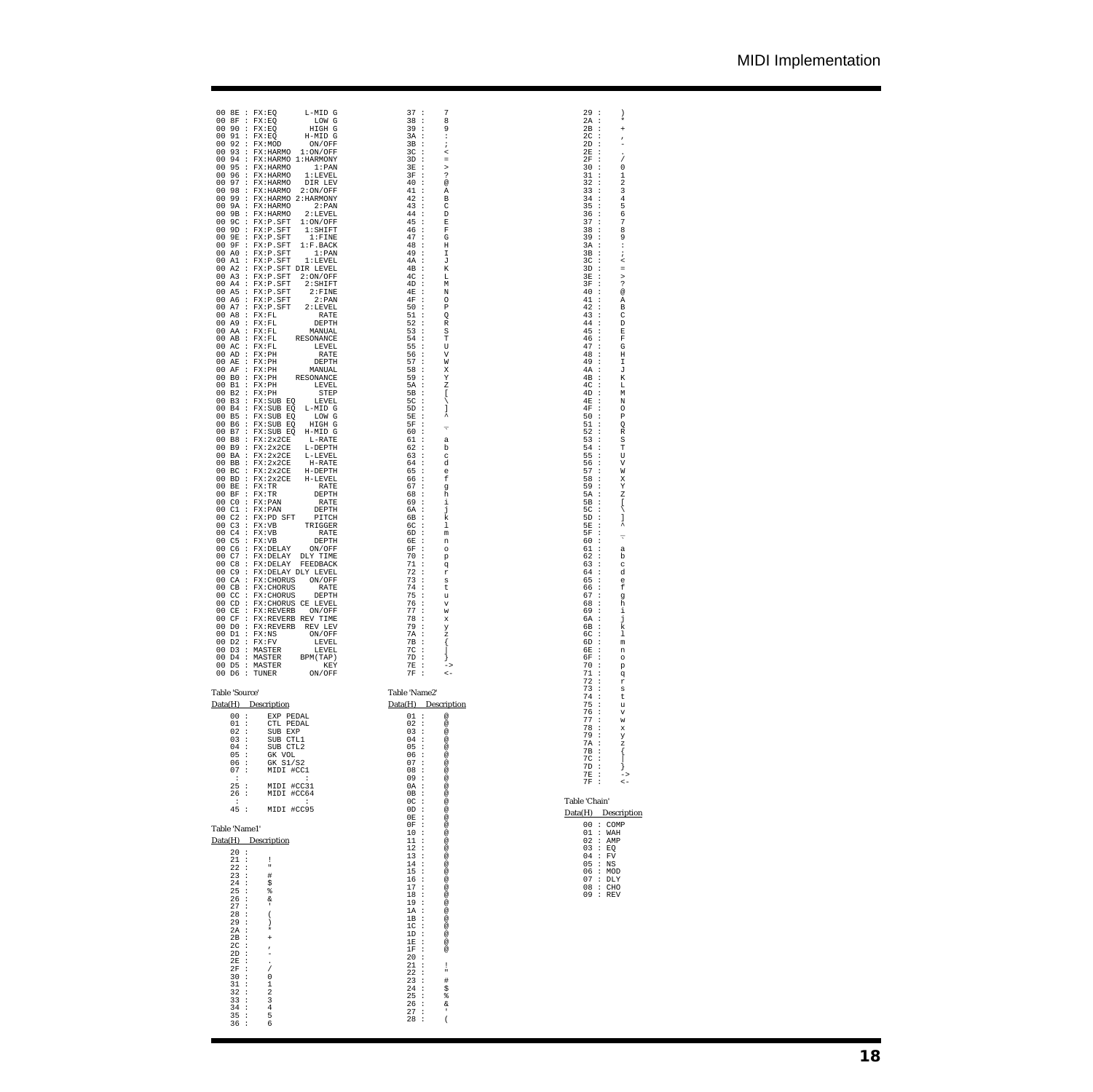| 00 8E : FX:EQ<br>00 8F : FX:EQ | L-MID G<br>LOW G                                      | 37 :<br>38:   | 7<br>8                             | 29:<br>$2A$ :                  |
|--------------------------------|-------------------------------------------------------|---------------|------------------------------------|--------------------------------|
| 00<br>90                       | : FX:EQ<br>HIGH G                                     | 39            | $\cdot$ :<br>9                     | 2в<br>$\cdot$                  |
| 00<br>91                       | : FX:EQ<br>H-MID G                                    | 3A            | $\cdot$<br>÷                       | 2 <sup>c</sup><br>$\cdot$      |
| 00<br>92                       | : FX:MOD<br>ON/OFF                                    | 3B            | $\cdot$<br>÷                       | 2D<br>$\cdot$                  |
| 00<br>93                       | : FX:HARMO<br>1:ON/OFF                                | 3C            | $\cdot$<br>$\prec$                 | 2Ε<br>$\cdot$                  |
| 00<br>94                       | : FX:HARMO 1:HARMONY                                  | 3D            | $\cdot$                            | 2F<br>$\cdot$                  |
| 00<br>95                       | : FX:HARMO<br>1: PAN                                  | 3Ε            | $\cdot$<br>$\geq$                  | 30<br>$\cdot$                  |
| 00<br>96                       | : FX:HARMO<br>1:LEVEL                                 | 3F            | ?<br>$\cdot$                       | 31<br>$\cdot$                  |
| 00<br>97                       | : FX:HARMO<br>DIR LEV                                 | 40            | $\cdot$<br>@                       | 32<br>$\cdot$                  |
| 00<br>98                       | : FX:HARMO<br>2:ON/OFF                                | 41            | $\cdot$ :<br>Α                     | 33<br>$\cdot$                  |
| 00<br>99                       | : FX:HARMO 2:HARMONY                                  | 42:<br>43 :   | B                                  | 34<br>$\cdot$                  |
| 00<br>00                       | 9A : FX: HARMO<br>2: PAN<br>9B : FX: HARMO<br>2:LEVEL | 44 :          | C<br>D                             | 35<br>$\cdot$<br>36<br>$\cdot$ |
| 00                             | 9C : FX:P.SFT<br>1:ON/OFF                             | 45            | $\cdot$<br>Ε                       | 37<br>$\cdot$                  |
| 00                             | $9D$ : $FX: P.SFT$<br>$1:$ SHIFT                      | 46            | $\cdot$<br>F                       | 38<br>$\cdot$                  |
| 00<br>9E                       | : FX:P.SFT<br>$1:$ FINE                               | 47 :          | G                                  | 39<br>$\cdot$                  |
| 00                             | 9F : FX:P.SFT<br>1:F.BACK                             | 48 :          | Η                                  | 3A<br>$\cdot$                  |
| 00<br>A0                       | : FX:P.SFT<br>$1:$ PAN                                | 49:           | I                                  | 3B<br>$\cdot$                  |
| 00                             | A1 : FX:P.SFT<br>1:LEVEL                              | 4A :          | J                                  | 3C<br>$\cdot$                  |
| 00                             | A2 : FX:P.SFT DIR LEVEL                               | 4B            | $\cdot$<br>К                       | 3D<br>$\cdot$                  |
| 00                             | A3 : FX:P.SFT<br>2:ON/OFF                             | 4C            | $\cdot$<br>L                       | 3Ε<br>$\cdot$                  |
| 00                             | A4 : FX:P.SFT<br>$2:$ SHIFT                           | 4D            | $\cdot$<br>М                       | 3F<br>$\cdot$                  |
| 00                             | A5 : FX:P.SFT<br>2:FTNE                               | 4E            | $\cdot$<br>N                       | 40<br>$\cdot$                  |
| 00                             | A6 : FX:P.SFT<br>2: PAN                               | 4F            | $\cdot$<br>O                       | 41<br>$\cdot$                  |
| 00                             | A7 : FX:P.SFT<br>2:LEVEL                              | 50            | $\cdot$<br>P                       | 42<br>$\cdot$                  |
| 00                             | AB : FX: FL<br>RATE                                   | 51            | $\cdot$<br>Q                       | 43<br>$\cdot$                  |
| 00                             | A9 : FX:FL<br>DEPTH                                   | 52:           | R                                  | 44<br>$\cdot$                  |
| 00                             | AA : FX:FL<br>MANUAL                                  | 53:           | S                                  | 45<br>$\cdot$                  |
| 00<br>00                       | AB : FX:FL<br>RESONANCE<br>$AC$ : $FX:FL$             | 54:<br>55     | Т<br>$\cdot$<br>U                  | 46<br>$\cdot$<br>47<br>$\cdot$ |
| 00                             | LEVEL<br>AD : FX:PH<br>RATE                           | 56            | $\cdot$<br>V                       | 48<br>$\cdot$                  |
| 00                             | AE : FX:PH<br>DEPTH                                   | 57:           | W                                  | 49<br>$\cdot$                  |
| 00<br>AF                       | $\therefore$ FX:PH<br>MANUAL                          | 58            | $\cdot$<br>Χ                       | 4A<br>$\cdot$                  |
| 00                             | BO : FX:PH<br>RESONANCE                               | 59            | $\cdot$<br>Υ                       | 4Β<br>$\cdot$                  |
| 00                             | B1 : FX:PH<br>LEVEL                                   | 5A            | $\cdot$<br>Ζ                       | 4C<br>$\cdot$                  |
| 00<br>B <sub>2</sub>           | $\therefore$ FX:PH<br>STEP                            | 5В            | $\cdot$<br>ſ                       | 4D<br>$\cdot$                  |
| 00<br>B <sub>3</sub>           | : FX:SUB EQ<br>LEVEL                                  | 5C            | $\cdot$<br>∖                       | 4E<br>$\cdot$                  |
| 00<br><b>B4</b>                | : FX:SUB EQ<br>L-MID G                                | 5D            | $\cdot$<br>J                       | 4F<br>$\cdot$                  |
| 00<br>B <sub>5</sub>           | : FX:SUB EQ<br>LOM G                                  | 5E            | ۸<br>$\cdot$                       | 50<br>$\cdot$                  |
| 00<br>B <sub>6</sub>           | : FX:SUB EQ<br>HIGH G                                 | 5F            | $\cdot$<br>τ                       | 51<br>$\cdot$                  |
| 00<br>B7                       | : FX:SUB EQ<br>H-MID G                                | 60            | $\cdot$                            | 52<br>$\cdot$                  |
| 00<br>B8                       | $:$ FX: $2x2CE$<br>L-RATE                             | 61            | $\cdot$<br>a                       | 53<br>$\cdot$                  |
| 00<br>B <sub>9</sub>           | $:$ FX: $2x2CE$<br>L-DEPTH                            | 62            | $\cdot$<br>b                       | 54<br>$\cdot$                  |
| 00<br>00                       | BA : FX: 2x2CE<br>L-LEVEL                             | 63 :<br>64 :  | C                                  | 55<br>$\cdot$<br>$\cdot$       |
| 00                             | BB : FX:2x2CE<br>H-RATE<br>BC : FX: 2x2CE<br>H-DEPTH  | 65            | d<br>$\cdot$<br>e                  | 56<br>57<br>÷                  |
| 00                             | BD : FX:2x2CE<br>H-LEVEL                              | 66            | $\cdot$<br>f                       | 58<br>$\cdot$                  |
| 00                             | BE : FX:TR<br>RATE                                    | 67 :          | g                                  | 59<br>$\cdot$                  |
| 00                             | $BF$ : $FX:TR$<br>DEPTH                               | 68            | $\cdot$ :<br>h                     | 5A<br>$\cdot$                  |
| 00<br>C <sub>0</sub>           | : FX:PAN<br>RATE                                      | 69            | $\cdot$ :<br>i                     | 5B<br>$\cdot$                  |
| 00<br>C1                       | : FX:PAN<br>DEPTH                                     | 6A            | $\cdot$<br>j                       | 5C<br>$\cdot$                  |
| 00                             | $C2$ : $FX:PD$ SFT<br>PITCH                           | 6В            | $\cdot$<br>k                       | 5D<br>$\cdot$                  |
| 00                             | $C3$ : $FX:VB$<br>TRIGGER                             | 6C            | $\cdot$<br>1                       | 5Ε<br>$\cdot$                  |
| 00                             | $C4$ : $FX:VB$<br>RATE                                | 6D            | $\cdot$<br>m                       | 5F<br>$\cdot$                  |
| 00<br>C <sub>5</sub>           | : FX:VB<br>DEPTH                                      | 6E            | $\cdot$<br>n                       | 60<br>$\cdot$                  |
| 00<br>C <sub>6</sub>           | : FX:DELAY<br>ON/OFF                                  | 6F            | $\cdot$<br>$\circ$                 | 61<br>÷                        |
| 00<br>C7                       | : FX:DELAY<br>DLY TIME                                | 70            | $\cdot$<br>p                       | 62<br>$\cdot$                  |
| 00<br>C8                       | : FX:DELAY<br>FEEDBACK                                | 71            | $\cdot$<br>đ                       | 63<br>$\cdot$                  |
| 00<br>C <sub>9</sub>           | : FX:DELAY DLY LEVEL                                  | 72            | $\cdot$<br>r                       | 64<br>$\cdot$                  |
| 00                             | CA : FX: CHORUS<br>ON/OFF                             | 73            | $\cdot$<br>s                       | 65<br>÷                        |
| 00<br>СB<br>00<br>CC           | : FX:CHORUS<br>RATE<br>DEPTH                          | 74<br>75      | $\cdot$<br>t<br>$\cdot$            | 66<br>÷<br>67<br>$\colon$      |
| 00<br>CD                       | : FX: CHORUS<br>: FX:CHORUS CE LEVEL                  | 76            | u<br>$\cdot$                       | 68<br>$\colon$                 |
| 00<br>CE                       | : FX:REVERB<br>ON/OFF                                 | 77            | V<br>$\cdot$<br>W                  | 69<br>$\colon$                 |
| 00<br>CF                       | : FX:REVERB REV TIME                                  | 78            | $\cdot$<br>X                       | 6A<br>$\colon$                 |
| 00<br>D0                       | : FX:REVERB<br>REV LEV                                | 79            | $\cdot$<br>У                       | 6В<br>$\cdot$                  |
| 00<br>D1                       | $:$ $FX:NS$<br>ON/OFF                                 | 7A            | $\cdot$<br>z                       | 6C<br>$\cdot$                  |
| 00<br>D <sub>2</sub>           | : FX:FV<br>LEVEL                                      | 7в            | ₹<br>$\cdot$                       | 6D<br>$\cdot$                  |
| 00<br>D3                       | : MASTER<br>LEVEL                                     | 7C            | $\cdot$                            | 6E<br>$\ddot{\phantom{a}}$     |
| 00                             | D4 : MASTER<br>BPM (TAP)                              | 7D            | $\cdot$                            | 6F<br>$\cdot$                  |
| 00 D5 : MASTER                 | KEY                                                   | 7E            | $\cdot$                            | 70<br>$\cdot$                  |
| 00 D6 : TUNER                  | ON/OFF                                                | 7F            | $\cdot$<br>$\lt$ –                 | 71<br>$\cdot$                  |
|                                |                                                       |               |                                    | 72 :                           |
| Table 'Source'                 |                                                       | Table 'Name2' |                                    | 73:                            |
|                                |                                                       |               |                                    | 74 :                           |
| Data(H) Description            |                                                       |               | Data(H) Description                | 75:                            |
| $00$ :                         | EXP PEDAL                                             | 01:           | $^\copyright$                      | 76 :<br>77:                    |
| 01 :                           | CTL PEDAL                                             | 02 :          | $^\copyright$                      | 78 :                           |
| 02:                            | SUB EXP                                               | 03:           | $^{\copyright}$                    | 79 :                           |
| 03:                            | SUB CTL1                                              | 04 :          | $^{\copyright}$                    | 7A :                           |
| $04$ :                         | SUB CTL2                                              | 05:           | $^{\copyright}$                    | 7B :                           |
| 05:                            | GK VOL                                                | 06:           | $^{\copyright}$                    | $7C$ :                         |
| 06 :                           | GK S1/S2                                              | 07 :          | $^{\copyright}$                    | 7D:                            |
| 07:<br>$\cdot$                 | MIDI #CC1<br>$\cdot$                                  | 08:<br>09:    | $^{\copyright}$<br>$^{\copyright}$ | 7E :                           |
| 25:                            | MIDI #CC31                                            | 0A :          | $^{\circ}$                         | 7F :                           |
| 26 :                           | MIDI #CC64                                            | $0B$ :        | $^{\circ}$                         |                                |
| $\cdot$ :                      | $\mathbf{r}$                                          | $0C$ :        | $^{\circ}$                         | Table 'Chain'                  |
| 45:                            | MIDI #CC95                                            | OD:           | $^{\copyright}$                    |                                |
|                                |                                                       | $0E$ :        | $^{\copyright}$                    | $Data(H)$ $De$                 |
| Table 'Name1'                  |                                                       | $0F$ :        | $^{\copyright}$                    | 00 : C                         |
|                                |                                                       | 10:           | $^\copyright$                      | 01 : W                         |
| Data(H) Description            |                                                       | 11:           | $^\copyright$                      | $02$ : A                       |
| 20:                            |                                                       | 12:           | $^\copyright$                      | $03 \div E$                    |
| 21:                            | Ţ                                                     | 13:           | $^\copyright$                      | $04$ : F                       |
| 22:                            | $\mathbf{u}$                                          | 14:           | $^\copyright$                      | 05: N                          |
| 23:                            | $\#$                                                  | 15:           | $^\copyright$                      | 06 : M                         |
| 24:                            | \$                                                    | 16:           | $^\copyright$                      | 07 : D                         |
| 25:                            | g,                                                    | 17:           | $^\copyright$                      | 08 : C                         |
| 26:                            | &                                                     | 18:           | $^\copyright$                      | 09 : R                         |
| 27:                            | $\,$                                                  | 19:           | $^{\copyright}$                    |                                |
| 28 :                           | $\overline{\phantom{a}}$                              | 1A :          | $^{\copyright}$                    |                                |
| 29:                            | $\left( \right)$                                      | IB:<br>$1C$ : | $^\copyright$<br>$^\copyright$     |                                |
| 2A :                           | $\star$                                               | 1D :          | $^\copyright$                      |                                |
| $2B$ :                         | $\ddot{}$                                             | $1E$ :        | $^\copyright$                      |                                |
| $2C$ :                         | $\pmb{\cdot}$                                         | $1F$ :        | $^{\circ}$                         |                                |
| 2D:                            | ٠                                                     | 20:           |                                    |                                |
| $2E$ :                         | $\ddot{\phantom{0}}$                                  | 21:           | 1                                  |                                |
| $2F$ :<br>30:                  | $\overline{1}$                                        | 22:           | ×                                  |                                |
|                                |                                                       |               |                                    |                                |
|                                | 0                                                     | 23:           | #                                  |                                |
| 31:                            | 1                                                     | 24:           | \$                                 |                                |
| 32:                            | $\overline{2}$                                        | 25:           | နွ                                 |                                |
| 33:                            | 3                                                     | 26:           | &                                  |                                |
| 34 :<br>35:                    | 4<br>5                                                | 27:<br>28 :   | $\,$<br>$\overline{\phantom{a}}$   |                                |

2014年1月12日,1922年1月12日,1922年1月12日,1922年1月12日,1922年1月12日,1922年1月12日,1922年1月12日,1922年1月12日,1923年1月12日,1923年1月12日,1923年1月12日,1923年1月12日,1923年1月12日,1923年1月12日,1923年1月12日,1923年1月12日,1923年1月12日,1923年1月12日,1923年1月12日,1923年1月12日,1

Data(H) Description

00 : COMP<br>
02 : NAH<br>
02 : RMP<br>
03 : EQ<br>
04 : FV<br>
05 : MOD<br>
07 : DLY<br>
08 : CHO<br>
09 : REV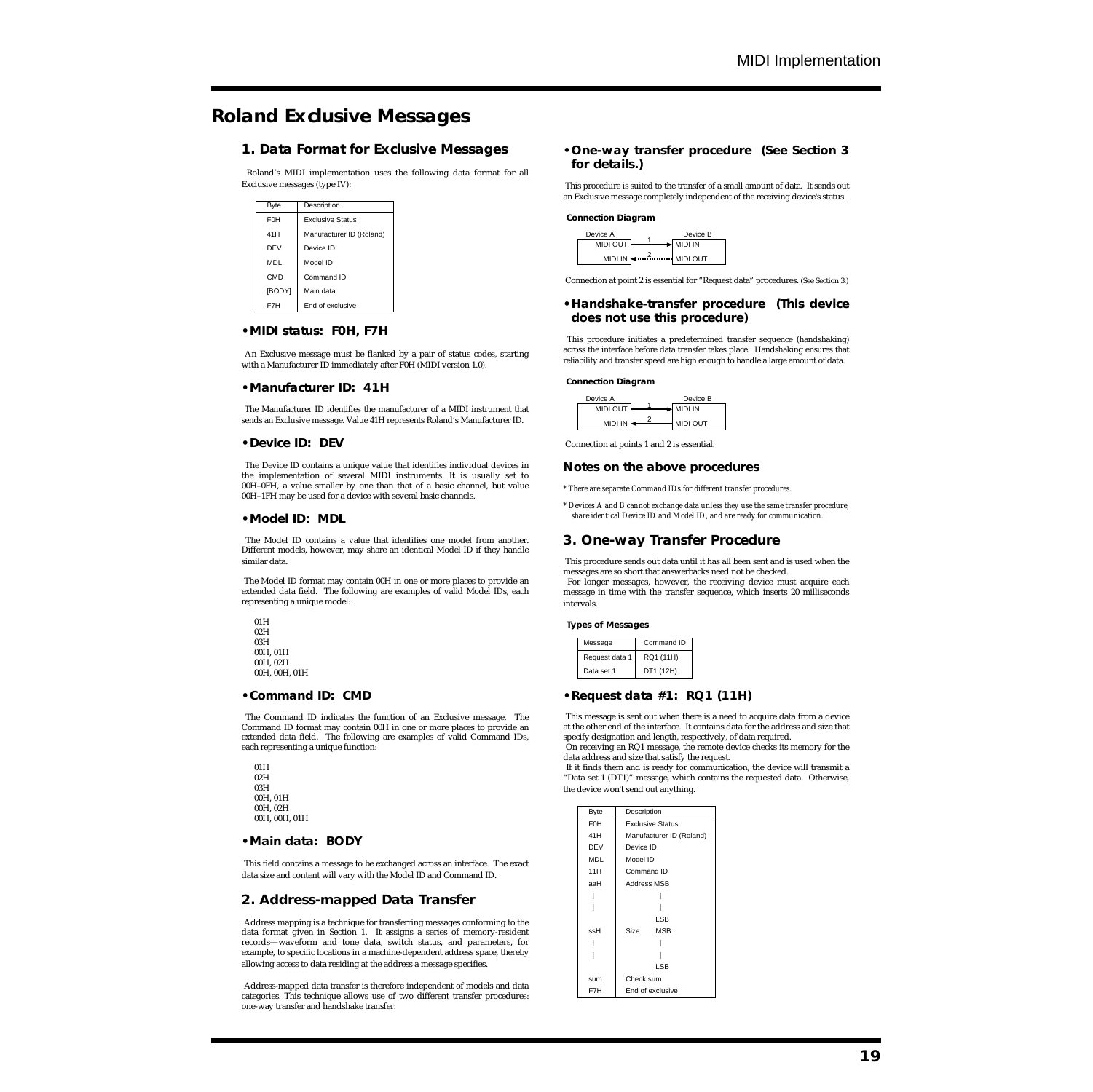# **Roland Exclusive Messages**

# **1. Data Format for Exclusive Messages**

Roland's MIDI implementation uses the following data format for all Exclusive messages (type IV):

| Byte                  | Description              |
|-----------------------|--------------------------|
| <b>F<sub>OH</sub></b> | <b>Exclusive Status</b>  |
| 41H                   | Manufacturer ID (Roland) |
| DEV                   | Device ID                |
| <b>MDL</b>            | Model ID                 |
| CMD                   | Command ID               |
| [BODY]                | Main data                |
| F7H                   | End of exclusive         |

## **•MIDI status: F0H, F7H**

 An Exclusive message must be flanked by a pair of status codes, starting with a Manufacturer ID immediately after F0H (MIDI version 1.0).

#### **•Manufacturer ID: 41H**

 The Manufacturer ID identifies the manufacturer of a MIDI instrument that sends an Exclusive message. Value 41H represents Roland's Manufacturer ID.

#### **•Device ID: DEV**

The Device ID contains a unique value that identifies individual devices in the implementation of several MIDI instruments. It is usually set to 00H–0FH, a value smaller by one than that of a basic channel, but value 00H–1FH may be used for a device with several basic channels.

#### **•Model ID: MDL**

 The Model ID contains a value that identifies one model from another. Different models, however, may share an identical Model ID if they handle similar data.

 The Model ID format may contain 00H in one or more places to provide an extended data field. The following are examples of valid Model IDs, each representing a unique model:

| 01H |               |
|-----|---------------|
| 02H |               |
| 03H |               |
|     | 00H.01H       |
|     | 00H.02H       |
|     | 00H. 00H. 01H |

#### **•Command ID: CMD**

 The Command ID indicates the function of an Exclusive message. The Command ID format may contain 00H in one or more places to provide an extended data field. The following are examples of valid Command IDs, each representing a unique function:

 $01H$  $02H$  03H 00H, 01H 00H, 02H 00H, 00H, 01H

#### **•Main data: BODY**

This field contains a message to be exchanged across an interface. The exact data size and content will vary with the Model ID and Command ID.

# **2. Address-mapped Data Transfer**

Address mapping is a technique for transferring messages conforming to the data format given in Section 1. It assigns a series of memory-resident records—waveform and tone data, switch status, and parameters, for example, to specific locations in a machine-dependent address space, thereby allowing access to data residing at the address a message specifies.

 Address-mapped data transfer is therefore independent of models and data categories. This technique allows use of two different transfer procedures: one-way transfer and handshake transfer.

## **•One-way transfer procedure (See Section 3 for details.)**

 This procedure is suited to the transfer of a small amount of data. It sends out an Exclusive message completely independent of the receiving device's status.

#### **Connection Diagram**



Connection at point 2 is essential for "Request data" procedures. (See Section 3.)

#### **•Handshake-transfer procedure (This device does not use this procedure)**

 This procedure initiates a predetermined transfer sequence (handshaking) across the interface before data transfer takes place. Handshaking ensures that reliability and transfer speed are high enough to handle a large amount of data.

#### **Connection Diagram**



Connection at points 1 and 2 is essential.

#### **Notes on the above procedures**

*\* There are separate Command IDs for different transfer procedures.*

*\* Devices A and B cannot exchange data unless they use the same transfer procedure, share identical Device ID and Model ID, and are ready for communication.* 

# **3. One-way Transfer Procedure**

 This procedure sends out data until it has all been sent and is used when the messages are so short that answerbacks need not be checked. For longer messages, however, the receiving device must acquire each message in time with the transfer sequence, which inserts 20 milliseconds intervals.

#### **Types of Messages**

| Message        | Command ID |
|----------------|------------|
| Request data 1 | RQ1 (11H)  |
| Data set 1     | DT1 (12H)  |

## **•Request data #1: RQ1 (11H)**

 This message is sent out when there is a need to acquire data from a device at the other end of the interface. It contains data for the address and size that specify designation and length, respectively, of data required. On receiving an RQ1 message, the remote device checks its memory for the

data address and size that satisfy the request.

 If it finds them and is ready for communication, the device will transmit a "Data set 1 (DT1)" message, which contains the requested data. Otherwise, the device won't send out anything.

| <b>Byte</b>      | Description              |
|------------------|--------------------------|
| F <sub>0</sub> H | <b>Exclusive Status</b>  |
| 41H              | Manufacturer ID (Roland) |
| <b>DEV</b>       | Device ID                |
| <b>MDL</b>       | Model ID                 |
| 11H              | Command ID               |
| aaH              | <b>Address MSB</b>       |
|                  |                          |
|                  |                          |
|                  | LSB                      |
| ssH              | <b>MSB</b><br>Size       |
|                  |                          |
|                  |                          |
|                  | LSB                      |
| sum              | Check sum                |
| F7H              | End of exclusive         |